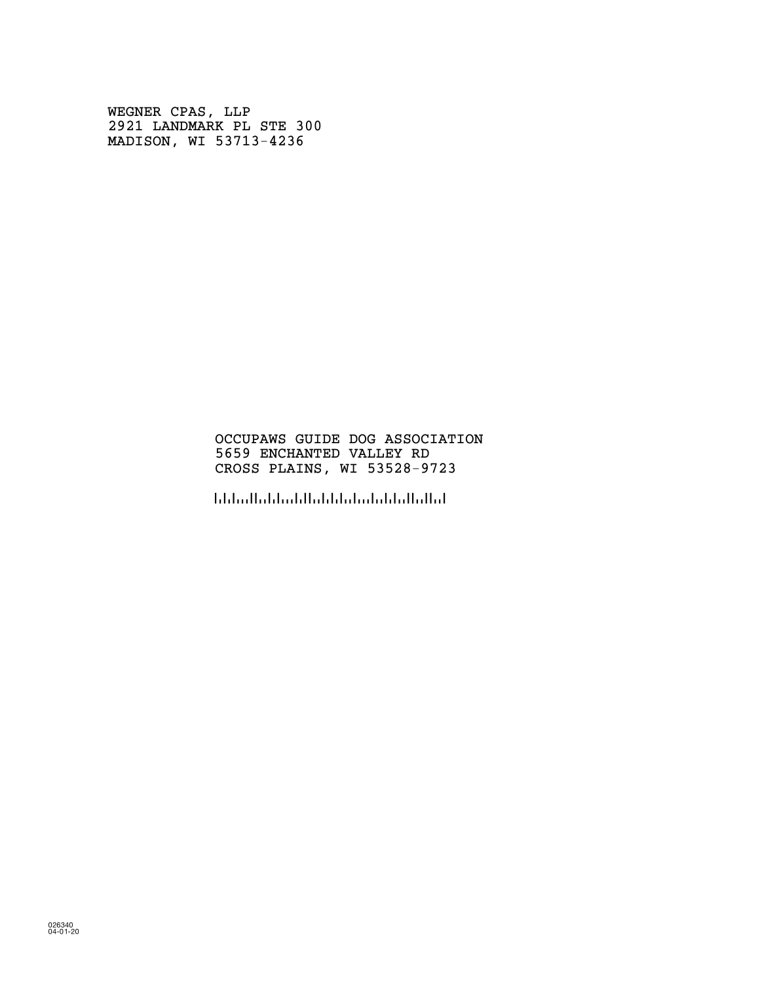WEGNER CPAS, LLP 2921 LANDMARK PL STE 300 MADISON, WI 53713-4236

### OCCUPAWS GUIDE DOG ASSOCIATION 5659 ENCHANTED VALLEY RD CROSS PLAINS, WI 53528-9723

!5352897236!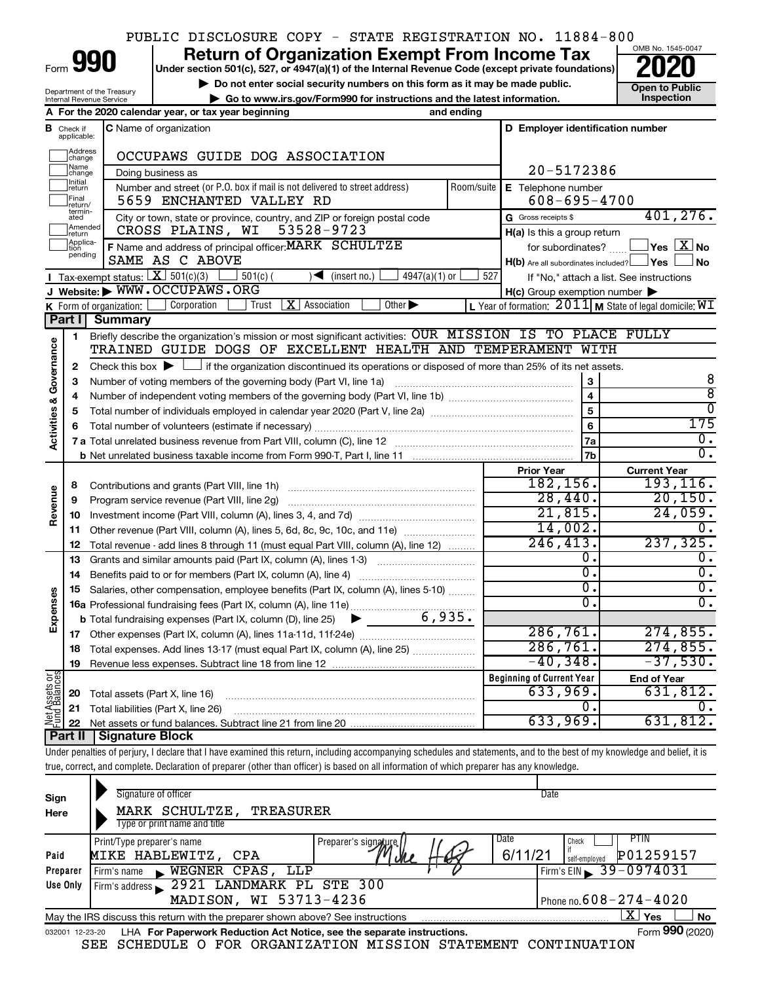## PUBLIC DISCLOSURE COPY - STATE REGISTRATION NO. 11884-800

Form

Department of the Treasury Internal Revenue Service

**990** Return of Organization Exempt From Income Tax <br>
Under section 501(c), 527, or 4947(a)(1) of the Internal Revenue Code (except private foundations)<br> **PO20** 

**▶ Do not enter social security numbers on this form as it may be made public. Open to Public**<br>
inspection instructions and the latest information. Inspection **| Go to www.irs.gov/Form990 for instructions and the latest information. Inspection**



|                                    |                         | A For the 2020 calendar year, or tax year beginning                                                                                      | and ending                                                                                                                                                                                                 |                                                     |                                                             |  |  |  |  |
|------------------------------------|-------------------------|------------------------------------------------------------------------------------------------------------------------------------------|------------------------------------------------------------------------------------------------------------------------------------------------------------------------------------------------------------|-----------------------------------------------------|-------------------------------------------------------------|--|--|--|--|
| В                                  | Check if<br>applicable: | C Name of organization                                                                                                                   |                                                                                                                                                                                                            | D Employer identification number                    |                                                             |  |  |  |  |
|                                    | Address<br> change      | OCCUPAWS GUIDE DOG ASSOCIATION                                                                                                           |                                                                                                                                                                                                            |                                                     |                                                             |  |  |  |  |
|                                    | Name<br>change          | Doing business as                                                                                                                        |                                                                                                                                                                                                            |                                                     |                                                             |  |  |  |  |
|                                    | Initial<br>return       | Number and street (or P.O. box if mail is not delivered to street address)<br>Room/suite                                                 | E Telephone number                                                                                                                                                                                         |                                                     |                                                             |  |  |  |  |
|                                    | Final<br>return/        | 5659 ENCHANTED VALLEY RD                                                                                                                 | $608 - 695 - 4700$                                                                                                                                                                                         |                                                     |                                                             |  |  |  |  |
|                                    | termin-<br>ated         | City or town, state or province, country, and ZIP or foreign postal code                                                                 |                                                                                                                                                                                                            | G Gross receipts \$                                 | 401, 276.                                                   |  |  |  |  |
|                                    | Amended<br>Ireturn      | 53528-9723<br>CROSS PLAINS, WI                                                                                                           |                                                                                                                                                                                                            | $H(a)$ is this a group return                       |                                                             |  |  |  |  |
|                                    | Applica-<br>pending     | F Name and address of principal officer: MARK SCHULTZE                                                                                   |                                                                                                                                                                                                            | for subordinates?                                   | $\sqrt{}$ Yes $\sqrt{ \times}$ No                           |  |  |  |  |
|                                    |                         | SAME AS C ABOVE                                                                                                                          |                                                                                                                                                                                                            | $H(b)$ Are all subordinates included? $\Box$ Yes    | l No                                                        |  |  |  |  |
|                                    |                         | Tax-exempt status: $X \overline{3}$ 501(c)(3)<br>$501(c)$ (<br>$4947(a)(1)$ or<br>$\sqrt{\frac{1}{1}}$ (insert no.)                      | 527                                                                                                                                                                                                        |                                                     | If "No," attach a list. See instructions                    |  |  |  |  |
|                                    |                         | J Website: WWW.OCCUPAWS.ORG                                                                                                              |                                                                                                                                                                                                            | $H(c)$ Group exemption number $\blacktriangleright$ |                                                             |  |  |  |  |
|                                    | Part II                 | Corporation<br>$ \mathbf{X} $ Association<br>Other $\blacktriangleright$<br>K Form of organization: $\lfloor$<br>Trust<br><b>Summary</b> |                                                                                                                                                                                                            |                                                     | L Year of formation: $2011$ M State of legal domicile: $WI$ |  |  |  |  |
|                                    |                         | Briefly describe the organization's mission or most significant activities: OUR MISSION IS TO PLACE FULLY                                |                                                                                                                                                                                                            |                                                     |                                                             |  |  |  |  |
|                                    | 1                       |                                                                                                                                          |                                                                                                                                                                                                            |                                                     |                                                             |  |  |  |  |
|                                    | $\mathbf{2}$            |                                                                                                                                          | TRAINED GUIDE DOGS OF EXCELLENT HEALTH AND TEMPERAMENT WITH<br>Check this box $\blacktriangleright$ $\Box$ if the organization discontinued its operations or disposed of more than 25% of its net assets. |                                                     |                                                             |  |  |  |  |
|                                    | З                       | Number of voting members of the governing body (Part VI, line 1a)                                                                        |                                                                                                                                                                                                            | 3                                                   | 8                                                           |  |  |  |  |
|                                    | 4                       |                                                                                                                                          |                                                                                                                                                                                                            | $\overline{\mathbf{4}}$                             | ह                                                           |  |  |  |  |
|                                    | 5                       |                                                                                                                                          |                                                                                                                                                                                                            | 5                                                   | $\overline{0}$                                              |  |  |  |  |
| <b>Activities &amp; Governance</b> | 6                       |                                                                                                                                          |                                                                                                                                                                                                            | 6                                                   | 175                                                         |  |  |  |  |
|                                    |                         |                                                                                                                                          |                                                                                                                                                                                                            | 7a                                                  | $\overline{0}$ .                                            |  |  |  |  |
|                                    |                         |                                                                                                                                          |                                                                                                                                                                                                            | 7 <sub>b</sub>                                      | $\overline{0}$ .                                            |  |  |  |  |
|                                    |                         |                                                                                                                                          |                                                                                                                                                                                                            | <b>Prior Year</b>                                   | <b>Current Year</b>                                         |  |  |  |  |
|                                    | 8                       | Contributions and grants (Part VIII, line 1h)                                                                                            |                                                                                                                                                                                                            | 182, 156.                                           | 193,116.                                                    |  |  |  |  |
| Revenue                            | 9                       | Program service revenue (Part VIII, line 2g)                                                                                             |                                                                                                                                                                                                            | 28,440.                                             | 20, 150.                                                    |  |  |  |  |
|                                    | 10                      |                                                                                                                                          |                                                                                                                                                                                                            | 21,815.                                             | 24,059.                                                     |  |  |  |  |
|                                    | 11                      | Other revenue (Part VIII, column (A), lines 5, 6d, 8c, 9c, 10c, and 11e)                                                                 |                                                                                                                                                                                                            | 14,002.                                             | σ.                                                          |  |  |  |  |
|                                    | 12                      | Total revenue - add lines 8 through 11 (must equal Part VIII, column (A), line 12)                                                       |                                                                                                                                                                                                            | 246, 413.                                           | 237, 325.                                                   |  |  |  |  |
|                                    | 13                      | Grants and similar amounts paid (Part IX, column (A), lines 1-3)                                                                         |                                                                                                                                                                                                            | 0.<br>0.                                            | Ο.<br>$\overline{0}$ .                                      |  |  |  |  |
|                                    | 14                      |                                                                                                                                          |                                                                                                                                                                                                            | 0.                                                  | $\overline{0}$ .                                            |  |  |  |  |
| Expenses                           | 15                      | Salaries, other compensation, employee benefits (Part IX, column (A), lines 5-10)                                                        |                                                                                                                                                                                                            | 0.                                                  | $\overline{0}$ .                                            |  |  |  |  |
|                                    |                         | 6,935.<br><b>b</b> Total fundraising expenses (Part IX, column (D), line 25)                                                             |                                                                                                                                                                                                            |                                                     |                                                             |  |  |  |  |
|                                    |                         | $\blacktriangleright$ $\_\_$                                                                                                             |                                                                                                                                                                                                            | 286,761.                                            | 274,855.                                                    |  |  |  |  |
|                                    | 18                      | Total expenses. Add lines 13-17 (must equal Part IX, column (A), line 25) <i>manumum</i>                                                 |                                                                                                                                                                                                            | 286,761.                                            | 274,855.                                                    |  |  |  |  |
|                                    | 19                      |                                                                                                                                          |                                                                                                                                                                                                            | $-40,348.$                                          | $-37,530.$                                                  |  |  |  |  |
|                                    |                         |                                                                                                                                          |                                                                                                                                                                                                            | <b>Beginning of Current Year</b>                    | <b>End of Year</b>                                          |  |  |  |  |
|                                    | 20                      | Total assets (Part X, line 16)                                                                                                           |                                                                                                                                                                                                            | 633,969.                                            | 631,812.                                                    |  |  |  |  |
|                                    |                         | 21 Total liabilities (Part X, line 26)                                                                                                   |                                                                                                                                                                                                            | 0.                                                  | О.                                                          |  |  |  |  |
| Net Assets or                      |                         |                                                                                                                                          |                                                                                                                                                                                                            | 633,969.                                            | 631,812.                                                    |  |  |  |  |
|                                    |                         | Part II   Signature Block                                                                                                                |                                                                                                                                                                                                            |                                                     |                                                             |  |  |  |  |

Under penalties of perjury, I declare that I have examined this return, including accompanying schedules and statements, and to the best of my knowledge and belief, it is true, correct, and complete. Declaration of preparer (other than officer) is based on all information of which preparer has any knowledge.

| Sign<br>Here    | Signature of officer<br>MARK SCHULTZE, TREASURER<br>Type or print name and title              | Date                                       |
|-----------------|-----------------------------------------------------------------------------------------------|--------------------------------------------|
| Paid            | Date<br>Print/Type preparer's name<br>Preparer's signature.<br>6/11/21<br>MIKE HABLEWITZ, CPA | PHN<br>Check<br>P01259157<br>self-emploved |
| Preparer        | WEGNER CPAS, LLP<br>Firm's name<br>$\mathbf{r}$                                               | Firm's EIN $\frac{39-0974031}{ }$          |
| Use Only        | 2921 LANDMARK PL STE 300<br>Firm's address                                                    |                                            |
|                 | MADISON, WI 53713-4236                                                                        | Phone no. $608 - 274 - 4020$               |
|                 | May the IRS discuss this return with the preparer shown above? See instructions               | $X \mid$<br>Yes<br>No                      |
| 032001 12-23-20 | LHA For Paperwork Reduction Act Notice, see the separate instructions.                        | Form 990 (2020)                            |
|                 | SCHEDULE O FOR ORGANIZATION MISSION STATEMENT<br>SEE                                          | CONTINUATION                               |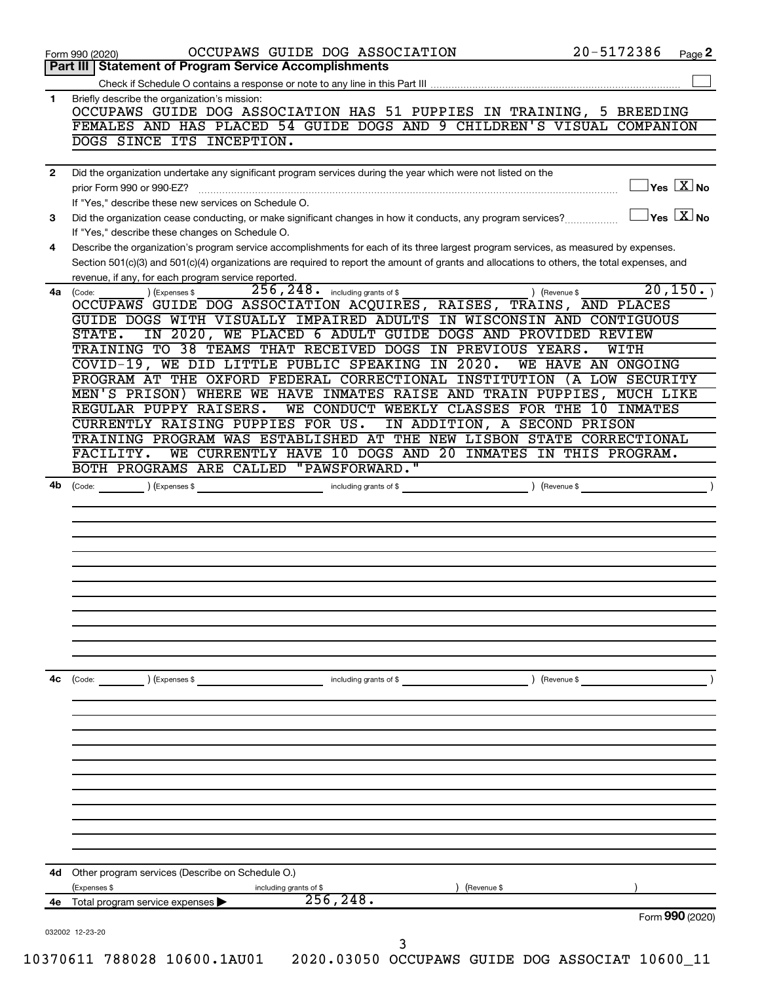|              | 20-5172386<br>OCCUPAWS GUIDE DOG ASSOCIATION<br>Page 2<br>Form 990 (2020)                                                                                                                                                                                                            |
|--------------|--------------------------------------------------------------------------------------------------------------------------------------------------------------------------------------------------------------------------------------------------------------------------------------|
|              | Part III   Statement of Program Service Accomplishments                                                                                                                                                                                                                              |
| 1            |                                                                                                                                                                                                                                                                                      |
|              | Briefly describe the organization's mission:<br>OCCUPAWS GUIDE DOG ASSOCIATION HAS 51 PUPPIES IN TRAINING, 5 BREEDING                                                                                                                                                                |
|              | FEMALES AND HAS PLACED 54 GUIDE DOGS AND 9 CHILDREN'S VISUAL COMPANION                                                                                                                                                                                                               |
|              | DOGS SINCE ITS INCEPTION.                                                                                                                                                                                                                                                            |
|              |                                                                                                                                                                                                                                                                                      |
| $\mathbf{2}$ | Did the organization undertake any significant program services during the year which were not listed on the                                                                                                                                                                         |
|              | $\overline{\ }$ Yes $\overline{\phantom{a}X}$ No<br>prior Form 990 or 990-EZ?                                                                                                                                                                                                        |
|              | If "Yes," describe these new services on Schedule O.                                                                                                                                                                                                                                 |
| 3            | $\overline{\ }$ Yes $\overline{\phantom{a}X}$ No<br>Did the organization cease conducting, or make significant changes in how it conducts, any program services?                                                                                                                     |
|              | If "Yes," describe these changes on Schedule O.                                                                                                                                                                                                                                      |
| 4            | Describe the organization's program service accomplishments for each of its three largest program services, as measured by expenses.<br>Section 501(c)(3) and 501(c)(4) organizations are required to report the amount of grants and allocations to others, the total expenses, and |
|              | revenue, if any, for each program service reported.                                                                                                                                                                                                                                  |
|              | 20, 150.<br>$256$ , $248$ $\cdot$ including grants of \$<br>) (Revenue \$<br>(Expenses \$<br>4a (Code:                                                                                                                                                                               |
|              | OCCUPAWS GUIDE DOG ASSOCIATION ACQUIRES, RAISES, TRAINS, AND PLACES                                                                                                                                                                                                                  |
|              | GUIDE DOGS WITH VISUALLY IMPAIRED ADULTS IN WISCONSIN AND CONTIGUOUS                                                                                                                                                                                                                 |
|              | IN 2020, WE PLACED 6 ADULT GUIDE DOGS AND PROVIDED REVIEW<br>STATE.                                                                                                                                                                                                                  |
|              | TRAINING TO 38 TEAMS THAT RECEIVED DOGS IN PREVIOUS YEARS.<br>WITH                                                                                                                                                                                                                   |
|              | COVID-19, WE DID LITTLE PUBLIC SPEAKING IN 2020.<br>WE HAVE AN ONGOING                                                                                                                                                                                                               |
|              | PROGRAM AT THE OXFORD FEDERAL CORRECTIONAL INSTITUTION (A LOW SECURITY                                                                                                                                                                                                               |
|              | MEN'S PRISON) WHERE WE HAVE INMATES RAISE AND TRAIN PUPPIES, MUCH LIKE<br>REGULAR PUPPY RAISERS.<br>WE CONDUCT WEEKLY CLASSES FOR THE 10<br>INMATES                                                                                                                                  |
|              | CURRENTLY RAISING PUPPIES FOR US.<br>IN ADDITION, A SECOND PRISON                                                                                                                                                                                                                    |
|              | TRAINING PROGRAM WAS ESTABLISHED AT THE NEW LISBON STATE CORRECTIONAL                                                                                                                                                                                                                |
|              | WE CURRENTLY HAVE 10 DOGS AND 20 INMATES IN THIS PROGRAM.<br>FACILITY.                                                                                                                                                                                                               |
|              | BOTH PROGRAMS ARE CALLED "PAWSFORWARD."                                                                                                                                                                                                                                              |
| 4b           | (Revenue \$<br>(Code:<br>(Expenses \$<br>including grants of \$                                                                                                                                                                                                                      |
|              |                                                                                                                                                                                                                                                                                      |
|              |                                                                                                                                                                                                                                                                                      |
|              |                                                                                                                                                                                                                                                                                      |
|              |                                                                                                                                                                                                                                                                                      |
|              |                                                                                                                                                                                                                                                                                      |
|              |                                                                                                                                                                                                                                                                                      |
|              |                                                                                                                                                                                                                                                                                      |
|              |                                                                                                                                                                                                                                                                                      |
|              |                                                                                                                                                                                                                                                                                      |
|              |                                                                                                                                                                                                                                                                                      |
|              |                                                                                                                                                                                                                                                                                      |
|              |                                                                                                                                                                                                                                                                                      |
|              | including grants of \$<br>(Code:<br>) (Expenses \$<br>(Revenue \$                                                                                                                                                                                                                    |
|              |                                                                                                                                                                                                                                                                                      |
|              |                                                                                                                                                                                                                                                                                      |
|              |                                                                                                                                                                                                                                                                                      |
|              |                                                                                                                                                                                                                                                                                      |
|              |                                                                                                                                                                                                                                                                                      |
|              |                                                                                                                                                                                                                                                                                      |
|              |                                                                                                                                                                                                                                                                                      |
|              |                                                                                                                                                                                                                                                                                      |
|              |                                                                                                                                                                                                                                                                                      |
|              |                                                                                                                                                                                                                                                                                      |
| 4с           |                                                                                                                                                                                                                                                                                      |
|              | Other program services (Describe on Schedule O.)                                                                                                                                                                                                                                     |
| 4d<br>4е     | (Expenses \$<br>(Revenue \$<br>including grants of \$<br>256, 248.<br>Total program service expenses                                                                                                                                                                                 |
|              | Form 990 (2020)                                                                                                                                                                                                                                                                      |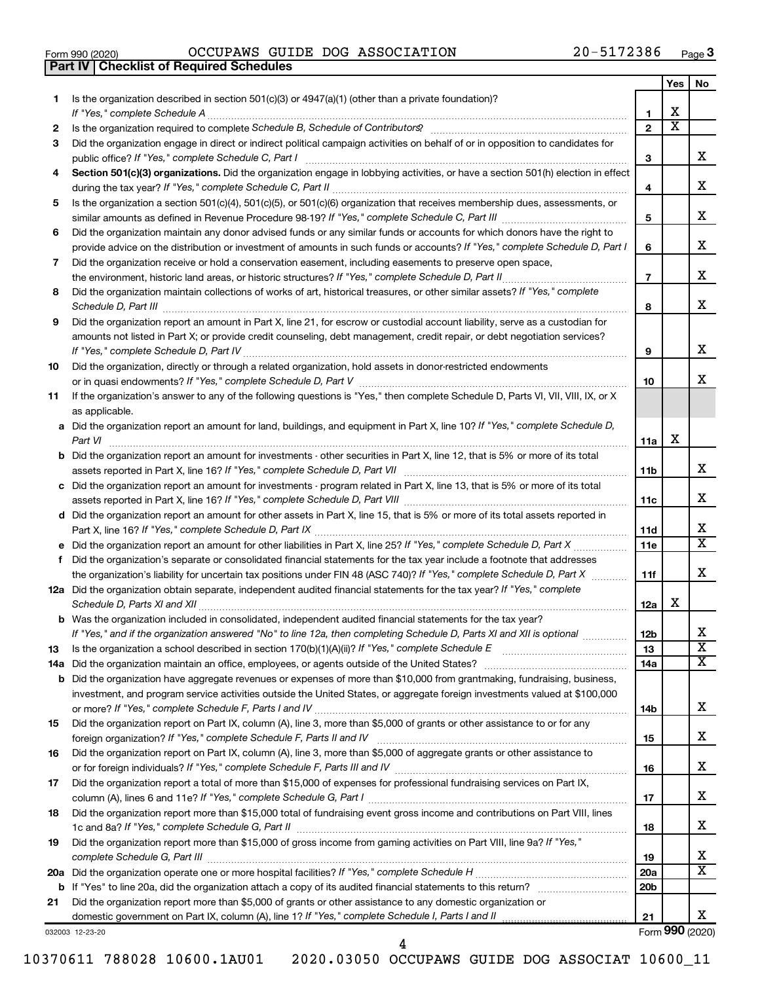|  | Form 990 (2020) |
|--|-----------------|

**Part IV Checklist of Required Schedules**

Form 990 (2020)  $OCCUPANS$   $GUIDE$   $DOG$   $ASSOCIATION$   $20-5172386$   $Page$ 

|     |                                                                                                                                                                                                                                     |                 | Yes                     | No                           |
|-----|-------------------------------------------------------------------------------------------------------------------------------------------------------------------------------------------------------------------------------------|-----------------|-------------------------|------------------------------|
| 1   | Is the organization described in section $501(c)(3)$ or $4947(a)(1)$ (other than a private foundation)?<br>If "Yes," complete Schedule A                                                                                            | 1               | x                       |                              |
| 2   |                                                                                                                                                                                                                                     | $\overline{2}$  | $\overline{\textbf{x}}$ |                              |
| 3   | Did the organization engage in direct or indirect political campaign activities on behalf of or in opposition to candidates for                                                                                                     |                 |                         |                              |
|     | public office? If "Yes," complete Schedule C, Part I                                                                                                                                                                                | З               |                         | x.                           |
| 4   | Section 501(c)(3) organizations. Did the organization engage in lobbying activities, or have a section 501(h) election in effect                                                                                                    |                 |                         |                              |
|     |                                                                                                                                                                                                                                     | 4               |                         | х                            |
| 5   | Is the organization a section 501(c)(4), 501(c)(5), or 501(c)(6) organization that receives membership dues, assessments, or                                                                                                        |                 |                         |                              |
|     |                                                                                                                                                                                                                                     | 5               |                         | x                            |
| 6   | Did the organization maintain any donor advised funds or any similar funds or accounts for which donors have the right to                                                                                                           |                 |                         |                              |
|     | provide advice on the distribution or investment of amounts in such funds or accounts? If "Yes," complete Schedule D, Part I                                                                                                        | 6               |                         | х                            |
| 7   | Did the organization receive or hold a conservation easement, including easements to preserve open space,                                                                                                                           |                 |                         |                              |
|     | the environment, historic land areas, or historic structures? If "Yes," complete Schedule D, Part II                                                                                                                                | $\overline{7}$  |                         | x.                           |
| 8   | Did the organization maintain collections of works of art, historical treasures, or other similar assets? If "Yes," complete                                                                                                        |                 |                         |                              |
|     |                                                                                                                                                                                                                                     | 8               |                         | x                            |
| 9   | Did the organization report an amount in Part X, line 21, for escrow or custodial account liability, serve as a custodian for                                                                                                       |                 |                         |                              |
|     | amounts not listed in Part X; or provide credit counseling, debt management, credit repair, or debt negotiation services?                                                                                                           |                 |                         |                              |
|     |                                                                                                                                                                                                                                     | 9               |                         | х                            |
| 10  | Did the organization, directly or through a related organization, hold assets in donor-restricted endowments                                                                                                                        |                 |                         |                              |
|     |                                                                                                                                                                                                                                     | 10              |                         | x.                           |
| 11  | If the organization's answer to any of the following questions is "Yes," then complete Schedule D, Parts VI, VII, VIII, IX, or X                                                                                                    |                 |                         |                              |
|     | as applicable.                                                                                                                                                                                                                      |                 |                         |                              |
|     | a Did the organization report an amount for land, buildings, and equipment in Part X, line 10? If "Yes," complete Schedule D,                                                                                                       |                 | х                       |                              |
|     | Part VI<br><b>b</b> Did the organization report an amount for investments - other securities in Part X, line 12, that is 5% or more of its total                                                                                    | 11a             |                         |                              |
|     |                                                                                                                                                                                                                                     | 11b             |                         | x                            |
|     | c Did the organization report an amount for investments - program related in Part X, line 13, that is 5% or more of its total                                                                                                       |                 |                         |                              |
|     |                                                                                                                                                                                                                                     | 11c             |                         | x.                           |
|     | d Did the organization report an amount for other assets in Part X, line 15, that is 5% or more of its total assets reported in                                                                                                     |                 |                         |                              |
|     |                                                                                                                                                                                                                                     | 11d             |                         | X                            |
|     |                                                                                                                                                                                                                                     | 11e             |                         | X                            |
| f.  | Did the organization's separate or consolidated financial statements for the tax year include a footnote that addresses                                                                                                             |                 |                         |                              |
|     | the organization's liability for uncertain tax positions under FIN 48 (ASC 740)? If "Yes," complete Schedule D, Part X                                                                                                              | 11f             |                         | x.                           |
|     | 12a Did the organization obtain separate, independent audited financial statements for the tax year? If "Yes," complete                                                                                                             |                 |                         |                              |
|     | Schedule D, Parts XI and XII                                                                                                                                                                                                        | 12a             | х                       |                              |
|     | <b>b</b> Was the organization included in consolidated, independent audited financial statements for the tax year?                                                                                                                  |                 |                         |                              |
|     | If "Yes," and if the organization answered "No" to line 12a, then completing Schedule D, Parts XI and XII is optional                                                                                                               | 12 <sub>b</sub> |                         | х<br>$\overline{\texttt{x}}$ |
| 13  | Is the organization a school described in section 170(b)(1)(A)(ii)? If "Yes," complete Schedule E                                                                                                                                   | 13              |                         | x                            |
|     | 14a Did the organization maintain an office, employees, or agents outside of the United States?<br><b>b</b> Did the organization have aggregate revenues or expenses of more than \$10,000 from grantmaking, fundraising, business, | 14a             |                         |                              |
|     | investment, and program service activities outside the United States, or aggregate foreign investments valued at \$100,000                                                                                                          |                 |                         |                              |
|     |                                                                                                                                                                                                                                     | 14b             |                         | x                            |
| 15  | Did the organization report on Part IX, column (A), line 3, more than \$5,000 of grants or other assistance to or for any                                                                                                           |                 |                         |                              |
|     |                                                                                                                                                                                                                                     | 15              |                         | х                            |
| 16  | Did the organization report on Part IX, column (A), line 3, more than \$5,000 of aggregate grants or other assistance to                                                                                                            |                 |                         |                              |
|     |                                                                                                                                                                                                                                     | 16              |                         | х                            |
| 17  | Did the organization report a total of more than \$15,000 of expenses for professional fundraising services on Part IX,                                                                                                             |                 |                         |                              |
|     |                                                                                                                                                                                                                                     | 17              |                         | х                            |
| 18  | Did the organization report more than \$15,000 total of fundraising event gross income and contributions on Part VIII, lines                                                                                                        |                 |                         |                              |
|     |                                                                                                                                                                                                                                     | 18              |                         | х                            |
| 19  | Did the organization report more than \$15,000 of gross income from gaming activities on Part VIII, line 9a? If "Yes,"                                                                                                              |                 |                         |                              |
|     |                                                                                                                                                                                                                                     | 19              |                         | х                            |
| 20a |                                                                                                                                                                                                                                     | 20a             |                         | х                            |
|     |                                                                                                                                                                                                                                     | 20 <sub>b</sub> |                         |                              |
| 21  | Did the organization report more than \$5,000 of grants or other assistance to any domestic organization or                                                                                                                         |                 |                         |                              |
|     |                                                                                                                                                                                                                                     | 21              |                         | x                            |

032003 12-23-20

Form (2020) **990**

4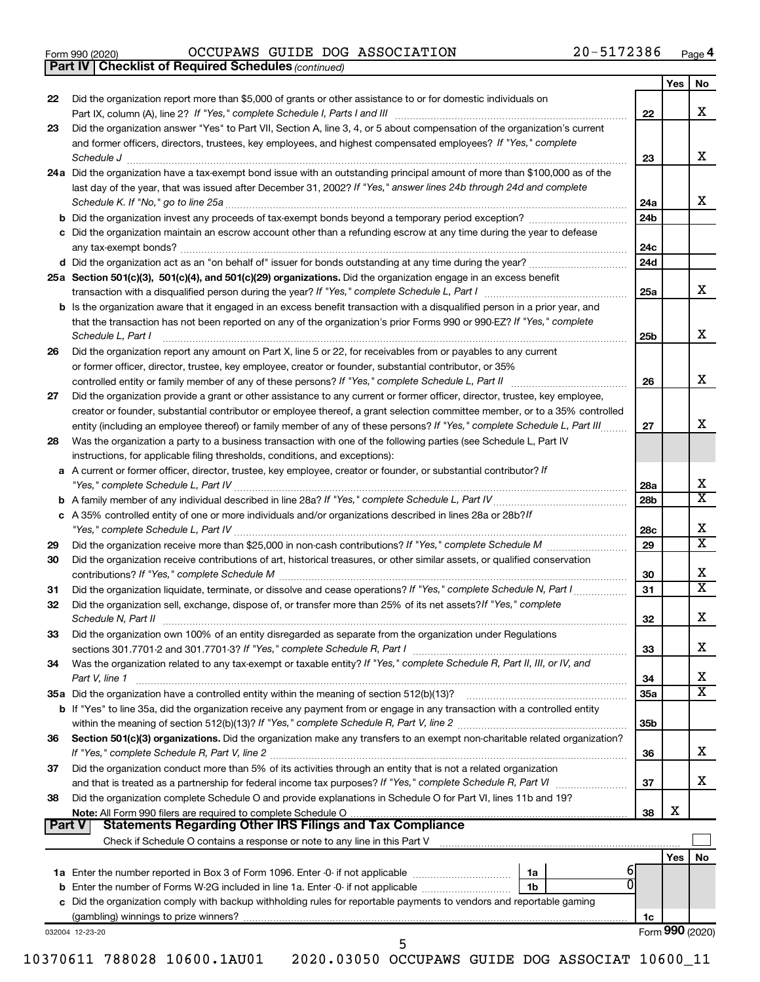|  | Form 990 (2020) |
|--|-----------------|
|  |                 |

*(continued)* **Part IV Checklist of Required Schedules**

Form 990 (2020)  $OCCUPANS$   $GUIDE$   $DOG$   $ASSOCIATION$   $20-5172386$   $Page$ 

| 22<br>23        | Did the organization report more than \$5,000 of grants or other assistance to or for domestic individuals on<br>Did the organization answer "Yes" to Part VII, Section A, line 3, 4, or 5 about compensation of the organization's current<br>and former officers, directors, trustees, key employees, and highest compensated employees? If "Yes," complete<br>Schedule J <b>Execute Schedule Schedule Schedule Schedule</b> J <b>Execute Schedule J Execute Schedule J</b><br>24a Did the organization have a tax-exempt bond issue with an outstanding principal amount of more than \$100,000 as of the<br>last day of the year, that was issued after December 31, 2002? If "Yes," answer lines 24b through 24d and complete<br>c Did the organization maintain an escrow account other than a refunding escrow at any time during the year to defease | 22<br>23<br>24a<br>24 <sub>b</sub> | Yes | No<br>х<br>х               |
|-----------------|--------------------------------------------------------------------------------------------------------------------------------------------------------------------------------------------------------------------------------------------------------------------------------------------------------------------------------------------------------------------------------------------------------------------------------------------------------------------------------------------------------------------------------------------------------------------------------------------------------------------------------------------------------------------------------------------------------------------------------------------------------------------------------------------------------------------------------------------------------------|------------------------------------|-----|----------------------------|
|                 |                                                                                                                                                                                                                                                                                                                                                                                                                                                                                                                                                                                                                                                                                                                                                                                                                                                              |                                    |     |                            |
|                 |                                                                                                                                                                                                                                                                                                                                                                                                                                                                                                                                                                                                                                                                                                                                                                                                                                                              |                                    |     |                            |
|                 |                                                                                                                                                                                                                                                                                                                                                                                                                                                                                                                                                                                                                                                                                                                                                                                                                                                              |                                    |     |                            |
|                 |                                                                                                                                                                                                                                                                                                                                                                                                                                                                                                                                                                                                                                                                                                                                                                                                                                                              |                                    |     |                            |
|                 |                                                                                                                                                                                                                                                                                                                                                                                                                                                                                                                                                                                                                                                                                                                                                                                                                                                              |                                    |     |                            |
|                 |                                                                                                                                                                                                                                                                                                                                                                                                                                                                                                                                                                                                                                                                                                                                                                                                                                                              |                                    |     |                            |
|                 |                                                                                                                                                                                                                                                                                                                                                                                                                                                                                                                                                                                                                                                                                                                                                                                                                                                              |                                    |     |                            |
|                 |                                                                                                                                                                                                                                                                                                                                                                                                                                                                                                                                                                                                                                                                                                                                                                                                                                                              |                                    |     | х                          |
|                 |                                                                                                                                                                                                                                                                                                                                                                                                                                                                                                                                                                                                                                                                                                                                                                                                                                                              |                                    |     |                            |
|                 |                                                                                                                                                                                                                                                                                                                                                                                                                                                                                                                                                                                                                                                                                                                                                                                                                                                              |                                    |     |                            |
|                 |                                                                                                                                                                                                                                                                                                                                                                                                                                                                                                                                                                                                                                                                                                                                                                                                                                                              | 24c                                |     |                            |
|                 |                                                                                                                                                                                                                                                                                                                                                                                                                                                                                                                                                                                                                                                                                                                                                                                                                                                              | 24d                                |     |                            |
|                 | 25a Section 501(c)(3), 501(c)(4), and 501(c)(29) organizations. Did the organization engage in an excess benefit                                                                                                                                                                                                                                                                                                                                                                                                                                                                                                                                                                                                                                                                                                                                             |                                    |     |                            |
|                 |                                                                                                                                                                                                                                                                                                                                                                                                                                                                                                                                                                                                                                                                                                                                                                                                                                                              | 25a                                |     | х                          |
|                 | <b>b</b> Is the organization aware that it engaged in an excess benefit transaction with a disqualified person in a prior year, and                                                                                                                                                                                                                                                                                                                                                                                                                                                                                                                                                                                                                                                                                                                          |                                    |     |                            |
|                 | that the transaction has not been reported on any of the organization's prior Forms 990 or 990-EZ? If "Yes," complete                                                                                                                                                                                                                                                                                                                                                                                                                                                                                                                                                                                                                                                                                                                                        |                                    |     |                            |
|                 | Schedule L, Part I                                                                                                                                                                                                                                                                                                                                                                                                                                                                                                                                                                                                                                                                                                                                                                                                                                           | 25b                                |     | x                          |
| 26              | Did the organization report any amount on Part X, line 5 or 22, for receivables from or payables to any current                                                                                                                                                                                                                                                                                                                                                                                                                                                                                                                                                                                                                                                                                                                                              |                                    |     |                            |
|                 | or former officer, director, trustee, key employee, creator or founder, substantial contributor, or 35%                                                                                                                                                                                                                                                                                                                                                                                                                                                                                                                                                                                                                                                                                                                                                      |                                    |     |                            |
|                 |                                                                                                                                                                                                                                                                                                                                                                                                                                                                                                                                                                                                                                                                                                                                                                                                                                                              | 26                                 |     | х                          |
| 27              | Did the organization provide a grant or other assistance to any current or former officer, director, trustee, key employee,                                                                                                                                                                                                                                                                                                                                                                                                                                                                                                                                                                                                                                                                                                                                  |                                    |     |                            |
|                 | creator or founder, substantial contributor or employee thereof, a grant selection committee member, or to a 35% controlled                                                                                                                                                                                                                                                                                                                                                                                                                                                                                                                                                                                                                                                                                                                                  |                                    |     |                            |
|                 | entity (including an employee thereof) or family member of any of these persons? If "Yes," complete Schedule L, Part III                                                                                                                                                                                                                                                                                                                                                                                                                                                                                                                                                                                                                                                                                                                                     | 27                                 |     | x                          |
| 28              | Was the organization a party to a business transaction with one of the following parties (see Schedule L, Part IV                                                                                                                                                                                                                                                                                                                                                                                                                                                                                                                                                                                                                                                                                                                                            |                                    |     |                            |
|                 | instructions, for applicable filing thresholds, conditions, and exceptions):                                                                                                                                                                                                                                                                                                                                                                                                                                                                                                                                                                                                                                                                                                                                                                                 |                                    |     |                            |
|                 | a A current or former officer, director, trustee, key employee, creator or founder, or substantial contributor? If                                                                                                                                                                                                                                                                                                                                                                                                                                                                                                                                                                                                                                                                                                                                           |                                    |     |                            |
|                 |                                                                                                                                                                                                                                                                                                                                                                                                                                                                                                                                                                                                                                                                                                                                                                                                                                                              | 28a                                |     | х<br>$\overline{\text{X}}$ |
|                 |                                                                                                                                                                                                                                                                                                                                                                                                                                                                                                                                                                                                                                                                                                                                                                                                                                                              | 28 <sub>b</sub>                    |     |                            |
|                 | c A 35% controlled entity of one or more individuals and/or organizations described in lines 28a or 28b?If                                                                                                                                                                                                                                                                                                                                                                                                                                                                                                                                                                                                                                                                                                                                                   |                                    |     | х                          |
|                 |                                                                                                                                                                                                                                                                                                                                                                                                                                                                                                                                                                                                                                                                                                                                                                                                                                                              | 28c                                |     | $\overline{\text{x}}$      |
| 29              |                                                                                                                                                                                                                                                                                                                                                                                                                                                                                                                                                                                                                                                                                                                                                                                                                                                              | 29                                 |     |                            |
| 30              | Did the organization receive contributions of art, historical treasures, or other similar assets, or qualified conservation                                                                                                                                                                                                                                                                                                                                                                                                                                                                                                                                                                                                                                                                                                                                  | 30                                 |     | х                          |
| 31              | Did the organization liquidate, terminate, or dissolve and cease operations? If "Yes," complete Schedule N, Part I                                                                                                                                                                                                                                                                                                                                                                                                                                                                                                                                                                                                                                                                                                                                           | 31                                 |     | $\overline{\texttt{x}}$    |
| 32              | Did the organization sell, exchange, dispose of, or transfer more than 25% of its net assets? If "Yes," complete                                                                                                                                                                                                                                                                                                                                                                                                                                                                                                                                                                                                                                                                                                                                             |                                    |     |                            |
|                 |                                                                                                                                                                                                                                                                                                                                                                                                                                                                                                                                                                                                                                                                                                                                                                                                                                                              | 32                                 |     | х                          |
| 33              | Did the organization own 100% of an entity disregarded as separate from the organization under Regulations                                                                                                                                                                                                                                                                                                                                                                                                                                                                                                                                                                                                                                                                                                                                                   |                                    |     |                            |
|                 |                                                                                                                                                                                                                                                                                                                                                                                                                                                                                                                                                                                                                                                                                                                                                                                                                                                              | 33                                 |     | x                          |
| 34              | Was the organization related to any tax-exempt or taxable entity? If "Yes," complete Schedule R, Part II, III, or IV, and                                                                                                                                                                                                                                                                                                                                                                                                                                                                                                                                                                                                                                                                                                                                    |                                    |     |                            |
|                 | Part V, line 1                                                                                                                                                                                                                                                                                                                                                                                                                                                                                                                                                                                                                                                                                                                                                                                                                                               | 34                                 |     | х                          |
|                 |                                                                                                                                                                                                                                                                                                                                                                                                                                                                                                                                                                                                                                                                                                                                                                                                                                                              | 35a                                |     | $\overline{\textbf{X}}$    |
|                 | b If "Yes" to line 35a, did the organization receive any payment from or engage in any transaction with a controlled entity                                                                                                                                                                                                                                                                                                                                                                                                                                                                                                                                                                                                                                                                                                                                  |                                    |     |                            |
|                 |                                                                                                                                                                                                                                                                                                                                                                                                                                                                                                                                                                                                                                                                                                                                                                                                                                                              | 35 <sub>b</sub>                    |     |                            |
|                 |                                                                                                                                                                                                                                                                                                                                                                                                                                                                                                                                                                                                                                                                                                                                                                                                                                                              |                                    |     |                            |
| 36              | Section 501(c)(3) organizations. Did the organization make any transfers to an exempt non-charitable related organization?                                                                                                                                                                                                                                                                                                                                                                                                                                                                                                                                                                                                                                                                                                                                   |                                    |     |                            |
|                 |                                                                                                                                                                                                                                                                                                                                                                                                                                                                                                                                                                                                                                                                                                                                                                                                                                                              | 36                                 |     | х                          |
| 37              | Did the organization conduct more than 5% of its activities through an entity that is not a related organization                                                                                                                                                                                                                                                                                                                                                                                                                                                                                                                                                                                                                                                                                                                                             |                                    |     |                            |
|                 |                                                                                                                                                                                                                                                                                                                                                                                                                                                                                                                                                                                                                                                                                                                                                                                                                                                              | 37                                 |     | x                          |
| 38              | Did the organization complete Schedule O and provide explanations in Schedule O for Part VI, lines 11b and 19?                                                                                                                                                                                                                                                                                                                                                                                                                                                                                                                                                                                                                                                                                                                                               |                                    |     |                            |
|                 |                                                                                                                                                                                                                                                                                                                                                                                                                                                                                                                                                                                                                                                                                                                                                                                                                                                              | 38                                 | х   |                            |
| Part V          |                                                                                                                                                                                                                                                                                                                                                                                                                                                                                                                                                                                                                                                                                                                                                                                                                                                              |                                    |     |                            |
|                 |                                                                                                                                                                                                                                                                                                                                                                                                                                                                                                                                                                                                                                                                                                                                                                                                                                                              |                                    |     |                            |
|                 |                                                                                                                                                                                                                                                                                                                                                                                                                                                                                                                                                                                                                                                                                                                                                                                                                                                              |                                    | Yes | No                         |
|                 | 1a                                                                                                                                                                                                                                                                                                                                                                                                                                                                                                                                                                                                                                                                                                                                                                                                                                                           |                                    |     |                            |
|                 | 1b                                                                                                                                                                                                                                                                                                                                                                                                                                                                                                                                                                                                                                                                                                                                                                                                                                                           |                                    |     |                            |
|                 | c Did the organization comply with backup withholding rules for reportable payments to vendors and reportable gaming                                                                                                                                                                                                                                                                                                                                                                                                                                                                                                                                                                                                                                                                                                                                         |                                    |     |                            |
| 032004 12-23-20 |                                                                                                                                                                                                                                                                                                                                                                                                                                                                                                                                                                                                                                                                                                                                                                                                                                                              | 1c                                 |     | Form 990 (2020)            |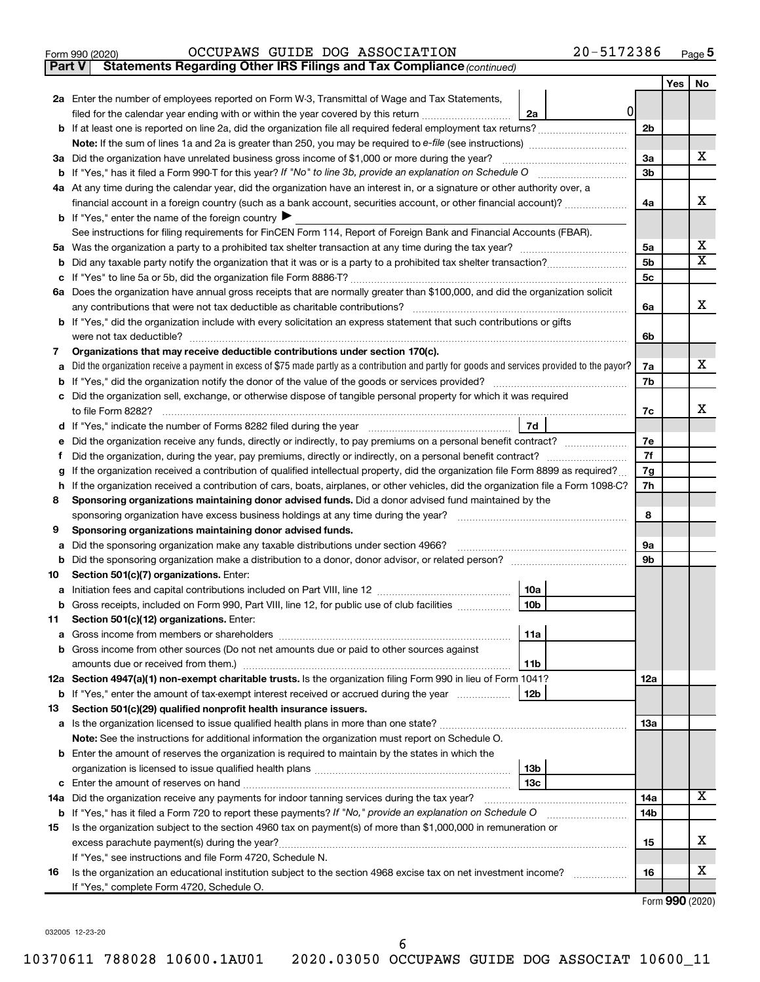|  | Form 990 (2020) |
|--|-----------------|
|  |                 |

**Part V Statements Regarding Other IRS Filings and Tax Compliance**

*(continued)*

|    |                                                                                                                                                 |                | Yes | No |  |  |
|----|-------------------------------------------------------------------------------------------------------------------------------------------------|----------------|-----|----|--|--|
|    | 2a Enter the number of employees reported on Form W-3, Transmittal of Wage and Tax Statements,                                                  |                |     |    |  |  |
|    | 0<br>filed for the calendar year ending with or within the year covered by this return<br>2a                                                    |                |     |    |  |  |
|    | b If at least one is reported on line 2a, did the organization file all required federal employment tax returns?                                | 2 <sub>b</sub> |     |    |  |  |
|    |                                                                                                                                                 |                |     |    |  |  |
|    | 3a Did the organization have unrelated business gross income of \$1,000 or more during the year?                                                |                |     |    |  |  |
|    | <b>b</b> If "Yes," has it filed a Form 990-T for this year? If "No" to line 3b, provide an explanation on Schedule O                            |                |     |    |  |  |
|    | 4a At any time during the calendar year, did the organization have an interest in, or a signature or other authority over, a                    |                |     |    |  |  |
|    | financial account in a foreign country (such as a bank account, securities account, or other financial account)?                                |                |     |    |  |  |
|    | <b>b</b> If "Yes," enter the name of the foreign country $\blacktriangleright$                                                                  |                |     |    |  |  |
|    | See instructions for filing requirements for FinCEN Form 114, Report of Foreign Bank and Financial Accounts (FBAR).                             |                |     | х  |  |  |
| 5а |                                                                                                                                                 |                |     |    |  |  |
| b  |                                                                                                                                                 | 5b             |     | X  |  |  |
|    |                                                                                                                                                 | 5c             |     |    |  |  |
|    | 6a Does the organization have annual gross receipts that are normally greater than \$100,000, and did the organization solicit                  |                |     |    |  |  |
|    | any contributions that were not tax deductible as charitable contributions?                                                                     | 6a             |     | x  |  |  |
|    | b If "Yes," did the organization include with every solicitation an express statement that such contributions or gifts                          |                |     |    |  |  |
|    | were not tax deductible?                                                                                                                        | 6b             |     |    |  |  |
| 7  | Organizations that may receive deductible contributions under section 170(c).                                                                   |                |     |    |  |  |
|    | Did the organization receive a payment in excess of \$75 made partly as a contribution and partly for goods and services provided to the payor? | 7a             |     | х  |  |  |
|    |                                                                                                                                                 | 7b             |     |    |  |  |
|    | Did the organization sell, exchange, or otherwise dispose of tangible personal property for which it was required                               |                |     | x  |  |  |
|    | to file Form 8282?<br>7d                                                                                                                        | 7c             |     |    |  |  |
|    | Did the organization receive any funds, directly or indirectly, to pay premiums on a personal benefit contract?                                 | 7е             |     |    |  |  |
| t  |                                                                                                                                                 |                |     |    |  |  |
|    | If the organization received a contribution of qualified intellectual property, did the organization file Form 8899 as required?                | 7f<br>7g       |     |    |  |  |
| h  | If the organization received a contribution of cars, boats, airplanes, or other vehicles, did the organization file a Form 1098-C?              | 7h             |     |    |  |  |
| 8  | Sponsoring organizations maintaining donor advised funds. Did a donor advised fund maintained by the                                            |                |     |    |  |  |
|    | sponsoring organization have excess business holdings at any time during the year?                                                              | 8              |     |    |  |  |
| 9  | Sponsoring organizations maintaining donor advised funds.                                                                                       |                |     |    |  |  |
| а  | Did the sponsoring organization make any taxable distributions under section 4966?                                                              | 9а             |     |    |  |  |
| b  | Did the sponsoring organization make a distribution to a donor, donor advisor, or related person?                                               | 9b             |     |    |  |  |
| 10 | Section 501(c)(7) organizations. Enter:                                                                                                         |                |     |    |  |  |
| а  | 10a                                                                                                                                             |                |     |    |  |  |
| b  | 10 <sub>b</sub><br>Gross receipts, included on Form 990, Part VIII, line 12, for public use of club facilities                                  |                |     |    |  |  |
| 11 | Section 501(c)(12) organizations. Enter:                                                                                                        |                |     |    |  |  |
|    | 11a                                                                                                                                             |                |     |    |  |  |
|    | <b>b</b> Gross income from other sources (Do not net amounts due or paid to other sources against                                               |                |     |    |  |  |
|    | 11b                                                                                                                                             |                |     |    |  |  |
|    | 12a Section 4947(a)(1) non-exempt charitable trusts. Is the organization filing Form 990 in lieu of Form 1041?                                  | 12a            |     |    |  |  |
|    | b If "Yes," enter the amount of tax-exempt interest received or accrued during the year<br>12b                                                  |                |     |    |  |  |
| 13 | Section 501(c)(29) qualified nonprofit health insurance issuers.                                                                                |                |     |    |  |  |
|    | a Is the organization licensed to issue qualified health plans in more than one state?                                                          | 13a            |     |    |  |  |
|    | Note: See the instructions for additional information the organization must report on Schedule O.                                               |                |     |    |  |  |
|    | <b>b</b> Enter the amount of reserves the organization is required to maintain by the states in which the                                       |                |     |    |  |  |
|    | 13b                                                                                                                                             |                |     |    |  |  |
|    | 13c                                                                                                                                             |                |     | X. |  |  |
|    | 14a Did the organization receive any payments for indoor tanning services during the tax year?                                                  | 14a            |     |    |  |  |
|    | <b>b</b> If "Yes," has it filed a Form 720 to report these payments? If "No," provide an explanation on Schedule O                              | 14b            |     |    |  |  |
| 15 | Is the organization subject to the section 4960 tax on payment(s) of more than \$1,000,000 in remuneration or                                   |                |     | x  |  |  |
|    | If "Yes," see instructions and file Form 4720, Schedule N.                                                                                      | 15             |     |    |  |  |
| 16 | Is the organization an educational institution subject to the section 4968 excise tax on net investment income?                                 | 16             |     | x  |  |  |
|    | If "Yes," complete Form 4720, Schedule O.                                                                                                       |                |     |    |  |  |
|    |                                                                                                                                                 |                |     |    |  |  |

Form (2020) **990**

032005 12-23-20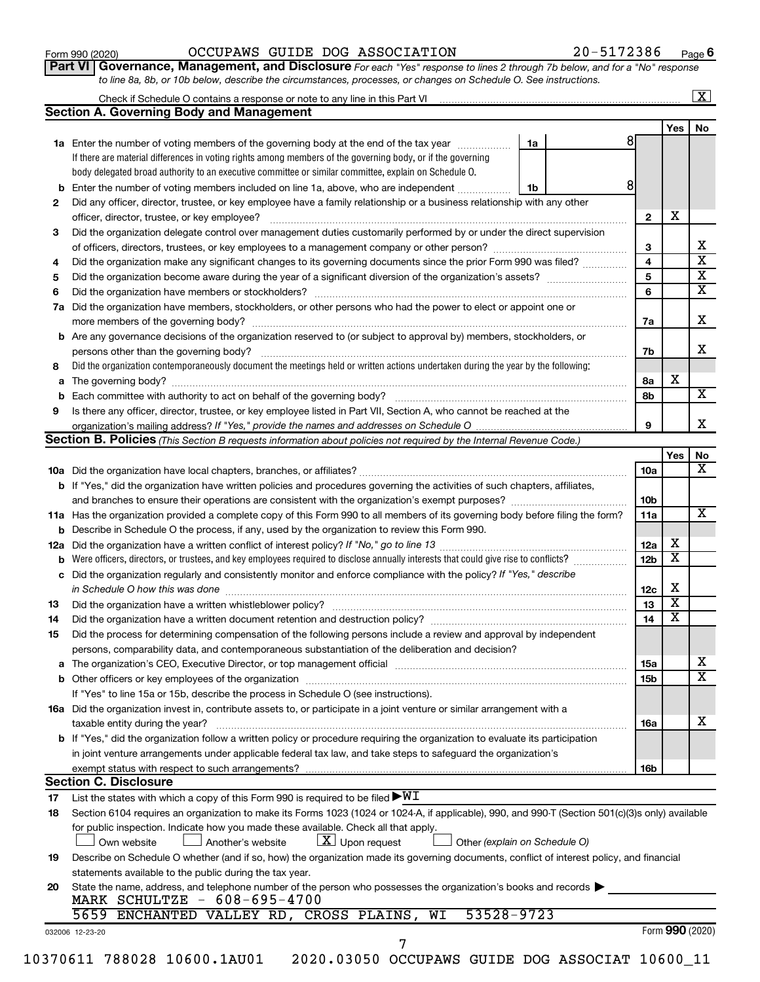| Form 990 (2020) |  |
|-----------------|--|
|-----------------|--|

### Form 990 (2020)  $OCCUPANS$   $GUIDE$   $DOG$   $ASSOCIATION$   $20-5172386$   $Page$

**Part VI** Governance, Management, and Disclosure For each "Yes" response to lines 2 through 7b below, and for a "No" response *to line 8a, 8b, or 10b below, describe the circumstances, processes, or changes on Schedule O. See instructions.*

|     | <b>Section A. Governing Body and Management</b>                                                                                                                                                                  |    |  |    |                 |                         |    |
|-----|------------------------------------------------------------------------------------------------------------------------------------------------------------------------------------------------------------------|----|--|----|-----------------|-------------------------|----|
|     |                                                                                                                                                                                                                  |    |  |    |                 |                         |    |
|     |                                                                                                                                                                                                                  |    |  |    |                 | Yes                     | No |
|     | 1a Enter the number of voting members of the governing body at the end of the tax year                                                                                                                           | 1a |  | 81 |                 |                         |    |
|     | If there are material differences in voting rights among members of the governing body, or if the governing                                                                                                      |    |  |    |                 |                         |    |
|     | body delegated broad authority to an executive committee or similar committee, explain on Schedule O.                                                                                                            |    |  |    |                 |                         |    |
| b   | Enter the number of voting members included on line 1a, above, who are independent                                                                                                                               | 1b |  | 8  |                 |                         |    |
| 2   | Did any officer, director, trustee, or key employee have a family relationship or a business relationship with any other                                                                                         |    |  |    |                 |                         |    |
|     | officer, director, trustee, or key employee?                                                                                                                                                                     |    |  |    | $\mathbf{2}$    | X                       |    |
| 3   | Did the organization delegate control over management duties customarily performed by or under the direct supervision                                                                                            |    |  |    |                 |                         |    |
|     |                                                                                                                                                                                                                  |    |  |    | 3               |                         |    |
| 4   | Did the organization make any significant changes to its governing documents since the prior Form 990 was filed?                                                                                                 |    |  |    | 4               |                         |    |
| 5   |                                                                                                                                                                                                                  |    |  |    | 5               |                         |    |
| 6   |                                                                                                                                                                                                                  |    |  |    | 6               |                         |    |
| 7a  | Did the organization have members, stockholders, or other persons who had the power to elect or appoint one or                                                                                                   |    |  |    |                 |                         |    |
|     |                                                                                                                                                                                                                  |    |  |    | 7a              |                         |    |
| b   | Are any governance decisions of the organization reserved to (or subject to approval by) members, stockholders, or                                                                                               |    |  |    |                 |                         |    |
|     |                                                                                                                                                                                                                  |    |  |    | 7b              |                         |    |
| 8   | Did the organization contemporaneously document the meetings held or written actions undertaken during the year by the following:                                                                                |    |  |    |                 |                         |    |
| а   |                                                                                                                                                                                                                  |    |  |    | 8а              | х                       |    |
| b   |                                                                                                                                                                                                                  |    |  |    | 8b              |                         |    |
| 9   | Is there any officer, director, trustee, or key employee listed in Part VII, Section A, who cannot be reached at the                                                                                             |    |  |    |                 |                         |    |
|     |                                                                                                                                                                                                                  |    |  |    | 9               |                         |    |
|     | <b>Section B. Policies</b> (This Section B requests information about policies not required by the Internal Revenue Code.)                                                                                       |    |  |    |                 |                         |    |
|     |                                                                                                                                                                                                                  |    |  |    |                 | Yes                     |    |
|     |                                                                                                                                                                                                                  |    |  |    | 10a             |                         |    |
|     | <b>b</b> If "Yes," did the organization have written policies and procedures governing the activities of such chapters, affiliates,                                                                              |    |  |    |                 |                         |    |
|     |                                                                                                                                                                                                                  |    |  |    | 10 <sub>b</sub> |                         |    |
|     | 11a Has the organization provided a complete copy of this Form 990 to all members of its governing body before filing the form?                                                                                  |    |  |    | 11a             |                         |    |
|     | <b>b</b> Describe in Schedule O the process, if any, used by the organization to review this Form 990.                                                                                                           |    |  |    |                 |                         |    |
| 12a |                                                                                                                                                                                                                  |    |  |    | 12a             | х                       |    |
| b   | Were officers, directors, or trustees, and key employees required to disclose annually interests that could give rise to conflicts?                                                                              |    |  |    | 12 <sub>b</sub> | $\overline{\textbf{X}}$ |    |
|     | Did the organization regularly and consistently monitor and enforce compliance with the policy? If "Yes," describe                                                                                               |    |  |    |                 |                         |    |
| с   |                                                                                                                                                                                                                  |    |  |    |                 | Х                       |    |
|     |                                                                                                                                                                                                                  |    |  |    | 12c<br>13       | $\overline{\mathbf{X}}$ |    |
| 13  |                                                                                                                                                                                                                  |    |  |    |                 | $\overline{\mathbf{X}}$ |    |
| 14  | Did the organization have a written document retention and destruction policy? [11] manufaction manufaction in                                                                                                   |    |  |    | 14              |                         |    |
| 15  | Did the process for determining compensation of the following persons include a review and approval by independent                                                                                               |    |  |    |                 |                         |    |
|     | persons, comparability data, and contemporaneous substantiation of the deliberation and decision?                                                                                                                |    |  |    |                 |                         |    |
| а   | The organization's CEO, Executive Director, or top management official manufactured content of the organization's CEO, Executive Director, or top management official manufactured content of the organization's |    |  |    | 15a             |                         |    |
|     |                                                                                                                                                                                                                  |    |  |    | 15b             |                         |    |
|     | If "Yes" to line 15a or 15b, describe the process in Schedule O (see instructions).                                                                                                                              |    |  |    |                 |                         |    |
|     | 16a Did the organization invest in, contribute assets to, or participate in a joint venture or similar arrangement with a                                                                                        |    |  |    |                 |                         |    |
|     | taxable entity during the year?                                                                                                                                                                                  |    |  |    | 16a             |                         |    |
|     | b If "Yes," did the organization follow a written policy or procedure requiring the organization to evaluate its participation                                                                                   |    |  |    |                 |                         |    |
|     | in joint venture arrangements under applicable federal tax law, and take steps to safeguard the organization's                                                                                                   |    |  |    |                 |                         |    |
|     | exempt status with respect to such arrangements?                                                                                                                                                                 |    |  |    | 16b             |                         |    |
|     | <b>Section C. Disclosure</b>                                                                                                                                                                                     |    |  |    |                 |                         |    |
| 17  | List the states with which a copy of this Form 990 is required to be filed $\blacktriangleright\texttt{WI}$                                                                                                      |    |  |    |                 |                         |    |
| 18  | Section 6104 requires an organization to make its Forms 1023 (1024 or 1024-A, if applicable), 990, and 990-T (Section 501(c)(3)s only) available                                                                 |    |  |    |                 |                         |    |
|     | for public inspection. Indicate how you made these available. Check all that apply.                                                                                                                              |    |  |    |                 |                         |    |
|     | $\lfloor x \rfloor$ Upon request<br>Another's website<br>Other (explain on Schedule O)<br>Own website                                                                                                            |    |  |    |                 |                         |    |
|     | Describe on Schedule O whether (and if so, how) the organization made its governing documents, conflict of interest policy, and financial                                                                        |    |  |    |                 |                         |    |
| 19  |                                                                                                                                                                                                                  |    |  |    |                 |                         |    |
|     | statements available to the public during the tax year.                                                                                                                                                          |    |  |    |                 |                         |    |
| 20  |                                                                                                                                                                                                                  |    |  |    |                 |                         |    |
|     | State the name, address, and telephone number of the person who possesses the organization's books and records                                                                                                   |    |  |    |                 |                         |    |
|     | MARK SCHULTZE - 608-695-4700<br>53528-9723                                                                                                                                                                       |    |  |    |                 |                         |    |
|     | 5659 ENCHANTED VALLEY RD, CROSS PLAINS, WI<br>032006 12-23-20                                                                                                                                                    |    |  |    |                 | Form 990 (2020)         |    |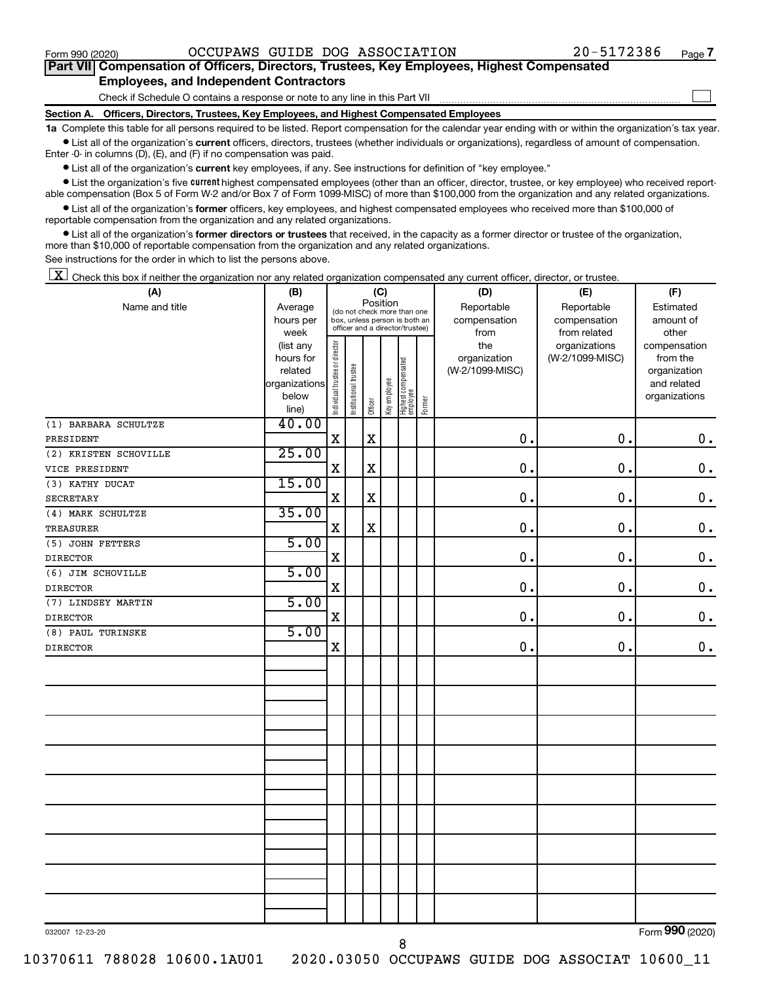$\Box$ 

| Part VII Compensation of Officers, Directors, Trustees, Key Employees, Highest Compensated |  |  |
|--------------------------------------------------------------------------------------------|--|--|
| <b>Employees, and Independent Contractors</b>                                              |  |  |

Check if Schedule O contains a response or note to any line in this Part VII

**Section A. Officers, Directors, Trustees, Key Employees, and Highest Compensated Employees**

**1a**  Complete this table for all persons required to be listed. Report compensation for the calendar year ending with or within the organization's tax year.  $\bullet$  List all of the organization's current officers, directors, trustees (whether individuals or organizations), regardless of amount of compensation.

Enter -0- in columns (D), (E), and (F) if no compensation was paid.

**•** List all of the organization's current key employees, if any. See instructions for definition of "key employee."

• List the organization's five *current* highest compensated employees (other than an officer, director, trustee, or key employee) who received reportable compensation (Box 5 of Form W-2 and/or Box 7 of Form 1099-MISC) of more than \$100,000 from the organization and any related organizations.

 $\bullet$  List all of the organization's former officers, key employees, and highest compensated employees who received more than \$100,000 of reportable compensation from the organization and any related organizations.

**•** List all of the organization's former directors or trustees that received, in the capacity as a former director or trustee of the organization, more than \$10,000 of reportable compensation from the organization and any related organizations.

See instructions for the order in which to list the persons above.

 $\boxed{\textbf{X}}$  Check this box if neither the organization nor any related organization compensated any current officer, director, or trustee.

| (A)                   | (B)                    |                                |                       | (C)         |              |                                                                  |        | (D)             | (E)                              | (F)                      |
|-----------------------|------------------------|--------------------------------|-----------------------|-------------|--------------|------------------------------------------------------------------|--------|-----------------|----------------------------------|--------------------------|
| Name and title        | Average                |                                |                       | Position    |              | (do not check more than one                                      |        | Reportable      | Reportable                       | Estimated                |
|                       | hours per              |                                |                       |             |              | box, unless person is both an<br>officer and a director/trustee) |        | compensation    | compensation                     | amount of                |
|                       | week                   |                                |                       |             |              |                                                                  |        | from<br>the     | from related                     | other                    |
|                       | (list any<br>hours for |                                |                       |             |              |                                                                  |        | organization    | organizations<br>(W-2/1099-MISC) | compensation<br>from the |
|                       | related                |                                |                       |             |              |                                                                  |        | (W-2/1099-MISC) |                                  | organization             |
|                       | organizations          |                                |                       |             |              |                                                                  |        |                 |                                  | and related              |
|                       | below                  | Individual trustee or director | Institutional trustee |             | Key employee | Highest compensated<br>employee                                  |        |                 |                                  | organizations            |
|                       | line)                  |                                |                       | Officer     |              |                                                                  | Former |                 |                                  |                          |
| (1) BARBARA SCHULTZE  | 40.00                  |                                |                       |             |              |                                                                  |        |                 |                                  |                          |
| PRESIDENT             |                        | $\mathbf X$                    |                       | $\rm X$     |              |                                                                  |        | 0.              | 0.                               | $0$ .                    |
| (2) KRISTEN SCHOVILLE | 25.00                  |                                |                       |             |              |                                                                  |        |                 |                                  |                          |
| VICE PRESIDENT        |                        | $\mathbf X$                    |                       | $\mathbf X$ |              |                                                                  |        | $\mathbf 0$ .   | 0.                               | $\mathbf 0$ .            |
| (3) KATHY DUCAT       | 15.00                  |                                |                       |             |              |                                                                  |        |                 |                                  |                          |
| <b>SECRETARY</b>      |                        | $\mathbf X$                    |                       | $\rm X$     |              |                                                                  |        | $\mathbf 0$ .   | $\mathbf 0$ .                    | $\mathbf 0$ .            |
| (4) MARK SCHULTZE     | 35.00                  |                                |                       |             |              |                                                                  |        |                 |                                  |                          |
| <b>TREASURER</b>      |                        | $\mathbf X$                    |                       | $\rm X$     |              |                                                                  |        | $\mathbf 0$ .   | 0.                               | $\mathbf 0$ .            |
| (5) JOHN FETTERS      | 5.00                   |                                |                       |             |              |                                                                  |        |                 |                                  |                          |
| <b>DIRECTOR</b>       |                        | $\mathbf X$                    |                       |             |              |                                                                  |        | $\mathbf 0$ .   | $\mathbf 0$ .                    | $\boldsymbol{0}$ .       |
| (6) JIM SCHOVILLE     | 5.00                   |                                |                       |             |              |                                                                  |        |                 |                                  |                          |
| <b>DIRECTOR</b>       |                        | $\mathbf X$                    |                       |             |              |                                                                  |        | $\mathbf 0$ .   | 0.                               | $\mathbf 0$ .            |
| (7) LINDSEY MARTIN    | 5.00                   |                                |                       |             |              |                                                                  |        |                 |                                  |                          |
| <b>DIRECTOR</b>       |                        | $\mathbf X$                    |                       |             |              |                                                                  |        | $\mathbf 0$ .   | $\mathbf 0$ .                    | $\mathbf 0$ .            |
| (8) PAUL TURINSKE     | 5.00                   |                                |                       |             |              |                                                                  |        |                 |                                  |                          |
| <b>DIRECTOR</b>       |                        | $\mathbf X$                    |                       |             |              |                                                                  |        | 0.              | 0.                               | $\mathbf 0$ .            |
|                       |                        |                                |                       |             |              |                                                                  |        |                 |                                  |                          |
|                       |                        |                                |                       |             |              |                                                                  |        |                 |                                  |                          |
|                       |                        |                                |                       |             |              |                                                                  |        |                 |                                  |                          |
|                       |                        |                                |                       |             |              |                                                                  |        |                 |                                  |                          |
|                       |                        |                                |                       |             |              |                                                                  |        |                 |                                  |                          |
|                       |                        |                                |                       |             |              |                                                                  |        |                 |                                  |                          |
|                       |                        |                                |                       |             |              |                                                                  |        |                 |                                  |                          |
|                       |                        |                                |                       |             |              |                                                                  |        |                 |                                  |                          |
|                       |                        |                                |                       |             |              |                                                                  |        |                 |                                  |                          |
|                       |                        |                                |                       |             |              |                                                                  |        |                 |                                  |                          |
|                       |                        |                                |                       |             |              |                                                                  |        |                 |                                  |                          |
|                       |                        |                                |                       |             |              |                                                                  |        |                 |                                  |                          |
|                       |                        |                                |                       |             |              |                                                                  |        |                 |                                  |                          |
|                       |                        |                                |                       |             |              |                                                                  |        |                 |                                  |                          |
|                       |                        |                                |                       |             |              |                                                                  |        |                 |                                  |                          |
|                       |                        |                                |                       |             |              |                                                                  |        |                 |                                  |                          |
|                       |                        |                                |                       |             |              |                                                                  |        |                 |                                  |                          |

032007 12-23-20

8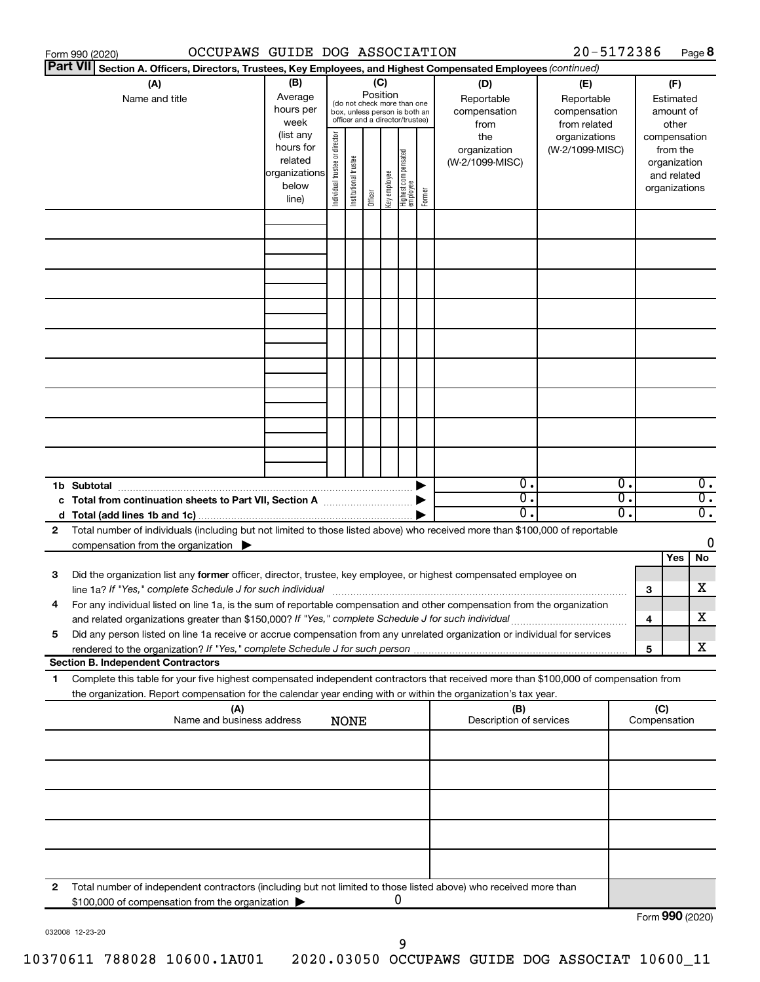|                 | OCCUPAWS GUIDE DOG ASSOCIATION<br>Form 990 (2020)                                                                                                                                                                                           |                          |                                |                       |          |              |                                   |        |                         | 20-5172386      |    |                 |               | Page 8           |
|-----------------|---------------------------------------------------------------------------------------------------------------------------------------------------------------------------------------------------------------------------------------------|--------------------------|--------------------------------|-----------------------|----------|--------------|-----------------------------------|--------|-------------------------|-----------------|----|-----------------|---------------|------------------|
| <b>Part VII</b> | Section A. Officers, Directors, Trustees, Key Employees, and Highest Compensated Employees (continued)                                                                                                                                      |                          |                                |                       |          |              |                                   |        |                         |                 |    |                 |               |                  |
|                 | (A)                                                                                                                                                                                                                                         | (B)                      |                                |                       |          | (C)          |                                   |        | (D)                     | (E)             |    |                 | (F)           |                  |
|                 | Name and title                                                                                                                                                                                                                              | Average                  |                                |                       | Position |              | (do not check more than one       |        | Reportable              | Reportable      |    |                 | Estimated     |                  |
|                 |                                                                                                                                                                                                                                             | hours per                |                                |                       |          |              | box, unless person is both an     |        | compensation            | compensation    |    |                 | amount of     |                  |
|                 |                                                                                                                                                                                                                                             | week                     |                                |                       |          |              | officer and a director/trustee)   |        | from                    | from related    |    |                 | other         |                  |
|                 |                                                                                                                                                                                                                                             | (list any                |                                |                       |          |              |                                   |        | the                     | organizations   |    | compensation    |               |                  |
|                 |                                                                                                                                                                                                                                             | hours for                |                                |                       |          |              |                                   |        | organization            | (W-2/1099-MISC) |    |                 | from the      |                  |
|                 |                                                                                                                                                                                                                                             | related<br>organizations |                                |                       |          |              |                                   |        | (W-2/1099-MISC)         |                 |    |                 | organization  |                  |
|                 |                                                                                                                                                                                                                                             | below                    |                                |                       |          |              |                                   |        |                         |                 |    |                 | and related   |                  |
|                 |                                                                                                                                                                                                                                             | line)                    | Individual trustee or director | Institutional trustee | Officer  | Key employee | Highest compensated<br>  employee | Former |                         |                 |    |                 | organizations |                  |
|                 |                                                                                                                                                                                                                                             |                          |                                |                       |          |              |                                   |        |                         |                 |    |                 |               |                  |
|                 |                                                                                                                                                                                                                                             |                          |                                |                       |          |              |                                   |        |                         |                 |    |                 |               |                  |
|                 |                                                                                                                                                                                                                                             |                          |                                |                       |          |              |                                   |        |                         |                 |    |                 |               |                  |
|                 |                                                                                                                                                                                                                                             |                          |                                |                       |          |              |                                   |        |                         |                 |    |                 |               |                  |
|                 |                                                                                                                                                                                                                                             |                          |                                |                       |          |              |                                   |        |                         |                 |    |                 |               |                  |
|                 |                                                                                                                                                                                                                                             |                          |                                |                       |          |              |                                   |        |                         |                 |    |                 |               |                  |
|                 |                                                                                                                                                                                                                                             |                          |                                |                       |          |              |                                   |        |                         |                 |    |                 |               |                  |
|                 |                                                                                                                                                                                                                                             |                          |                                |                       |          |              |                                   |        |                         |                 |    |                 |               |                  |
|                 |                                                                                                                                                                                                                                             |                          |                                |                       |          |              |                                   |        |                         |                 |    |                 |               |                  |
|                 |                                                                                                                                                                                                                                             |                          |                                |                       |          |              |                                   |        |                         |                 |    |                 |               |                  |
|                 |                                                                                                                                                                                                                                             |                          |                                |                       |          |              |                                   |        |                         |                 |    |                 |               |                  |
|                 |                                                                                                                                                                                                                                             |                          |                                |                       |          |              |                                   |        |                         |                 |    |                 |               |                  |
|                 |                                                                                                                                                                                                                                             |                          |                                |                       |          |              |                                   |        |                         |                 |    |                 |               |                  |
|                 |                                                                                                                                                                                                                                             |                          |                                |                       |          |              |                                   |        |                         |                 |    |                 |               |                  |
|                 |                                                                                                                                                                                                                                             |                          |                                |                       |          |              |                                   |        |                         |                 |    |                 |               |                  |
|                 |                                                                                                                                                                                                                                             |                          |                                |                       |          |              |                                   |        |                         |                 |    |                 |               |                  |
|                 |                                                                                                                                                                                                                                             |                          |                                |                       |          |              |                                   |        |                         |                 |    |                 |               |                  |
|                 |                                                                                                                                                                                                                                             |                          |                                |                       |          |              |                                   |        |                         |                 |    |                 |               |                  |
|                 |                                                                                                                                                                                                                                             |                          |                                |                       |          |              |                                   |        | $0$ .                   |                 | 0. |                 |               | $\overline{0}$ . |
|                 | 1b Subtotal                                                                                                                                                                                                                                 |                          |                                |                       |          |              |                                   |        | $\overline{0}$ .        |                 | σ. |                 |               | $\overline{0}$ . |
|                 | c Total from continuation sheets to Part VII, Section A manufactured by                                                                                                                                                                     |                          |                                |                       |          |              |                                   |        | 0.                      |                 | О. |                 |               | $\overline{0}$ . |
|                 | Total number of individuals (including but not limited to those listed above) who received more than \$100,000 of reportable                                                                                                                |                          |                                |                       |          |              |                                   |        |                         |                 |    |                 |               |                  |
| 2               | compensation from the organization $\blacktriangleright$                                                                                                                                                                                    |                          |                                |                       |          |              |                                   |        |                         |                 |    |                 |               | 0                |
|                 |                                                                                                                                                                                                                                             |                          |                                |                       |          |              |                                   |        |                         |                 |    |                 | Yes           | No               |
| 3               | Did the organization list any former officer, director, trustee, key employee, or highest compensated employee on                                                                                                                           |                          |                                |                       |          |              |                                   |        |                         |                 |    |                 |               |                  |
|                 |                                                                                                                                                                                                                                             |                          |                                |                       |          |              |                                   |        |                         |                 |    | 3               |               | х                |
|                 | line 1a? If "Yes," complete Schedule J for such individual [11] manufacture manufacture in the set of the set o<br>For any individual listed on line 1a, is the sum of reportable compensation and other compensation from the organization |                          |                                |                       |          |              |                                   |        |                         |                 |    |                 |               |                  |
|                 | and related organizations greater than \$150,000? If "Yes," complete Schedule J for such individual                                                                                                                                         |                          |                                |                       |          |              |                                   |        |                         |                 |    | 4               |               | х                |
| 5               | Did any person listed on line 1a receive or accrue compensation from any unrelated organization or individual for services                                                                                                                  |                          |                                |                       |          |              |                                   |        |                         |                 |    |                 |               |                  |
|                 |                                                                                                                                                                                                                                             |                          |                                |                       |          |              |                                   |        |                         |                 |    | 5               |               | х                |
|                 | <b>Section B. Independent Contractors</b>                                                                                                                                                                                                   |                          |                                |                       |          |              |                                   |        |                         |                 |    |                 |               |                  |
| 1.              | Complete this table for your five highest compensated independent contractors that received more than \$100,000 of compensation from                                                                                                        |                          |                                |                       |          |              |                                   |        |                         |                 |    |                 |               |                  |
|                 | the organization. Report compensation for the calendar year ending with or within the organization's tax year.                                                                                                                              |                          |                                |                       |          |              |                                   |        |                         |                 |    |                 |               |                  |
|                 | (A)                                                                                                                                                                                                                                         |                          |                                |                       |          |              |                                   |        | (B)                     |                 |    | (C)             |               |                  |
|                 | Name and business address                                                                                                                                                                                                                   |                          |                                | <b>NONE</b>           |          |              |                                   |        | Description of services |                 |    | Compensation    |               |                  |
|                 |                                                                                                                                                                                                                                             |                          |                                |                       |          |              |                                   |        |                         |                 |    |                 |               |                  |
|                 |                                                                                                                                                                                                                                             |                          |                                |                       |          |              |                                   |        |                         |                 |    |                 |               |                  |
|                 |                                                                                                                                                                                                                                             |                          |                                |                       |          |              |                                   |        |                         |                 |    |                 |               |                  |
|                 |                                                                                                                                                                                                                                             |                          |                                |                       |          |              |                                   |        |                         |                 |    |                 |               |                  |
|                 |                                                                                                                                                                                                                                             |                          |                                |                       |          |              |                                   |        |                         |                 |    |                 |               |                  |
|                 |                                                                                                                                                                                                                                             |                          |                                |                       |          |              |                                   |        |                         |                 |    |                 |               |                  |
|                 |                                                                                                                                                                                                                                             |                          |                                |                       |          |              |                                   |        |                         |                 |    |                 |               |                  |
|                 |                                                                                                                                                                                                                                             |                          |                                |                       |          |              |                                   |        |                         |                 |    |                 |               |                  |
|                 |                                                                                                                                                                                                                                             |                          |                                |                       |          |              |                                   |        |                         |                 |    |                 |               |                  |
|                 |                                                                                                                                                                                                                                             |                          |                                |                       |          |              |                                   |        |                         |                 |    |                 |               |                  |
| 2               | Total number of independent contractors (including but not limited to those listed above) who received more than                                                                                                                            |                          |                                |                       |          |              |                                   |        |                         |                 |    |                 |               |                  |
|                 | \$100,000 of compensation from the organization                                                                                                                                                                                             |                          |                                |                       |          |              | 0                                 |        |                         |                 |    |                 |               |                  |
|                 |                                                                                                                                                                                                                                             |                          |                                |                       |          |              |                                   |        |                         |                 |    | Form 990 (2020) |               |                  |

032008 12-23-20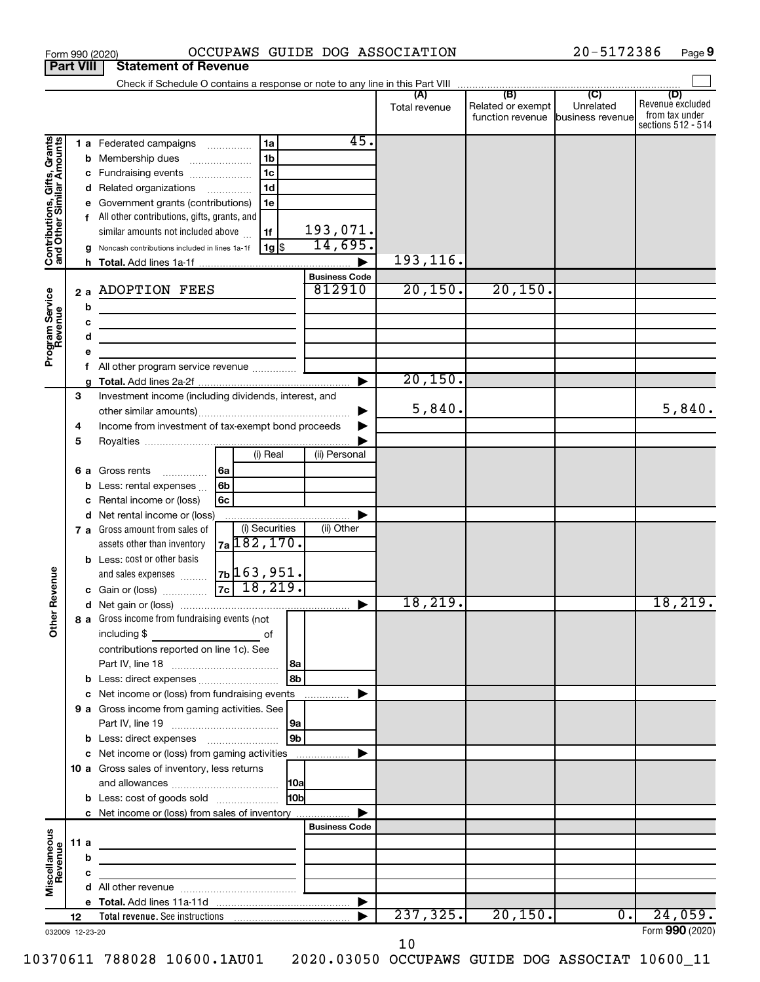|                                                           |      |    | OCCUPAWS GUIDE DOG ASSOCIATION<br>Form 990 (2020)                                                                      |                                |               |                                                        | 20-5172386       | Page 9                                                          |
|-----------------------------------------------------------|------|----|------------------------------------------------------------------------------------------------------------------------|--------------------------------|---------------|--------------------------------------------------------|------------------|-----------------------------------------------------------------|
| <b>Part VIII</b>                                          |      |    | <b>Statement of Revenue</b>                                                                                            |                                |               |                                                        |                  |                                                                 |
|                                                           |      |    |                                                                                                                        |                                |               |                                                        |                  |                                                                 |
|                                                           |      |    |                                                                                                                        |                                | Total revenue | Related or exempt<br>function revenue business revenue | Unrelated        | (D)<br>Revenue excluded<br>from tax under<br>sections 512 - 514 |
|                                                           |      |    | 1a<br>1 a Federated campaigns                                                                                          | 45.                            |               |                                                        |                  |                                                                 |
| Contributions, Gifts, Grants<br>and Other Similar Amounts |      | b  | 1 <sub>b</sub><br>Membership dues                                                                                      |                                |               |                                                        |                  |                                                                 |
|                                                           |      |    | 1 <sub>c</sub><br>c Fundraising events                                                                                 |                                |               |                                                        |                  |                                                                 |
|                                                           |      | d  | 1 <sub>d</sub><br>Related organizations <i>mimimimin</i>                                                               |                                |               |                                                        |                  |                                                                 |
|                                                           |      |    | Government grants (contributions)<br>1e                                                                                |                                |               |                                                        |                  |                                                                 |
|                                                           |      | f  | All other contributions, gifts, grants, and                                                                            |                                |               |                                                        |                  |                                                                 |
|                                                           |      |    | similar amounts not included above<br>1f                                                                               | 193,071.                       |               |                                                        |                  |                                                                 |
|                                                           |      |    | 1g   \$<br>Noncash contributions included in lines 1a-1f                                                               | 14,695.                        |               |                                                        |                  |                                                                 |
|                                                           |      |    |                                                                                                                        |                                | 193,116.      |                                                        |                  |                                                                 |
|                                                           |      |    |                                                                                                                        | <b>Business Code</b><br>812910 | 20,150.       |                                                        |                  |                                                                 |
| Program Service<br>Revenue                                |      | 2a | <b>ADOPTION FEES</b>                                                                                                   |                                |               | 20, 150.                                               |                  |                                                                 |
|                                                           |      | b  | the control of the control of the control of the control of                                                            |                                |               |                                                        |                  |                                                                 |
|                                                           |      | c  | <u> 1989 - Johann Barbara, martin amerikan basar da</u>                                                                |                                |               |                                                        |                  |                                                                 |
|                                                           |      | d  | the control of the control of the control of the control of the control of                                             |                                |               |                                                        |                  |                                                                 |
|                                                           |      | f  |                                                                                                                        |                                |               |                                                        |                  |                                                                 |
|                                                           |      |    |                                                                                                                        |                                | 20, 150.      |                                                        |                  |                                                                 |
|                                                           | 3    |    | Investment income (including dividends, interest, and                                                                  |                                |               |                                                        |                  |                                                                 |
|                                                           |      |    |                                                                                                                        |                                | 5,840.        |                                                        |                  | 5,840.                                                          |
|                                                           | 4    |    | Income from investment of tax-exempt bond proceeds                                                                     |                                |               |                                                        |                  |                                                                 |
|                                                           | 5    |    |                                                                                                                        |                                |               |                                                        |                  |                                                                 |
|                                                           |      |    | (i) Real                                                                                                               | (ii) Personal                  |               |                                                        |                  |                                                                 |
|                                                           |      | 6а | Gross rents<br>l 6a<br>.                                                                                               |                                |               |                                                        |                  |                                                                 |
|                                                           |      | b  | 6 <sub>b</sub><br>Less: rental expenses                                                                                |                                |               |                                                        |                  |                                                                 |
|                                                           |      |    | Rental income or (loss)<br>6c                                                                                          |                                |               |                                                        |                  |                                                                 |
|                                                           |      | d  | Net rental income or (loss)                                                                                            |                                |               |                                                        |                  |                                                                 |
|                                                           |      |    | (i) Securities<br>7 a Gross amount from sales of<br><sub>7a</sub> 182, 170.                                            | (ii) Other                     |               |                                                        |                  |                                                                 |
|                                                           |      |    | assets other than inventory                                                                                            |                                |               |                                                        |                  |                                                                 |
|                                                           |      |    | <b>b</b> Less: cost or other basis<br> 7b 163,951.<br>and sales expenses                                               |                                |               |                                                        |                  |                                                                 |
| evenue                                                    |      |    | $7c$ 18, 219.<br>c Gain or (loss)                                                                                      |                                |               |                                                        |                  |                                                                 |
|                                                           |      |    |                                                                                                                        |                                | 18,219.       |                                                        |                  | 18,219.                                                         |
| Œ                                                         |      |    | 8 a Gross income from fundraising events (not                                                                          |                                |               |                                                        |                  |                                                                 |
| Other                                                     |      |    | including \$<br><u> 1989 - Johann Stone, fransk politiker (</u><br>of                                                  |                                |               |                                                        |                  |                                                                 |
|                                                           |      |    | contributions reported on line 1c). See                                                                                |                                |               |                                                        |                  |                                                                 |
|                                                           |      |    |                                                                                                                        |                                |               |                                                        |                  |                                                                 |
|                                                           |      |    | 8b<br><b>b</b> Less: direct expenses                                                                                   |                                |               |                                                        |                  |                                                                 |
|                                                           |      |    | c Net income or (loss) from fundraising events                                                                         |                                |               |                                                        |                  |                                                                 |
|                                                           |      |    | 9 a Gross income from gaming activities. See                                                                           |                                |               |                                                        |                  |                                                                 |
|                                                           |      |    |                                                                                                                        |                                |               |                                                        |                  |                                                                 |
|                                                           |      |    | 9b                                                                                                                     |                                |               |                                                        |                  |                                                                 |
|                                                           |      |    | c Net income or (loss) from gaming activities                                                                          |                                |               |                                                        |                  |                                                                 |
|                                                           |      |    | 10 a Gross sales of inventory, less returns                                                                            |                                |               |                                                        |                  |                                                                 |
|                                                           |      |    |                                                                                                                        |                                |               |                                                        |                  |                                                                 |
|                                                           |      |    | 10 <sub>b</sub><br><b>b</b> Less: cost of goods sold                                                                   |                                |               |                                                        |                  |                                                                 |
|                                                           |      |    | c Net income or (loss) from sales of inventory                                                                         | <b>Business Code</b>           |               |                                                        |                  |                                                                 |
| Miscellaneous                                             | 11 a |    |                                                                                                                        |                                |               |                                                        |                  |                                                                 |
| Revenue                                                   |      | b  | <u> 1980 - Johann Stein, marwolaethau a bhann an t-Albann an t-Albann an t-Albann an t-Albann an t-Albann an t-Alb</u> |                                |               |                                                        |                  |                                                                 |
|                                                           |      | с  | the control of the control of the control of the control of                                                            |                                |               |                                                        |                  |                                                                 |
|                                                           |      |    |                                                                                                                        |                                |               |                                                        |                  |                                                                 |
|                                                           |      |    |                                                                                                                        |                                |               |                                                        |                  |                                                                 |
|                                                           | 12   |    | Total revenue. See instructions [1001] [1001] Total revenue. See instructions                                          |                                | 237, 325.     | 20, 150.                                               | $\overline{0}$ . | 24,059.                                                         |
| 032009 12-23-20                                           |      |    |                                                                                                                        |                                |               |                                                        |                  | Form 990 (2020)                                                 |

**9**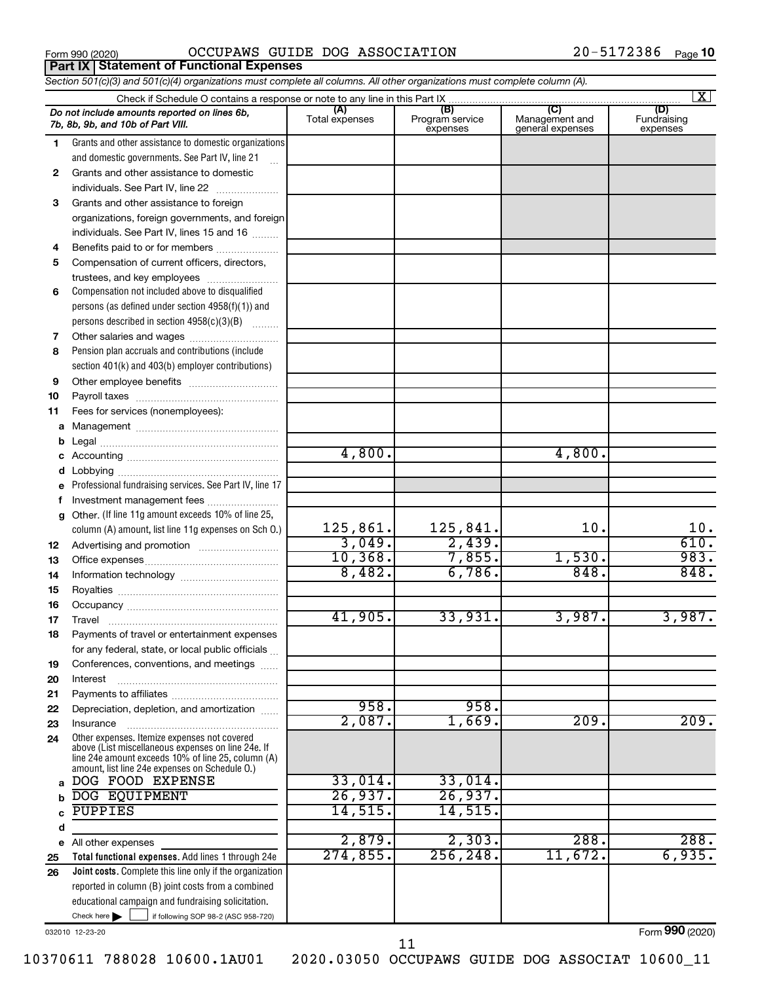**Part IX Statement of Functional Expenses**

Form 990 (2020)  $OCCUPANS$   $GUIDE$   $DOG$   $ASSOCIATION$   $20-5172386$   $Page$ 

|          | Section 501(c)(3) and 501(c)(4) organizations must complete all columns. All other organizations must complete column (A). |                |                                    |                                    |                                |
|----------|----------------------------------------------------------------------------------------------------------------------------|----------------|------------------------------------|------------------------------------|--------------------------------|
|          |                                                                                                                            |                |                                    |                                    | $\mathbf{X}$                   |
|          | Do not include amounts reported on lines 6b,<br>7b, 8b, 9b, and 10b of Part VIII.                                          | Total expenses | (B)<br>Program service<br>expenses | Management and<br>general expenses | (D)<br>Fundraising<br>expenses |
| 1        | Grants and other assistance to domestic organizations                                                                      |                |                                    |                                    |                                |
|          | and domestic governments. See Part IV, line 21                                                                             |                |                                    |                                    |                                |
| 2        | Grants and other assistance to domestic                                                                                    |                |                                    |                                    |                                |
|          | individuals. See Part IV, line 22                                                                                          |                |                                    |                                    |                                |
| 3        | Grants and other assistance to foreign                                                                                     |                |                                    |                                    |                                |
|          | organizations, foreign governments, and foreign                                                                            |                |                                    |                                    |                                |
|          | individuals. See Part IV, lines 15 and 16                                                                                  |                |                                    |                                    |                                |
| 4        | Benefits paid to or for members                                                                                            |                |                                    |                                    |                                |
| 5        | Compensation of current officers, directors,                                                                               |                |                                    |                                    |                                |
|          | trustees, and key employees                                                                                                |                |                                    |                                    |                                |
| 6        | Compensation not included above to disqualified                                                                            |                |                                    |                                    |                                |
|          | persons (as defined under section 4958(f)(1)) and                                                                          |                |                                    |                                    |                                |
|          | persons described in section 4958(c)(3)(B)                                                                                 |                |                                    |                                    |                                |
| 7        | Other salaries and wages                                                                                                   |                |                                    |                                    |                                |
| 8        | Pension plan accruals and contributions (include                                                                           |                |                                    |                                    |                                |
|          | section 401(k) and 403(b) employer contributions)                                                                          |                |                                    |                                    |                                |
| 9        |                                                                                                                            |                |                                    |                                    |                                |
| 10       |                                                                                                                            |                |                                    |                                    |                                |
| 11       | Fees for services (nonemployees):                                                                                          |                |                                    |                                    |                                |
|          |                                                                                                                            |                |                                    |                                    |                                |
|          |                                                                                                                            |                |                                    |                                    |                                |
|          |                                                                                                                            | 4,800.         |                                    | 4,800.                             |                                |
|          |                                                                                                                            |                |                                    |                                    |                                |
|          | Professional fundraising services. See Part IV, line 17                                                                    |                |                                    |                                    |                                |
|          | Investment management fees                                                                                                 |                |                                    |                                    |                                |
| g        | Other. (If line 11g amount exceeds 10% of line 25,                                                                         |                |                                    |                                    |                                |
|          | column (A) amount, list line 11g expenses on Sch O.)                                                                       | 125,861.       | 125,841.                           | 10.                                | 10.                            |
| 12       |                                                                                                                            | 3,049.         | 2,439.                             |                                    | 610.                           |
| 13       |                                                                                                                            | 10, 368.       | 7,855.<br>6,786.                   | 1,530.<br>848.                     | 983.<br>848.                   |
| 14       |                                                                                                                            | 8,482.         |                                    |                                    |                                |
| 15       |                                                                                                                            |                |                                    |                                    |                                |
| 16       |                                                                                                                            | 41,905.        | 33,931.                            | 3,987.                             | 3,987.                         |
| 17       |                                                                                                                            |                |                                    |                                    |                                |
| 18       | Payments of travel or entertainment expenses                                                                               |                |                                    |                                    |                                |
|          | for any federal, state, or local public officials                                                                          |                |                                    |                                    |                                |
| 19       | Conferences, conventions, and meetings                                                                                     |                |                                    |                                    |                                |
| 20       | Interest                                                                                                                   |                |                                    |                                    |                                |
| 21<br>22 | Depreciation, depletion, and amortization                                                                                  | 958.           | 958.                               |                                    |                                |
| 23       | Insurance                                                                                                                  | 2,087.         | 1,669.                             | 209.                               | 209.                           |
| 24       | Other expenses. Itemize expenses not covered                                                                               |                |                                    |                                    |                                |
|          | above (List miscellaneous expenses on line 24e. If                                                                         |                |                                    |                                    |                                |
|          | line 24e amount exceeds 10% of line 25, column (A)<br>amount, list line 24e expenses on Schedule O.)                       |                |                                    |                                    |                                |
| a        | DOG FOOD EXPENSE                                                                                                           | 33,014.        | 33,014.                            |                                    |                                |
|          | DOG EQUIPMENT                                                                                                              | 26,937.        | 26,937.                            |                                    |                                |
|          | PUPPIES                                                                                                                    | 14,515.        | 14,515.                            |                                    |                                |
| d        |                                                                                                                            |                |                                    |                                    |                                |
|          | e All other expenses                                                                                                       | 2,879.         | 2,303.                             | 288.                               | 288.                           |
| 25       | Total functional expenses. Add lines 1 through 24e                                                                         | 274,855.       | 256, 248.                          | 11,672.                            | 6,935.                         |
| 26       | Joint costs. Complete this line only if the organization                                                                   |                |                                    |                                    |                                |
|          | reported in column (B) joint costs from a combined                                                                         |                |                                    |                                    |                                |
|          | educational campaign and fundraising solicitation.                                                                         |                |                                    |                                    |                                |
|          | Check here $\blacktriangleright$<br>if following SOP 98-2 (ASC 958-720)                                                    |                |                                    |                                    |                                |

032010 12-23-20

Form (2020) **990**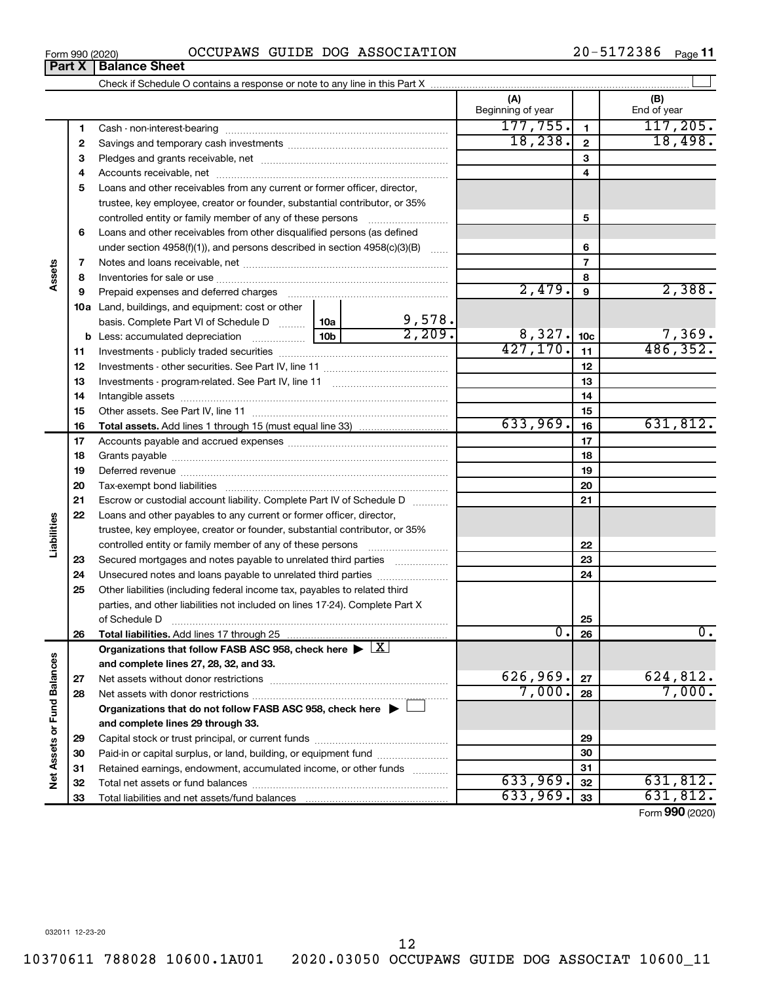### Form 990 (2020)  $OCCUPANS$   $GUIDE$   $DOG$   $ASSOCIATION$   $20-5172386$   $Page$

**Part X Balance Sheet**

20-5172386 Page 11

|                             |              |                                                                                                        |           |                  | (A)<br>Beginning of year |                | (B)<br>End of year          |
|-----------------------------|--------------|--------------------------------------------------------------------------------------------------------|-----------|------------------|--------------------------|----------------|-----------------------------|
|                             | 1            |                                                                                                        |           |                  | 177,755.                 | $\mathbf{1}$   | 117, 205.                   |
|                             | $\mathbf{2}$ |                                                                                                        |           |                  | 18, 238.                 | $\mathbf{2}$   | 18,498.                     |
|                             | З            |                                                                                                        |           |                  |                          | 3              |                             |
|                             | 4            |                                                                                                        |           |                  |                          | 4              |                             |
|                             | 5            | Loans and other receivables from any current or former officer, director,                              |           |                  |                          |                |                             |
|                             |              | trustee, key employee, creator or founder, substantial contributor, or 35%                             |           |                  |                          |                |                             |
|                             |              | controlled entity or family member of any of these persons                                             |           |                  |                          | 5              |                             |
|                             | 6            | Loans and other receivables from other disqualified persons (as defined                                |           |                  |                          |                |                             |
|                             |              | under section $4958(f)(1)$ , and persons described in section $4958(c)(3)(B)$                          |           | <b>Section</b>   |                          | 6              |                             |
|                             | 7            |                                                                                                        |           |                  |                          | $\overline{7}$ |                             |
| Assets                      | 8            |                                                                                                        |           |                  |                          | 8              |                             |
|                             | 9            | Prepaid expenses and deferred charges                                                                  |           |                  | 2,479.                   | 9              | 2,388.                      |
|                             |              | <b>10a</b> Land, buildings, and equipment: cost or other                                               |           |                  |                          |                |                             |
|                             |              | basis. Complete Part VI of Schedule D $\ldots$   10a                                                   |           | 9,578.<br>2,209. |                          |                |                             |
|                             |              |                                                                                                        | 8,327.    | 10 <sub>c</sub>  | 7,369.                   |                |                             |
|                             | 11           |                                                                                                        | 427, 170. | 11               | 486, 352.                |                |                             |
|                             | 12           |                                                                                                        |           | 12               |                          |                |                             |
|                             | 13           |                                                                                                        |           | 13               |                          |                |                             |
|                             | 14           |                                                                                                        |           | 14               |                          |                |                             |
|                             | 15           |                                                                                                        |           | 15               |                          |                |                             |
|                             | 16           |                                                                                                        |           |                  | 633,969.                 | 16             | 631,812.                    |
|                             | 17           |                                                                                                        |           |                  |                          | 17             |                             |
|                             | 18           |                                                                                                        |           |                  | 18                       |                |                             |
|                             | 19           |                                                                                                        |           | 19               |                          |                |                             |
|                             | 20           |                                                                                                        |           |                  |                          | 20             |                             |
|                             | 21           | Escrow or custodial account liability. Complete Part IV of Schedule D                                  |           |                  |                          | 21             |                             |
| Liabilities                 | 22           | Loans and other payables to any current or former officer, director,                                   |           |                  |                          |                |                             |
|                             |              | trustee, key employee, creator or founder, substantial contributor, or 35%                             |           |                  |                          | 22             |                             |
|                             | 23           | Secured mortgages and notes payable to unrelated third parties <i>manumum</i>                          |           |                  |                          | 23             |                             |
|                             | 24           | Unsecured notes and loans payable to unrelated third parties                                           |           |                  |                          | 24             |                             |
|                             | 25           | Other liabilities (including federal income tax, payables to related third                             |           |                  |                          |                |                             |
|                             |              | parties, and other liabilities not included on lines 17-24). Complete Part X                           |           |                  |                          |                |                             |
|                             |              |                                                                                                        |           |                  |                          | 25             |                             |
|                             | 26           |                                                                                                        |           |                  | $\overline{0}$ .         | 26             | 0.                          |
|                             |              | Organizations that follow FASB ASC 958, check here $\blacktriangleright \lfloor \underline{X} \rfloor$ |           |                  |                          |                |                             |
|                             |              | and complete lines 27, 28, 32, and 33.                                                                 |           |                  |                          |                |                             |
|                             | 27           |                                                                                                        |           |                  | 626,969.                 | 27             | 624,812.                    |
|                             | 28           |                                                                                                        |           |                  | 7,000.                   | 28             | 7,000.                      |
|                             |              | Organizations that do not follow FASB ASC 958, check here $\blacktriangleright$                        |           |                  |                          |                |                             |
|                             |              | and complete lines 29 through 33.                                                                      |           |                  |                          |                |                             |
|                             | 29           |                                                                                                        |           |                  |                          | 29             |                             |
|                             | 30           | Paid-in or capital surplus, or land, building, or equipment fund                                       |           |                  |                          | 30             |                             |
| Net Assets or Fund Balances | 31           | Retained earnings, endowment, accumulated income, or other funds                                       |           |                  |                          | 31             |                             |
|                             | 32           |                                                                                                        |           |                  | 633,969.                 | 32             | 631,812.                    |
|                             | 33           |                                                                                                        |           |                  | 633,969.                 | 33             | 631,812.                    |
|                             |              |                                                                                                        |           |                  |                          |                | $E_{\text{max}}$ 000 (0000) |

Form (2020) **990**

12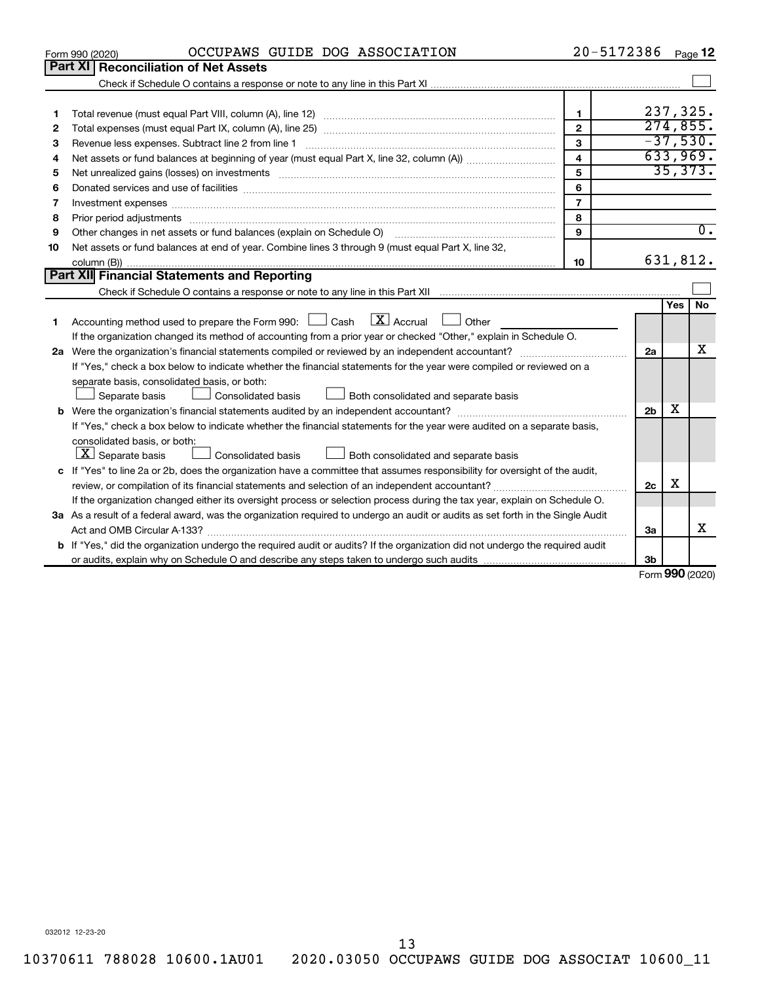|    | OCCUPAWS GUIDE DOG ASSOCIATION<br>Form 990 (2020)                                                                                    | 20-5172386              |                |     | Page 12                     |
|----|--------------------------------------------------------------------------------------------------------------------------------------|-------------------------|----------------|-----|-----------------------------|
|    | Part XI Reconciliation of Net Assets                                                                                                 |                         |                |     |                             |
|    |                                                                                                                                      |                         |                |     |                             |
|    |                                                                                                                                      |                         |                |     |                             |
| 1  |                                                                                                                                      | $\mathbf{1}$            |                |     | 237,325.                    |
| 2  |                                                                                                                                      | $\overline{2}$          |                |     | 274,855.                    |
| 3  |                                                                                                                                      | 3                       |                |     | $-37,530.$                  |
| 4  |                                                                                                                                      | $\overline{\mathbf{4}}$ |                |     | 633,969.                    |
| 5  |                                                                                                                                      | 5                       |                |     | 35,373.                     |
| 6  |                                                                                                                                      | 6                       |                |     |                             |
| 7  |                                                                                                                                      | $\overline{7}$          |                |     |                             |
| 8  |                                                                                                                                      | 8                       |                |     |                             |
| 9  | Other changes in net assets or fund balances (explain on Schedule O) manual content content of the content of                        | $\mathbf{9}$            |                |     | $\overline{0}$ .            |
| 10 | Net assets or fund balances at end of year. Combine lines 3 through 9 (must equal Part X, line 32,                                   |                         |                |     |                             |
|    |                                                                                                                                      | 10                      |                |     | 631,812.                    |
|    | Part XII Financial Statements and Reporting                                                                                          |                         |                |     |                             |
|    |                                                                                                                                      |                         |                |     |                             |
|    |                                                                                                                                      |                         |                | Yes | <b>No</b>                   |
| 1  | $\mathbf{X}$ Accrual<br>Accounting method used to prepare the Form 990: $\Box$ Cash<br>$\Box$ Other                                  |                         |                |     |                             |
|    | If the organization changed its method of accounting from a prior year or checked "Other," explain in Schedule O.                    |                         |                |     |                             |
|    |                                                                                                                                      |                         | 2a             |     | x                           |
|    | If "Yes," check a box below to indicate whether the financial statements for the year were compiled or reviewed on a                 |                         |                |     |                             |
|    | separate basis, consolidated basis, or both:                                                                                         |                         |                |     |                             |
|    | Separate basis<br>Consolidated basis<br>Both consolidated and separate basis                                                         |                         |                |     |                             |
|    |                                                                                                                                      |                         | 2 <sub>b</sub> | x   |                             |
|    | If "Yes," check a box below to indicate whether the financial statements for the year were audited on a separate basis,              |                         |                |     |                             |
|    | consolidated basis, or both:                                                                                                         |                         |                |     |                             |
|    | $\boxed{\mathbf{X}}$ Separate basis<br>Both consolidated and separate basis<br>Consolidated basis                                    |                         |                |     |                             |
|    | c If "Yes" to line 2a or 2b, does the organization have a committee that assumes responsibility for oversight of the audit,          |                         |                |     |                             |
|    | review, or compilation of its financial statements and selection of an independent accountant?                                       |                         | 2c             | X   |                             |
|    | If the organization changed either its oversight process or selection process during the tax year, explain on Schedule O.            |                         |                |     |                             |
|    | 3a As a result of a federal award, was the organization required to undergo an audit or audits as set forth in the Single Audit      |                         |                |     |                             |
|    |                                                                                                                                      |                         | 3a             |     | x                           |
|    | <b>b</b> If "Yes," did the organization undergo the required audit or audits? If the organization did not undergo the required audit |                         |                |     |                             |
|    |                                                                                                                                      |                         | 3 <sub>b</sub> |     |                             |
|    |                                                                                                                                      |                         |                |     | $F_{\text{orm}}$ 990 (2020) |

Form (2020) **990**

032012 12-23-20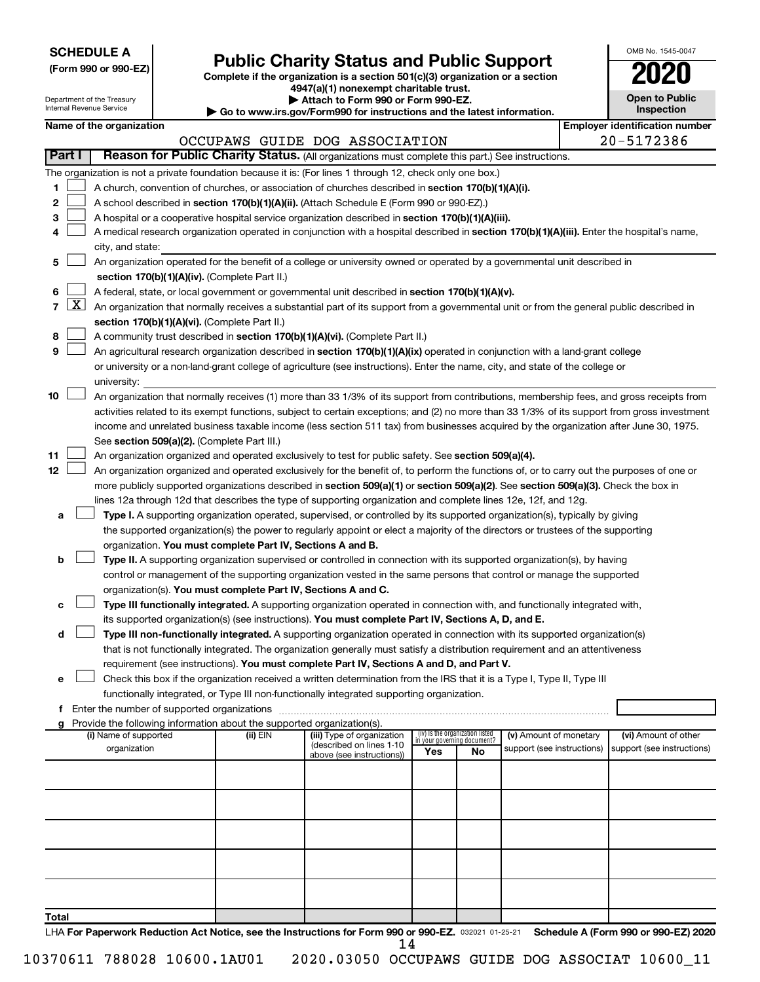| <b>SCHEDULE A</b> |  |
|-------------------|--|
|-------------------|--|

Department of the Treasury

| (Form 990 or 990-EZ) |  |  |  |
|----------------------|--|--|--|
|----------------------|--|--|--|

# Form 990 or 990-EZ) **Public Charity Status and Public Support**<br>
Complete if the organization is a section 501(c)(3) organization or a section<br> **2020**

**4947(a)(1) nonexempt charitable trust.**

**| Attach to Form 990 or Form 990-EZ.** 

| OMB No. 1545-0047                   |
|-------------------------------------|
| 2020                                |
| <b>Open to Public</b><br>Inspection |
|                                     |

|                   |                     | Internal Revenue Service                                                                                                                                                                   |  |                                                                        | Go to www.irs.gov/Form990 for instructions and the latest information.                                                                       |                                                                |     |                            |  | Inspection                                          |
|-------------------|---------------------|--------------------------------------------------------------------------------------------------------------------------------------------------------------------------------------------|--|------------------------------------------------------------------------|----------------------------------------------------------------------------------------------------------------------------------------------|----------------------------------------------------------------|-----|----------------------------|--|-----------------------------------------------------|
|                   |                     | Name of the organization                                                                                                                                                                   |  |                                                                        | OCCUPAWS GUIDE DOG ASSOCIATION                                                                                                               |                                                                |     |                            |  | <b>Employer identification number</b><br>20-5172386 |
|                   | Part I              |                                                                                                                                                                                            |  |                                                                        | Reason for Public Charity Status. (All organizations must complete this part.) See instructions.                                             |                                                                |     |                            |  |                                                     |
|                   |                     |                                                                                                                                                                                            |  |                                                                        |                                                                                                                                              |                                                                |     |                            |  |                                                     |
|                   |                     |                                                                                                                                                                                            |  |                                                                        | The organization is not a private foundation because it is: (For lines 1 through 12, check only one box.)                                    |                                                                |     |                            |  |                                                     |
| 1                 |                     |                                                                                                                                                                                            |  |                                                                        | A church, convention of churches, or association of churches described in section 170(b)(1)(A)(i).                                           |                                                                |     |                            |  |                                                     |
| 2                 |                     |                                                                                                                                                                                            |  |                                                                        | A school described in section 170(b)(1)(A)(ii). (Attach Schedule E (Form 990 or 990-EZ).)                                                    |                                                                |     |                            |  |                                                     |
| з                 |                     |                                                                                                                                                                                            |  |                                                                        | A hospital or a cooperative hospital service organization described in section 170(b)(1)(A)(iii).                                            |                                                                |     |                            |  |                                                     |
|                   |                     |                                                                                                                                                                                            |  |                                                                        | A medical research organization operated in conjunction with a hospital described in section 170(b)(1)(A)(iii). Enter the hospital's name,   |                                                                |     |                            |  |                                                     |
|                   |                     | city, and state:                                                                                                                                                                           |  |                                                                        | An organization operated for the benefit of a college or university owned or operated by a governmental unit described in                    |                                                                |     |                            |  |                                                     |
| 5                 |                     |                                                                                                                                                                                            |  |                                                                        |                                                                                                                                              |                                                                |     |                            |  |                                                     |
|                   |                     |                                                                                                                                                                                            |  | section 170(b)(1)(A)(iv). (Complete Part II.)                          |                                                                                                                                              |                                                                |     |                            |  |                                                     |
| 6<br>$\mathbf{7}$ | $\lfloor x \rfloor$ |                                                                                                                                                                                            |  |                                                                        | A federal, state, or local government or governmental unit described in section 170(b)(1)(A)(v).                                             |                                                                |     |                            |  |                                                     |
|                   |                     | An organization that normally receives a substantial part of its support from a governmental unit or from the general public described in<br>section 170(b)(1)(A)(vi). (Complete Part II.) |  |                                                                        |                                                                                                                                              |                                                                |     |                            |  |                                                     |
|                   |                     |                                                                                                                                                                                            |  |                                                                        |                                                                                                                                              |                                                                |     |                            |  |                                                     |
| 8                 |                     |                                                                                                                                                                                            |  |                                                                        | A community trust described in section 170(b)(1)(A)(vi). (Complete Part II.)                                                                 |                                                                |     |                            |  |                                                     |
| 9                 |                     |                                                                                                                                                                                            |  |                                                                        | An agricultural research organization described in section 170(b)(1)(A)(ix) operated in conjunction with a land-grant college                |                                                                |     |                            |  |                                                     |
|                   |                     |                                                                                                                                                                                            |  |                                                                        | or university or a non-land-grant college of agriculture (see instructions). Enter the name, city, and state of the college or               |                                                                |     |                            |  |                                                     |
| 10                |                     | university:                                                                                                                                                                                |  |                                                                        | An organization that normally receives (1) more than 33 1/3% of its support from contributions, membership fees, and gross receipts from     |                                                                |     |                            |  |                                                     |
|                   |                     |                                                                                                                                                                                            |  |                                                                        | activities related to its exempt functions, subject to certain exceptions; and (2) no more than 33 1/3% of its support from gross investment |                                                                |     |                            |  |                                                     |
|                   |                     |                                                                                                                                                                                            |  |                                                                        | income and unrelated business taxable income (less section 511 tax) from businesses acquired by the organization after June 30, 1975.        |                                                                |     |                            |  |                                                     |
|                   |                     |                                                                                                                                                                                            |  | See section 509(a)(2). (Complete Part III.)                            |                                                                                                                                              |                                                                |     |                            |  |                                                     |
| 11                |                     |                                                                                                                                                                                            |  |                                                                        | An organization organized and operated exclusively to test for public safety. See section 509(a)(4).                                         |                                                                |     |                            |  |                                                     |
| 12                |                     |                                                                                                                                                                                            |  |                                                                        | An organization organized and operated exclusively for the benefit of, to perform the functions of, or to carry out the purposes of one or   |                                                                |     |                            |  |                                                     |
|                   |                     |                                                                                                                                                                                            |  |                                                                        | more publicly supported organizations described in section 509(a)(1) or section 509(a)(2). See section 509(a)(3). Check the box in           |                                                                |     |                            |  |                                                     |
|                   |                     |                                                                                                                                                                                            |  |                                                                        | lines 12a through 12d that describes the type of supporting organization and complete lines 12e, 12f, and 12g.                               |                                                                |     |                            |  |                                                     |
| а                 |                     |                                                                                                                                                                                            |  |                                                                        | Type I. A supporting organization operated, supervised, or controlled by its supported organization(s), typically by giving                  |                                                                |     |                            |  |                                                     |
|                   |                     |                                                                                                                                                                                            |  |                                                                        | the supported organization(s) the power to regularly appoint or elect a majority of the directors or trustees of the supporting              |                                                                |     |                            |  |                                                     |
|                   |                     |                                                                                                                                                                                            |  | organization. You must complete Part IV, Sections A and B.             |                                                                                                                                              |                                                                |     |                            |  |                                                     |
| b                 |                     |                                                                                                                                                                                            |  |                                                                        | Type II. A supporting organization supervised or controlled in connection with its supported organization(s), by having                      |                                                                |     |                            |  |                                                     |
|                   |                     |                                                                                                                                                                                            |  |                                                                        | control or management of the supporting organization vested in the same persons that control or manage the supported                         |                                                                |     |                            |  |                                                     |
|                   |                     |                                                                                                                                                                                            |  | organization(s). You must complete Part IV, Sections A and C.          |                                                                                                                                              |                                                                |     |                            |  |                                                     |
| с                 |                     |                                                                                                                                                                                            |  |                                                                        | Type III functionally integrated. A supporting organization operated in connection with, and functionally integrated with,                   |                                                                |     |                            |  |                                                     |
|                   |                     |                                                                                                                                                                                            |  |                                                                        | its supported organization(s) (see instructions). You must complete Part IV, Sections A, D, and E.                                           |                                                                |     |                            |  |                                                     |
| d                 |                     |                                                                                                                                                                                            |  |                                                                        | Type III non-functionally integrated. A supporting organization operated in connection with its supported organization(s)                    |                                                                |     |                            |  |                                                     |
|                   |                     |                                                                                                                                                                                            |  |                                                                        | that is not functionally integrated. The organization generally must satisfy a distribution requirement and an attentiveness                 |                                                                |     |                            |  |                                                     |
|                   |                     |                                                                                                                                                                                            |  |                                                                        | requirement (see instructions). You must complete Part IV, Sections A and D, and Part V.                                                     |                                                                |     |                            |  |                                                     |
| е                 |                     |                                                                                                                                                                                            |  |                                                                        | Check this box if the organization received a written determination from the IRS that it is a Type I, Type II, Type III                      |                                                                |     |                            |  |                                                     |
|                   |                     |                                                                                                                                                                                            |  |                                                                        | functionally integrated, or Type III non-functionally integrated supporting organization.                                                    |                                                                |     |                            |  |                                                     |
|                   |                     | Enter the number of supported organizations                                                                                                                                                |  |                                                                        |                                                                                                                                              |                                                                |     |                            |  |                                                     |
|                   |                     |                                                                                                                                                                                            |  | Provide the following information about the supported organization(s). |                                                                                                                                              |                                                                |     |                            |  |                                                     |
|                   |                     | (i) Name of supported                                                                                                                                                                      |  | $(ii)$ $EIN$                                                           | (iii) Type of organization<br>(described on lines 1-10                                                                                       | (iv) Is the organization listed<br>in your governing document? |     | (v) Amount of monetary     |  | (vi) Amount of other                                |
|                   |                     | organization                                                                                                                                                                               |  |                                                                        | above (see instructions))                                                                                                                    | Yes                                                            | No. | support (see instructions) |  | support (see instructions)                          |
|                   |                     |                                                                                                                                                                                            |  |                                                                        |                                                                                                                                              |                                                                |     |                            |  |                                                     |
|                   |                     |                                                                                                                                                                                            |  |                                                                        |                                                                                                                                              |                                                                |     |                            |  |                                                     |
|                   |                     |                                                                                                                                                                                            |  |                                                                        |                                                                                                                                              |                                                                |     |                            |  |                                                     |
|                   |                     |                                                                                                                                                                                            |  |                                                                        |                                                                                                                                              |                                                                |     |                            |  |                                                     |
|                   |                     |                                                                                                                                                                                            |  |                                                                        |                                                                                                                                              |                                                                |     |                            |  |                                                     |
|                   |                     |                                                                                                                                                                                            |  |                                                                        |                                                                                                                                              |                                                                |     |                            |  |                                                     |
|                   |                     |                                                                                                                                                                                            |  |                                                                        |                                                                                                                                              |                                                                |     |                            |  |                                                     |
|                   |                     |                                                                                                                                                                                            |  |                                                                        |                                                                                                                                              |                                                                |     |                            |  |                                                     |
|                   |                     |                                                                                                                                                                                            |  |                                                                        |                                                                                                                                              |                                                                |     |                            |  |                                                     |
| Total             |                     |                                                                                                                                                                                            |  |                                                                        |                                                                                                                                              |                                                                |     |                            |  |                                                     |

LHA For Paperwork Reduction Act Notice, see the Instructions for Form 990 or 990-EZ. 032021 01-25-21 Schedule A (Form 990 or 990-EZ) 2020 14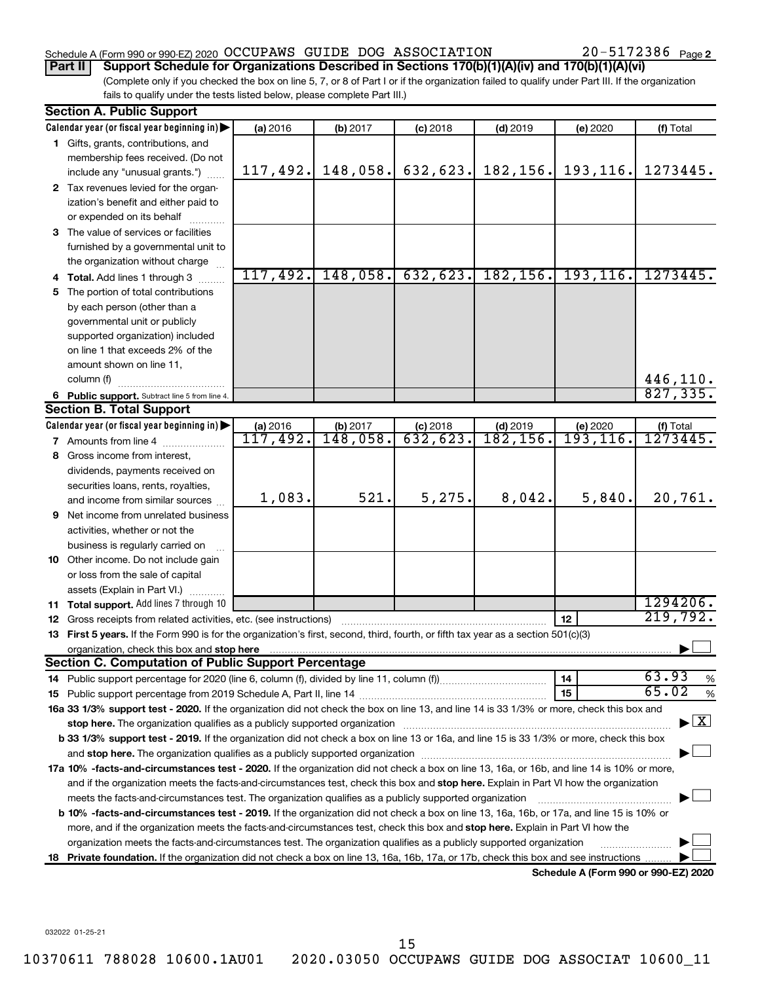### Schedule A (Form 990 or 990-EZ) 2020 Page OCCUPAWS GUIDE DOG ASSOCIATION 20-5172386

20-5172386 Page 2

(Complete only if you checked the box on line 5, 7, or 8 of Part I or if the organization failed to qualify under Part III. If the organization **Part II Support Schedule for Organizations Described in Sections 170(b)(1)(A)(iv) and 170(b)(1)(A)(vi)**

fails to qualify under the tests listed below, please complete Part III.)

|    | <b>Section A. Public Support</b>                                                                                                               |                              |                      |                        |                        |                                      |                                          |
|----|------------------------------------------------------------------------------------------------------------------------------------------------|------------------------------|----------------------|------------------------|------------------------|--------------------------------------|------------------------------------------|
|    | Calendar year (or fiscal year beginning in)                                                                                                    | (a) 2016                     | (b) 2017             | $(c)$ 2018             | $(d)$ 2019             | (e) 2020                             | (f) Total                                |
|    | 1 Gifts, grants, contributions, and                                                                                                            |                              |                      |                        |                        |                                      |                                          |
|    | membership fees received. (Do not                                                                                                              |                              |                      |                        |                        |                                      |                                          |
|    | include any "unusual grants.")                                                                                                                 | 117,492.                     | 148,058.             | 632,623.               | 182,156.               | 193,116.                             | 1273445.                                 |
|    | 2 Tax revenues levied for the organ-                                                                                                           |                              |                      |                        |                        |                                      |                                          |
|    | ization's benefit and either paid to                                                                                                           |                              |                      |                        |                        |                                      |                                          |
|    | or expended on its behalf                                                                                                                      |                              |                      |                        |                        |                                      |                                          |
|    | 3 The value of services or facilities                                                                                                          |                              |                      |                        |                        |                                      |                                          |
|    | furnished by a governmental unit to                                                                                                            |                              |                      |                        |                        |                                      |                                          |
|    | the organization without charge                                                                                                                |                              |                      |                        |                        |                                      |                                          |
|    | 4 Total. Add lines 1 through 3                                                                                                                 | 117,492.                     | 148,058.             | 632,623.               | 182, 156.              | 193, 116.                            | 1273445.                                 |
| 5. | The portion of total contributions                                                                                                             |                              |                      |                        |                        |                                      |                                          |
|    | by each person (other than a                                                                                                                   |                              |                      |                        |                        |                                      |                                          |
|    | governmental unit or publicly                                                                                                                  |                              |                      |                        |                        |                                      |                                          |
|    | supported organization) included                                                                                                               |                              |                      |                        |                        |                                      |                                          |
|    | on line 1 that exceeds 2% of the                                                                                                               |                              |                      |                        |                        |                                      |                                          |
|    | amount shown on line 11,                                                                                                                       |                              |                      |                        |                        |                                      |                                          |
|    | column (f)                                                                                                                                     |                              |                      |                        |                        |                                      | 446,110.                                 |
|    | 6 Public support. Subtract line 5 from line 4.                                                                                                 |                              |                      |                        |                        |                                      | 827, 335.                                |
|    | <b>Section B. Total Support</b>                                                                                                                |                              |                      |                        |                        |                                      |                                          |
|    | Calendar year (or fiscal year beginning in)                                                                                                    | (a) 2016<br>117,492 <b>.</b> | (b) 2017<br>148,058. | $(c)$ 2018<br>632,623. | $(d)$ 2019<br>182,156. | (e) 2020<br>$\overline{193,116}$ .   | (f) Total<br>1273445.                    |
|    | <b>7</b> Amounts from line 4                                                                                                                   |                              |                      |                        |                        |                                      |                                          |
| 8  | Gross income from interest,                                                                                                                    |                              |                      |                        |                        |                                      |                                          |
|    | dividends, payments received on                                                                                                                |                              |                      |                        |                        |                                      |                                          |
|    | securities loans, rents, royalties,                                                                                                            |                              | 521.                 | 5,275.                 | 8,042.                 | 5,840.                               | 20,761.                                  |
|    | and income from similar sources                                                                                                                | 1,083.                       |                      |                        |                        |                                      |                                          |
| 9  | Net income from unrelated business                                                                                                             |                              |                      |                        |                        |                                      |                                          |
|    | activities, whether or not the                                                                                                                 |                              |                      |                        |                        |                                      |                                          |
|    | business is regularly carried on                                                                                                               |                              |                      |                        |                        |                                      |                                          |
|    | 10 Other income. Do not include gain                                                                                                           |                              |                      |                        |                        |                                      |                                          |
|    | or loss from the sale of capital                                                                                                               |                              |                      |                        |                        |                                      |                                          |
|    | assets (Explain in Part VI.)                                                                                                                   |                              |                      |                        |                        |                                      | 1294206.                                 |
|    | <b>11 Total support.</b> Add lines 7 through 10                                                                                                |                              |                      |                        |                        | 12                                   | 219,792.                                 |
|    | <b>12</b> Gross receipts from related activities, etc. (see instructions)                                                                      |                              |                      |                        |                        |                                      |                                          |
|    | 13 First 5 years. If the Form 990 is for the organization's first, second, third, fourth, or fifth tax year as a section 501(c)(3)             |                              |                      |                        |                        |                                      |                                          |
|    | organization, check this box and stop here<br><b>Section C. Computation of Public Support Percentage</b>                                       |                              |                      |                        |                        |                                      |                                          |
|    |                                                                                                                                                |                              |                      |                        |                        | 14                                   | 63.93<br>%                               |
|    |                                                                                                                                                |                              |                      |                        |                        | 15                                   | 65.02<br>%                               |
|    | 16a 33 1/3% support test - 2020. If the organization did not check the box on line 13, and line 14 is 33 1/3% or more, check this box and      |                              |                      |                        |                        |                                      |                                          |
|    |                                                                                                                                                |                              |                      |                        |                        |                                      | $\blacktriangleright$ $\boxed{\text{X}}$ |
|    | b 33 1/3% support test - 2019. If the organization did not check a box on line 13 or 16a, and line 15 is 33 1/3% or more, check this box       |                              |                      |                        |                        |                                      |                                          |
|    |                                                                                                                                                |                              |                      |                        |                        |                                      |                                          |
|    | 17a 10% -facts-and-circumstances test - 2020. If the organization did not check a box on line 13, 16a, or 16b, and line 14 is 10% or more,     |                              |                      |                        |                        |                                      |                                          |
|    | and if the organization meets the facts-and-circumstances test, check this box and stop here. Explain in Part VI how the organization          |                              |                      |                        |                        |                                      |                                          |
|    | meets the facts-and-circumstances test. The organization qualifies as a publicly supported organization                                        |                              |                      |                        |                        |                                      |                                          |
|    | <b>b 10% -facts-and-circumstances test - 2019.</b> If the organization did not check a box on line 13, 16a, 16b, or 17a, and line 15 is 10% or |                              |                      |                        |                        |                                      |                                          |
|    | more, and if the organization meets the facts-and-circumstances test, check this box and stop here. Explain in Part VI how the                 |                              |                      |                        |                        |                                      |                                          |
|    | organization meets the facts-and-circumstances test. The organization qualifies as a publicly supported organization                           |                              |                      |                        |                        |                                      |                                          |
|    | 18 Private foundation. If the organization did not check a box on line 13, 16a, 16b, 17a, or 17b, check this box and see instructions          |                              |                      |                        |                        |                                      |                                          |
|    |                                                                                                                                                |                              |                      |                        |                        | Schedule A (Form 990 or 990-EZ) 2020 |                                          |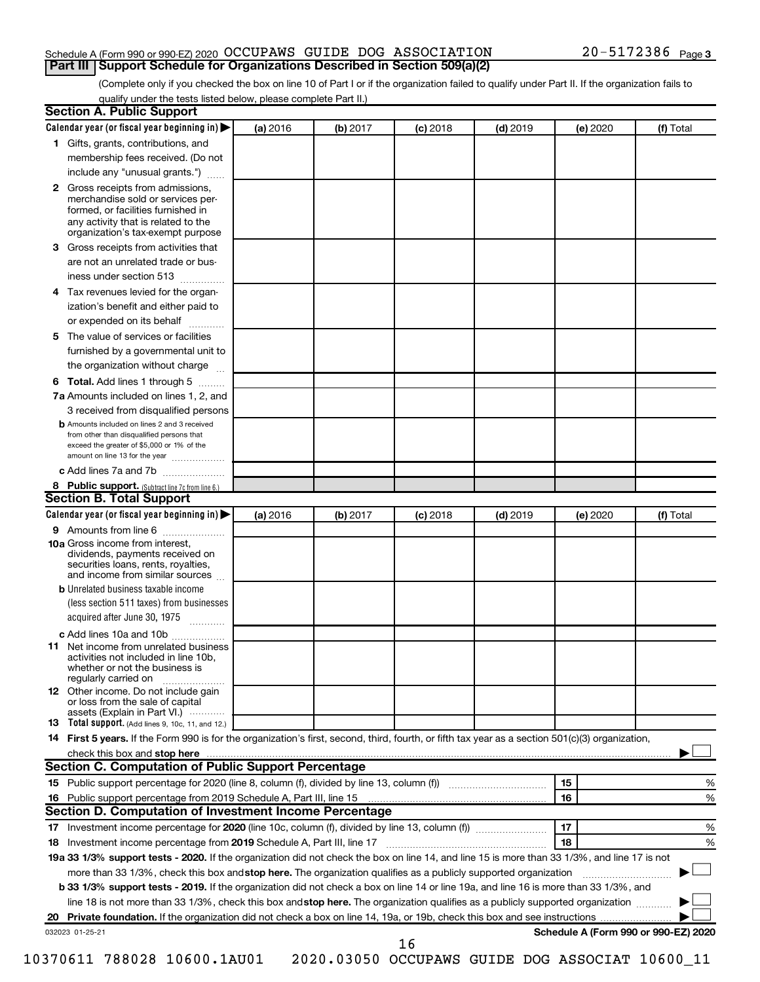### Schedule A (Form 990 or 990-EZ) 2020 Page OCCUPAWS GUIDE DOG ASSOCIATION 20-5172386 **Part III Support Schedule for Organizations Described in Section 509(a)(2)**

(Complete only if you checked the box on line 10 of Part I or if the organization failed to qualify under Part II. If the organization fails to qualify under the tests listed below, please complete Part II.)

| <b>Section A. Public Support</b>                                                                                                                                                                                               |          |          |            |            |          |                                      |
|--------------------------------------------------------------------------------------------------------------------------------------------------------------------------------------------------------------------------------|----------|----------|------------|------------|----------|--------------------------------------|
| Calendar year (or fiscal year beginning in)                                                                                                                                                                                    | (a) 2016 | (b) 2017 | $(c)$ 2018 | $(d)$ 2019 | (e) 2020 | (f) Total                            |
| 1 Gifts, grants, contributions, and                                                                                                                                                                                            |          |          |            |            |          |                                      |
| membership fees received. (Do not                                                                                                                                                                                              |          |          |            |            |          |                                      |
| include any "unusual grants.")                                                                                                                                                                                                 |          |          |            |            |          |                                      |
| 2 Gross receipts from admissions,<br>merchandise sold or services per-<br>formed, or facilities furnished in<br>any activity that is related to the<br>organization's tax-exempt purpose                                       |          |          |            |            |          |                                      |
| 3 Gross receipts from activities that                                                                                                                                                                                          |          |          |            |            |          |                                      |
| are not an unrelated trade or bus-                                                                                                                                                                                             |          |          |            |            |          |                                      |
| iness under section 513                                                                                                                                                                                                        |          |          |            |            |          |                                      |
| 4 Tax revenues levied for the organ-                                                                                                                                                                                           |          |          |            |            |          |                                      |
| ization's benefit and either paid to                                                                                                                                                                                           |          |          |            |            |          |                                      |
| or expended on its behalf                                                                                                                                                                                                      |          |          |            |            |          |                                      |
| 5 The value of services or facilities                                                                                                                                                                                          |          |          |            |            |          |                                      |
| furnished by a governmental unit to                                                                                                                                                                                            |          |          |            |            |          |                                      |
| the organization without charge                                                                                                                                                                                                |          |          |            |            |          |                                      |
| 6 Total. Add lines 1 through 5                                                                                                                                                                                                 |          |          |            |            |          |                                      |
| 7a Amounts included on lines 1, 2, and                                                                                                                                                                                         |          |          |            |            |          |                                      |
| 3 received from disqualified persons                                                                                                                                                                                           |          |          |            |            |          |                                      |
| <b>b</b> Amounts included on lines 2 and 3 received<br>from other than disqualified persons that<br>exceed the greater of \$5,000 or 1% of the<br>amount on line 13 for the year                                               |          |          |            |            |          |                                      |
| c Add lines 7a and 7b                                                                                                                                                                                                          |          |          |            |            |          |                                      |
| 8 Public support. (Subtract line 7c from line 6.)                                                                                                                                                                              |          |          |            |            |          |                                      |
| <b>Section B. Total Support</b>                                                                                                                                                                                                |          |          |            |            |          |                                      |
| Calendar year (or fiscal year beginning in)                                                                                                                                                                                    | (a) 2016 | (b) 2017 | $(c)$ 2018 | $(d)$ 2019 | (e) 2020 | (f) Total                            |
| <b>9</b> Amounts from line 6                                                                                                                                                                                                   |          |          |            |            |          |                                      |
| <b>10a</b> Gross income from interest,<br>dividends, payments received on<br>securities loans, rents, royalties,<br>and income from similar sources                                                                            |          |          |            |            |          |                                      |
| <b>b</b> Unrelated business taxable income                                                                                                                                                                                     |          |          |            |            |          |                                      |
| (less section 511 taxes) from businesses                                                                                                                                                                                       |          |          |            |            |          |                                      |
| acquired after June 30, 1975<br>$\overline{\phantom{a}}$                                                                                                                                                                       |          |          |            |            |          |                                      |
| c Add lines 10a and 10b                                                                                                                                                                                                        |          |          |            |            |          |                                      |
| 11 Net income from unrelated business<br>activities not included in line 10b.<br>whether or not the business is<br>regularly carried on                                                                                        |          |          |            |            |          |                                      |
| <b>12</b> Other income. Do not include gain<br>or loss from the sale of capital<br>assets (Explain in Part VI.)                                                                                                                |          |          |            |            |          |                                      |
| <b>13</b> Total support. (Add lines 9, 10c, 11, and 12.)                                                                                                                                                                       |          |          |            |            |          |                                      |
| 14 First 5 years. If the Form 990 is for the organization's first, second, third, fourth, or fifth tax year as a section 501(c)(3) organization,                                                                               |          |          |            |            |          |                                      |
| check this box and stop here manufactured and stop here and stop here are manufactured and stop here and stop here and stop here and stop here and stop here and stop here and stop here are all the stop of the stop of the s |          |          |            |            |          |                                      |
| <b>Section C. Computation of Public Support Percentage</b>                                                                                                                                                                     |          |          |            |            |          |                                      |
|                                                                                                                                                                                                                                |          |          |            |            | 15       | ℅                                    |
| 16 Public support percentage from 2019 Schedule A, Part III, line 15                                                                                                                                                           |          |          |            |            | 16       | %                                    |
| Section D. Computation of Investment Income Percentage                                                                                                                                                                         |          |          |            |            |          |                                      |
|                                                                                                                                                                                                                                |          |          |            |            | 17       | %                                    |
| 18 Investment income percentage from 2019 Schedule A, Part III, line 17                                                                                                                                                        |          |          |            |            | 18       | %                                    |
| 19a 33 1/3% support tests - 2020. If the organization did not check the box on line 14, and line 15 is more than 33 1/3%, and line 17 is not                                                                                   |          |          |            |            |          |                                      |
| more than 33 1/3%, check this box and stop here. The organization qualifies as a publicly supported organization                                                                                                               |          |          |            |            |          |                                      |
| b 33 1/3% support tests - 2019. If the organization did not check a box on line 14 or line 19a, and line 16 is more than 33 1/3%, and                                                                                          |          |          |            |            |          |                                      |
| line 18 is not more than 33 1/3%, check this box and stop here. The organization qualifies as a publicly supported organization                                                                                                |          |          |            |            |          |                                      |
|                                                                                                                                                                                                                                |          |          |            |            |          |                                      |
| 032023 01-25-21                                                                                                                                                                                                                |          |          |            |            |          | Schedule A (Form 990 or 990-EZ) 2020 |
|                                                                                                                                                                                                                                |          |          | 16         |            |          |                                      |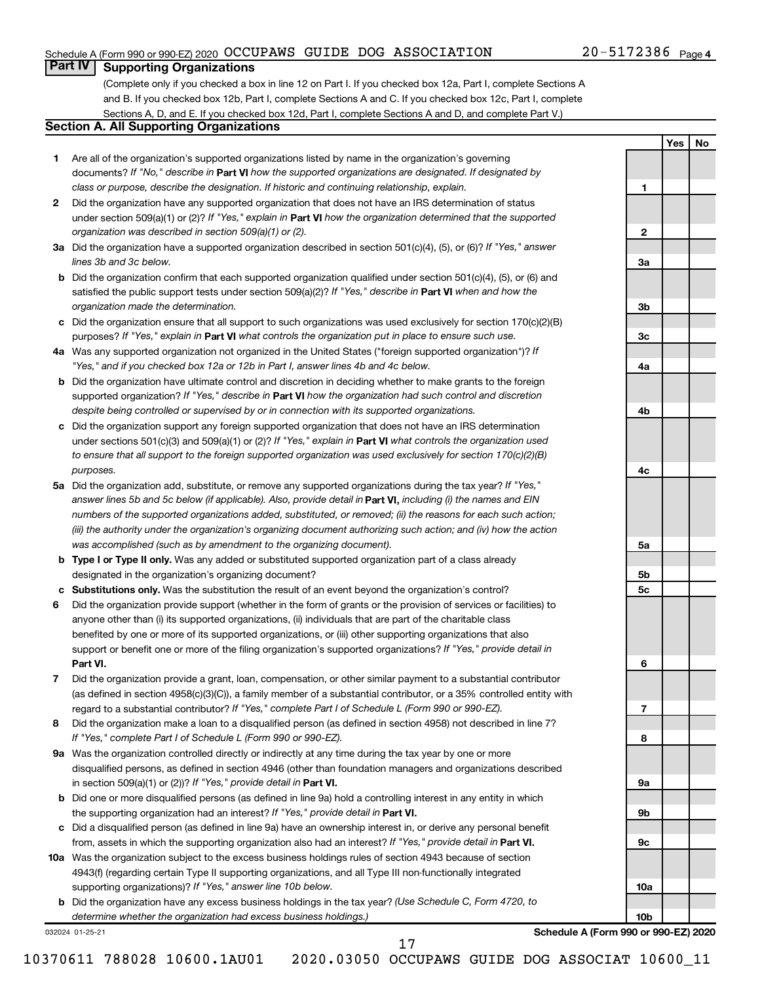### Schedule A (Form 990 or 990-EZ) 2020 Page OCCUPAWS GUIDE DOG ASSOCIATION 20-5172386

### 20-5172386 Page 4

**1**

**2**

**3a**

**3b**

**3c**

**4a**

**4b**

**4c**

**5a**

**5b 5c**

**6**

**7**

**8**

**9a**

**9b**

**9c**

**10a**

**10b**

**Yes No**

### **Part IV Supporting Organizations**

(Complete only if you checked a box in line 12 on Part I. If you checked box 12a, Part I, complete Sections A and B. If you checked box 12b, Part I, complete Sections A and C. If you checked box 12c, Part I, complete Sections A, D, and E. If you checked box 12d, Part I, complete Sections A and D, and complete Part V.)

### **Section A. All Supporting Organizations**

- **1** Are all of the organization's supported organizations listed by name in the organization's governing documents? If "No," describe in Part VI how the supported organizations are designated. If designated by *class or purpose, describe the designation. If historic and continuing relationship, explain.*
- **2** Did the organization have any supported organization that does not have an IRS determination of status under section 509(a)(1) or (2)? If "Yes," explain in Part **VI** how the organization determined that the supported *organization was described in section 509(a)(1) or (2).*
- **3a** Did the organization have a supported organization described in section 501(c)(4), (5), or (6)? If "Yes," answer *lines 3b and 3c below.*
- **b** Did the organization confirm that each supported organization qualified under section 501(c)(4), (5), or (6) and satisfied the public support tests under section 509(a)(2)? If "Yes," describe in Part VI when and how the *organization made the determination.*
- **c** Did the organization ensure that all support to such organizations was used exclusively for section 170(c)(2)(B) purposes? If "Yes," explain in Part VI what controls the organization put in place to ensure such use.
- **4 a** *If* Was any supported organization not organized in the United States ("foreign supported organization")? *"Yes," and if you checked box 12a or 12b in Part I, answer lines 4b and 4c below.*
- **b** Did the organization have ultimate control and discretion in deciding whether to make grants to the foreign supported organization? If "Yes," describe in Part VI how the organization had such control and discretion *despite being controlled or supervised by or in connection with its supported organizations.*
- **c** Did the organization support any foreign supported organization that does not have an IRS determination under sections 501(c)(3) and 509(a)(1) or (2)? If "Yes," explain in Part VI what controls the organization used *to ensure that all support to the foreign supported organization was used exclusively for section 170(c)(2)(B) purposes.*
- **5a** Did the organization add, substitute, or remove any supported organizations during the tax year? If "Yes," answer lines 5b and 5c below (if applicable). Also, provide detail in **Part VI,** including (i) the names and EIN *numbers of the supported organizations added, substituted, or removed; (ii) the reasons for each such action; (iii) the authority under the organization's organizing document authorizing such action; and (iv) how the action was accomplished (such as by amendment to the organizing document).*
- **b Type I or Type II only.** Was any added or substituted supported organization part of a class already designated in the organization's organizing document?
- **c Substitutions only.**  Was the substitution the result of an event beyond the organization's control?
- **6** Did the organization provide support (whether in the form of grants or the provision of services or facilities) to **Part VI.** support or benefit one or more of the filing organization's supported organizations? If "Yes," provide detail in anyone other than (i) its supported organizations, (ii) individuals that are part of the charitable class benefited by one or more of its supported organizations, or (iii) other supporting organizations that also
- **7** Did the organization provide a grant, loan, compensation, or other similar payment to a substantial contributor regard to a substantial contributor? If "Yes," complete Part I of Schedule L (Form 990 or 990-EZ). (as defined in section 4958(c)(3)(C)), a family member of a substantial contributor, or a 35% controlled entity with
- **8** Did the organization make a loan to a disqualified person (as defined in section 4958) not described in line 7? *If "Yes," complete Part I of Schedule L (Form 990 or 990-EZ).*
- **9 a** Was the organization controlled directly or indirectly at any time during the tax year by one or more in section 509(a)(1) or (2))? If "Yes," provide detail in **Part VI.** disqualified persons, as defined in section 4946 (other than foundation managers and organizations described
- **b** Did one or more disqualified persons (as defined in line 9a) hold a controlling interest in any entity in which the supporting organization had an interest? If "Yes," provide detail in Part VI.
- **c** Did a disqualified person (as defined in line 9a) have an ownership interest in, or derive any personal benefit from, assets in which the supporting organization also had an interest? If "Yes," provide detail in Part VI.
- **10 a** Was the organization subject to the excess business holdings rules of section 4943 because of section supporting organizations)? If "Yes," answer line 10b below. 4943(f) (regarding certain Type II supporting organizations, and all Type III non-functionally integrated
	- **b** Did the organization have any excess business holdings in the tax year? (Use Schedule C, Form 4720, to *determine whether the organization had excess business holdings.)*

032024 01-25-21

**Schedule A (Form 990 or 990-EZ) 2020**

17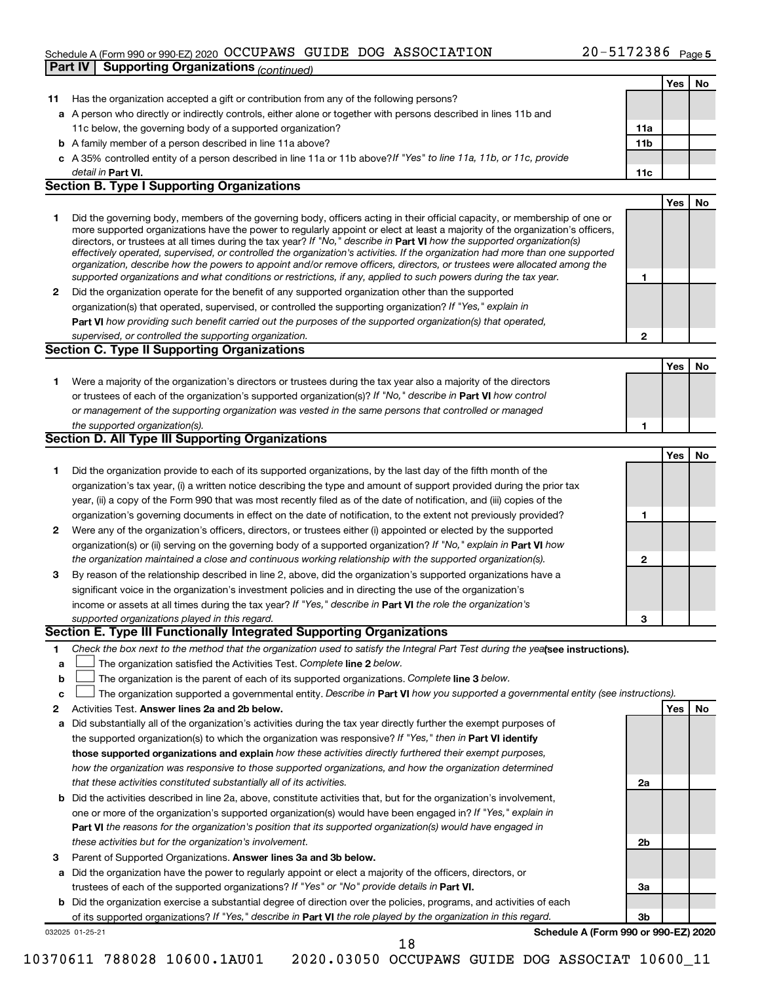### Schedule A (Form 990 or 990-EZ) 2020 Page OCCUPAWS GUIDE DOG ASSOCIATION 20-5172386 **Part IV Supporting Organizations** *(continued)*

|              | a A person who directly or indirectly controls, either alone or together with persons described in lines 11b and                                                                                                                                                                                                                                                                                                                                                                                                                                                                                                                                                                                                                                                         |              |     |    |
|--------------|--------------------------------------------------------------------------------------------------------------------------------------------------------------------------------------------------------------------------------------------------------------------------------------------------------------------------------------------------------------------------------------------------------------------------------------------------------------------------------------------------------------------------------------------------------------------------------------------------------------------------------------------------------------------------------------------------------------------------------------------------------------------------|--------------|-----|----|
|              | 11c below, the governing body of a supported organization?                                                                                                                                                                                                                                                                                                                                                                                                                                                                                                                                                                                                                                                                                                               | 11a          |     |    |
|              | <b>b</b> A family member of a person described in line 11a above?                                                                                                                                                                                                                                                                                                                                                                                                                                                                                                                                                                                                                                                                                                        | 11b          |     |    |
|              | c A 35% controlled entity of a person described in line 11a or 11b above? If "Yes" to line 11a, 11b, or 11c, provide                                                                                                                                                                                                                                                                                                                                                                                                                                                                                                                                                                                                                                                     |              |     |    |
|              | detail in Part VI.                                                                                                                                                                                                                                                                                                                                                                                                                                                                                                                                                                                                                                                                                                                                                       | 11c          |     |    |
|              | <b>Section B. Type I Supporting Organizations</b>                                                                                                                                                                                                                                                                                                                                                                                                                                                                                                                                                                                                                                                                                                                        |              |     |    |
|              |                                                                                                                                                                                                                                                                                                                                                                                                                                                                                                                                                                                                                                                                                                                                                                          |              | Yes | No |
| 1            | Did the governing body, members of the governing body, officers acting in their official capacity, or membership of one or<br>more supported organizations have the power to regularly appoint or elect at least a majority of the organization's officers,<br>directors, or trustees at all times during the tax year? If "No," describe in Part VI how the supported organization(s)<br>effectively operated, supervised, or controlled the organization's activities. If the organization had more than one supported<br>organization, describe how the powers to appoint and/or remove officers, directors, or trustees were allocated among the<br>supported organizations and what conditions or restrictions, if any, applied to such powers during the tax year. | 1            |     |    |
| $\mathbf{2}$ | Did the organization operate for the benefit of any supported organization other than the supported                                                                                                                                                                                                                                                                                                                                                                                                                                                                                                                                                                                                                                                                      |              |     |    |
|              | organization(s) that operated, supervised, or controlled the supporting organization? If "Yes," explain in                                                                                                                                                                                                                                                                                                                                                                                                                                                                                                                                                                                                                                                               |              |     |    |
|              | Part VI how providing such benefit carried out the purposes of the supported organization(s) that operated,                                                                                                                                                                                                                                                                                                                                                                                                                                                                                                                                                                                                                                                              |              |     |    |
|              | supervised, or controlled the supporting organization.                                                                                                                                                                                                                                                                                                                                                                                                                                                                                                                                                                                                                                                                                                                   | $\mathbf{2}$ |     |    |
|              | <b>Section C. Type II Supporting Organizations</b>                                                                                                                                                                                                                                                                                                                                                                                                                                                                                                                                                                                                                                                                                                                       |              |     |    |
|              |                                                                                                                                                                                                                                                                                                                                                                                                                                                                                                                                                                                                                                                                                                                                                                          |              | Yes | No |
| 1            | Were a majority of the organization's directors or trustees during the tax year also a majority of the directors                                                                                                                                                                                                                                                                                                                                                                                                                                                                                                                                                                                                                                                         |              |     |    |
|              | or trustees of each of the organization's supported organization(s)? If "No," describe in Part VI how control<br>or management of the supporting organization was vested in the same persons that controlled or managed                                                                                                                                                                                                                                                                                                                                                                                                                                                                                                                                                  |              |     |    |
|              | the supported organization(s).                                                                                                                                                                                                                                                                                                                                                                                                                                                                                                                                                                                                                                                                                                                                           | 1            |     |    |
|              | Section D. All Type III Supporting Organizations                                                                                                                                                                                                                                                                                                                                                                                                                                                                                                                                                                                                                                                                                                                         |              |     |    |
|              |                                                                                                                                                                                                                                                                                                                                                                                                                                                                                                                                                                                                                                                                                                                                                                          |              | Yes | No |
| 1            | Did the organization provide to each of its supported organizations, by the last day of the fifth month of the                                                                                                                                                                                                                                                                                                                                                                                                                                                                                                                                                                                                                                                           |              |     |    |
|              | organization's tax year, (i) a written notice describing the type and amount of support provided during the prior tax                                                                                                                                                                                                                                                                                                                                                                                                                                                                                                                                                                                                                                                    |              |     |    |
|              | year, (ii) a copy of the Form 990 that was most recently filed as of the date of notification, and (iii) copies of the                                                                                                                                                                                                                                                                                                                                                                                                                                                                                                                                                                                                                                                   |              |     |    |
|              | organization's governing documents in effect on the date of notification, to the extent not previously provided?                                                                                                                                                                                                                                                                                                                                                                                                                                                                                                                                                                                                                                                         | 1            |     |    |
| 2            | Were any of the organization's officers, directors, or trustees either (i) appointed or elected by the supported                                                                                                                                                                                                                                                                                                                                                                                                                                                                                                                                                                                                                                                         |              |     |    |
|              | organization(s) or (ii) serving on the governing body of a supported organization? If "No," explain in Part VI how                                                                                                                                                                                                                                                                                                                                                                                                                                                                                                                                                                                                                                                       |              |     |    |
|              | the organization maintained a close and continuous working relationship with the supported organization(s).                                                                                                                                                                                                                                                                                                                                                                                                                                                                                                                                                                                                                                                              | $\mathbf{2}$ |     |    |
| 3            | By reason of the relationship described in line 2, above, did the organization's supported organizations have a                                                                                                                                                                                                                                                                                                                                                                                                                                                                                                                                                                                                                                                          |              |     |    |
|              | significant voice in the organization's investment policies and in directing the use of the organization's                                                                                                                                                                                                                                                                                                                                                                                                                                                                                                                                                                                                                                                               |              |     |    |
|              | income or assets at all times during the tax year? If "Yes," describe in Part VI the role the organization's                                                                                                                                                                                                                                                                                                                                                                                                                                                                                                                                                                                                                                                             |              |     |    |
|              | supported organizations played in this regard.<br>Section E. Type III Functionally Integrated Supporting Organizations                                                                                                                                                                                                                                                                                                                                                                                                                                                                                                                                                                                                                                                   | 3            |     |    |
|              |                                                                                                                                                                                                                                                                                                                                                                                                                                                                                                                                                                                                                                                                                                                                                                          |              |     |    |
| 1<br>a       | Check the box next to the method that the organization used to satisfy the Integral Part Test during the yealsee instructions).<br>The organization satisfied the Activities Test. Complete line 2 below.<br>The organization is the parent of each of its supported organizations. Complete line 3 below.                                                                                                                                                                                                                                                                                                                                                                                                                                                               |              |     |    |
| b<br>с       | The organization supported a governmental entity. Describe in Part VI how you supported a governmental entity (see instructions).                                                                                                                                                                                                                                                                                                                                                                                                                                                                                                                                                                                                                                        |              |     |    |
| 2            | Activities Test. Answer lines 2a and 2b below.                                                                                                                                                                                                                                                                                                                                                                                                                                                                                                                                                                                                                                                                                                                           |              | Yes | No |
| а            | Did substantially all of the organization's activities during the tax year directly further the exempt purposes of                                                                                                                                                                                                                                                                                                                                                                                                                                                                                                                                                                                                                                                       |              |     |    |
|              | the supported organization(s) to which the organization was responsive? If "Yes," then in Part VI identify                                                                                                                                                                                                                                                                                                                                                                                                                                                                                                                                                                                                                                                               |              |     |    |
|              | those supported organizations and explain how these activities directly furthered their exempt purposes,                                                                                                                                                                                                                                                                                                                                                                                                                                                                                                                                                                                                                                                                 |              |     |    |
|              | how the organization was responsive to those supported organizations, and how the organization determined                                                                                                                                                                                                                                                                                                                                                                                                                                                                                                                                                                                                                                                                |              |     |    |
|              | that these activities constituted substantially all of its activities.                                                                                                                                                                                                                                                                                                                                                                                                                                                                                                                                                                                                                                                                                                   | 2a           |     |    |
| b            | Did the activities described in line 2a, above, constitute activities that, but for the organization's involvement,                                                                                                                                                                                                                                                                                                                                                                                                                                                                                                                                                                                                                                                      |              |     |    |
|              | one or more of the organization's supported organization(s) would have been engaged in? If "Yes," explain in                                                                                                                                                                                                                                                                                                                                                                                                                                                                                                                                                                                                                                                             |              |     |    |
|              | <b>Part VI</b> the reasons for the organization's position that its supported organization(s) would have engaged in                                                                                                                                                                                                                                                                                                                                                                                                                                                                                                                                                                                                                                                      |              |     |    |
|              | these activities but for the organization's involvement.                                                                                                                                                                                                                                                                                                                                                                                                                                                                                                                                                                                                                                                                                                                 | 2b           |     |    |
| з            | Parent of Supported Organizations. Answer lines 3a and 3b below.                                                                                                                                                                                                                                                                                                                                                                                                                                                                                                                                                                                                                                                                                                         |              |     |    |
| а            | Did the organization have the power to regularly appoint or elect a majority of the officers, directors, or                                                                                                                                                                                                                                                                                                                                                                                                                                                                                                                                                                                                                                                              |              |     |    |
|              | trustees of each of the supported organizations? If "Yes" or "No" provide details in Part VI.                                                                                                                                                                                                                                                                                                                                                                                                                                                                                                                                                                                                                                                                            | За           |     |    |
| b            | Did the organization exercise a substantial degree of direction over the policies, programs, and activities of each                                                                                                                                                                                                                                                                                                                                                                                                                                                                                                                                                                                                                                                      |              |     |    |
|              | of its supported organizations? If "Yes," describe in Part VI the role played by the organization in this regard.                                                                                                                                                                                                                                                                                                                                                                                                                                                                                                                                                                                                                                                        | 3b           |     |    |
|              | Schedule A (Form 990 or 990-EZ) 2020<br>032025 01-25-21<br>18                                                                                                                                                                                                                                                                                                                                                                                                                                                                                                                                                                                                                                                                                                            |              |     |    |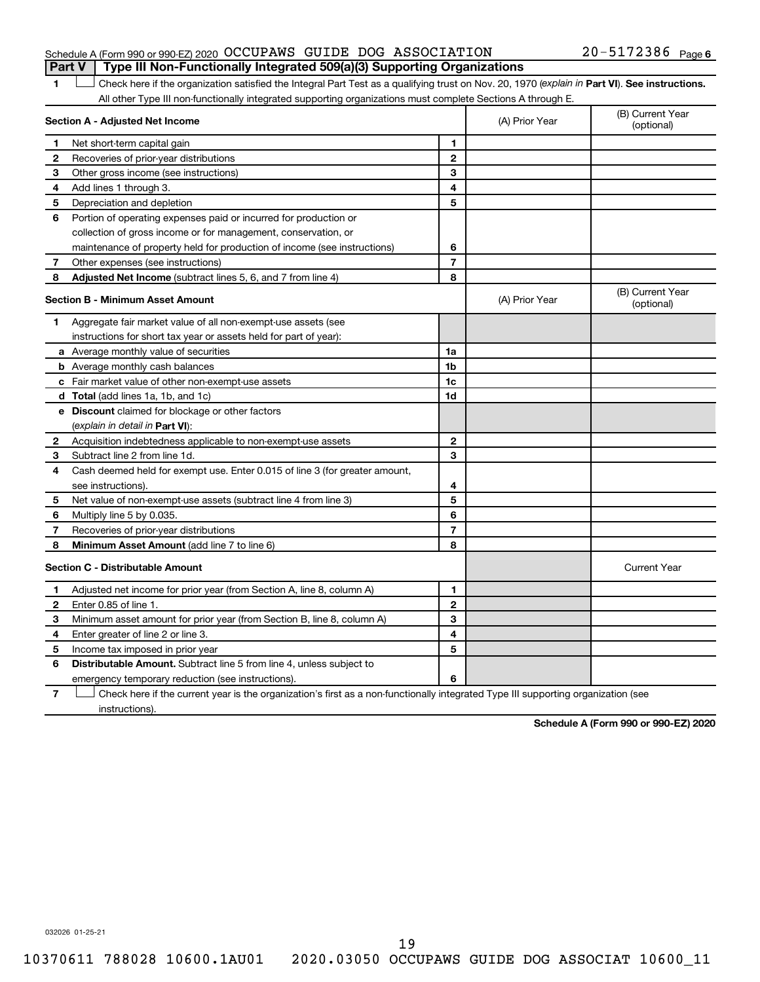### Schedule A (Form 990 or 990-EZ) 2020 Page OCCUPAWS GUIDE DOG ASSOCIATION 20-5172386 **Part V Type III Non-Functionally Integrated 509(a)(3) Supporting Organizations**

## 1 **Letter See instructions.** Check here if the organization satisfied the Integral Part Test as a qualifying trust on Nov. 20, 1970 (*explain in* Part **VI**). See instructions.

All other Type III non-functionally integrated supporting organizations must complete Sections A through E.

| Section A - Adjusted Net Income |                                                                                                                                   | (A) Prior Year | (B) Current Year<br>(optional) |                                |
|---------------------------------|-----------------------------------------------------------------------------------------------------------------------------------|----------------|--------------------------------|--------------------------------|
| 1                               | Net short-term capital gain                                                                                                       | 1              |                                |                                |
| 2                               | Recoveries of prior-year distributions                                                                                            | $\mathbf{2}$   |                                |                                |
| З                               | Other gross income (see instructions)                                                                                             | 3              |                                |                                |
| 4                               | Add lines 1 through 3.                                                                                                            | 4              |                                |                                |
| 5                               | Depreciation and depletion                                                                                                        | 5              |                                |                                |
| 6                               | Portion of operating expenses paid or incurred for production or                                                                  |                |                                |                                |
|                                 | collection of gross income or for management, conservation, or                                                                    |                |                                |                                |
|                                 | maintenance of property held for production of income (see instructions)                                                          | 6              |                                |                                |
| 7                               | Other expenses (see instructions)                                                                                                 | $\overline{7}$ |                                |                                |
| 8                               | Adjusted Net Income (subtract lines 5, 6, and 7 from line 4)                                                                      | 8              |                                |                                |
|                                 | <b>Section B - Minimum Asset Amount</b>                                                                                           |                | (A) Prior Year                 | (B) Current Year<br>(optional) |
| 1.                              | Aggregate fair market value of all non-exempt-use assets (see                                                                     |                |                                |                                |
|                                 | instructions for short tax year or assets held for part of year):                                                                 |                |                                |                                |
|                                 | a Average monthly value of securities                                                                                             | 1a             |                                |                                |
|                                 | <b>b</b> Average monthly cash balances                                                                                            | 1 <sub>b</sub> |                                |                                |
|                                 | c Fair market value of other non-exempt-use assets                                                                                | 1c             |                                |                                |
|                                 | <b>d</b> Total (add lines 1a, 1b, and 1c)                                                                                         | 1d             |                                |                                |
|                                 | <b>e</b> Discount claimed for blockage or other factors                                                                           |                |                                |                                |
|                                 | (explain in detail in <b>Part VI</b> ):                                                                                           |                |                                |                                |
| $\mathbf{2}$                    | Acquisition indebtedness applicable to non-exempt-use assets                                                                      | $\mathbf{2}$   |                                |                                |
| З                               | Subtract line 2 from line 1d.                                                                                                     | 3              |                                |                                |
| 4                               | Cash deemed held for exempt use. Enter 0.015 of line 3 (for greater amount,                                                       |                |                                |                                |
|                                 | see instructions)                                                                                                                 | 4              |                                |                                |
| 5                               | Net value of non-exempt-use assets (subtract line 4 from line 3)                                                                  | 5              |                                |                                |
| 6                               | Multiply line 5 by 0.035.                                                                                                         | 6              |                                |                                |
| 7                               | Recoveries of prior-year distributions                                                                                            | $\overline{7}$ |                                |                                |
| 8                               | <b>Minimum Asset Amount (add line 7 to line 6)</b>                                                                                | 8              |                                |                                |
|                                 | <b>Section C - Distributable Amount</b>                                                                                           |                |                                | <b>Current Year</b>            |
| 1                               | Adjusted net income for prior year (from Section A, line 8, column A)                                                             | 1              |                                |                                |
| $\mathbf{2}$                    | Enter 0.85 of line 1.                                                                                                             | $\overline{2}$ |                                |                                |
| 3                               | Minimum asset amount for prior year (from Section B, line 8, column A)                                                            | 3              |                                |                                |
| 4                               | Enter greater of line 2 or line 3.                                                                                                | 4              |                                |                                |
| 5                               | Income tax imposed in prior year                                                                                                  | 5              |                                |                                |
| 6                               | <b>Distributable Amount.</b> Subtract line 5 from line 4, unless subject to                                                       |                |                                |                                |
|                                 | emergency temporary reduction (see instructions).                                                                                 | 6              |                                |                                |
| $\overline{7}$                  | Check here if the current year is the organization's first as a non-functionally integrated Type III supporting organization (see |                |                                |                                |

instructions).

**Schedule A (Form 990 or 990-EZ) 2020**

032026 01-25-21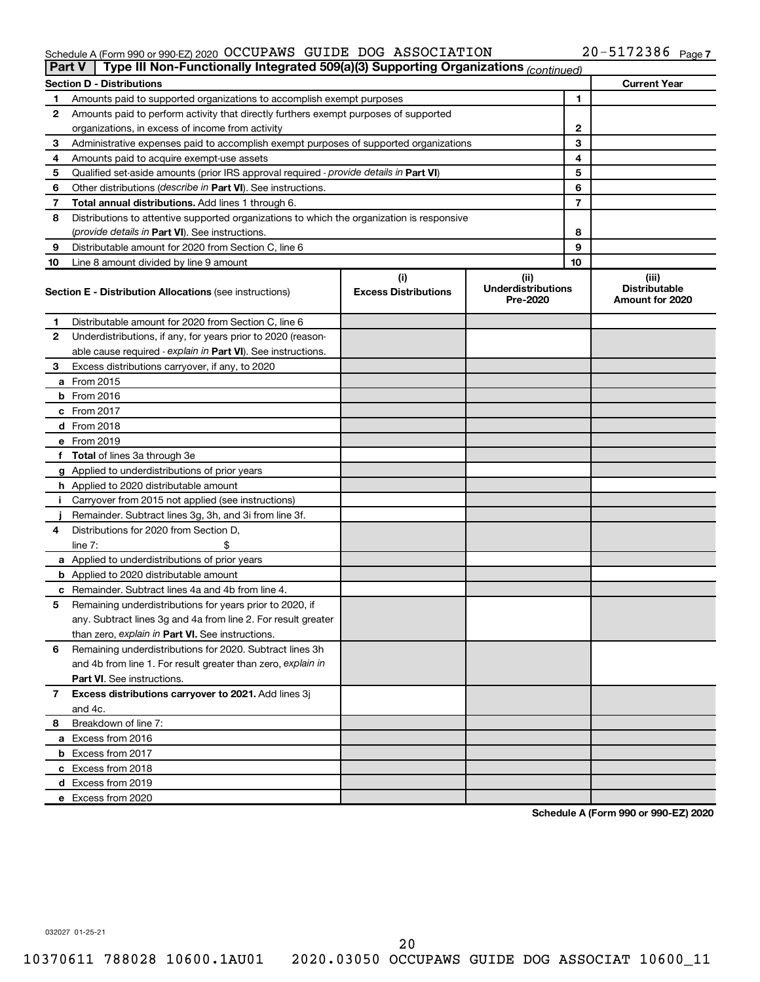### Schedule A (Form 990 or 990-EZ) 2020 Page OCCUPAWS GUIDE DOG ASSOCIATION 20-5172386

|    | Type III Non-Functionally Integrated 509(a)(3) Supporting Organizations (continued)<br><b>Part V</b> |                             |                                       |    |                                         |
|----|------------------------------------------------------------------------------------------------------|-----------------------------|---------------------------------------|----|-----------------------------------------|
|    | <b>Section D - Distributions</b>                                                                     |                             |                                       |    | <b>Current Year</b>                     |
| 1  | Amounts paid to supported organizations to accomplish exempt purposes                                |                             |                                       | 1  |                                         |
| 2  | Amounts paid to perform activity that directly furthers exempt purposes of supported                 |                             |                                       |    |                                         |
|    | organizations, in excess of income from activity                                                     |                             |                                       | 2  |                                         |
| 3  | Administrative expenses paid to accomplish exempt purposes of supported organizations                |                             |                                       | 3  |                                         |
| 4  | Amounts paid to acquire exempt-use assets                                                            |                             |                                       | 4  |                                         |
| 5  | Qualified set-aside amounts (prior IRS approval required - provide details in Part VI)               |                             |                                       | 5  |                                         |
| 6  | Other distributions ( <i>describe in Part VI</i> ). See instructions.                                |                             |                                       | 6  |                                         |
| 7  | Total annual distributions. Add lines 1 through 6.                                                   |                             |                                       | 7  |                                         |
| 8  | Distributions to attentive supported organizations to which the organization is responsive           |                             |                                       |    |                                         |
|    | (provide details in Part VI). See instructions.                                                      |                             |                                       | 8  |                                         |
| 9  | Distributable amount for 2020 from Section C, line 6                                                 |                             |                                       | 9  |                                         |
| 10 | Line 8 amount divided by line 9 amount                                                               |                             |                                       | 10 |                                         |
|    |                                                                                                      | (i)                         | (ii)                                  |    | (iii)                                   |
|    | <b>Section E - Distribution Allocations (see instructions)</b>                                       | <b>Excess Distributions</b> | <b>Underdistributions</b><br>Pre-2020 |    | <b>Distributable</b><br>Amount for 2020 |
| 1  | Distributable amount for 2020 from Section C, line 6                                                 |                             |                                       |    |                                         |
| 2  | Underdistributions, if any, for years prior to 2020 (reason-                                         |                             |                                       |    |                                         |
|    | able cause required - explain in Part VI). See instructions.                                         |                             |                                       |    |                                         |
| 3  | Excess distributions carryover, if any, to 2020                                                      |                             |                                       |    |                                         |
|    | a From 2015                                                                                          |                             |                                       |    |                                         |
|    | $b$ From 2016                                                                                        |                             |                                       |    |                                         |
|    | c From 2017                                                                                          |                             |                                       |    |                                         |
|    | <b>d</b> From 2018                                                                                   |                             |                                       |    |                                         |
|    | e From 2019                                                                                          |                             |                                       |    |                                         |
|    | f Total of lines 3a through 3e                                                                       |                             |                                       |    |                                         |
|    | g Applied to underdistributions of prior years                                                       |                             |                                       |    |                                         |
|    | <b>h</b> Applied to 2020 distributable amount                                                        |                             |                                       |    |                                         |
| Ť. | Carryover from 2015 not applied (see instructions)                                                   |                             |                                       |    |                                         |
|    | Remainder. Subtract lines 3g, 3h, and 3i from line 3f.                                               |                             |                                       |    |                                         |
| 4  | Distributions for 2020 from Section D,                                                               |                             |                                       |    |                                         |
|    | line 7:                                                                                              |                             |                                       |    |                                         |
|    | a Applied to underdistributions of prior years                                                       |                             |                                       |    |                                         |
|    | <b>b</b> Applied to 2020 distributable amount                                                        |                             |                                       |    |                                         |
|    | c Remainder. Subtract lines 4a and 4b from line 4.                                                   |                             |                                       |    |                                         |
| 5  | Remaining underdistributions for years prior to 2020, if                                             |                             |                                       |    |                                         |
|    | any. Subtract lines 3g and 4a from line 2. For result greater                                        |                             |                                       |    |                                         |
|    | than zero, explain in Part VI. See instructions.                                                     |                             |                                       |    |                                         |
| 6  | Remaining underdistributions for 2020. Subtract lines 3h                                             |                             |                                       |    |                                         |
|    | and 4b from line 1. For result greater than zero, explain in                                         |                             |                                       |    |                                         |
|    | <b>Part VI.</b> See instructions.                                                                    |                             |                                       |    |                                         |
| 7  | Excess distributions carryover to 2021. Add lines 3j                                                 |                             |                                       |    |                                         |
|    | and 4c.                                                                                              |                             |                                       |    |                                         |
| 8  | Breakdown of line 7:                                                                                 |                             |                                       |    |                                         |
|    | a Excess from 2016                                                                                   |                             |                                       |    |                                         |
|    | <b>b</b> Excess from 2017                                                                            |                             |                                       |    |                                         |
|    | c Excess from 2018                                                                                   |                             |                                       |    |                                         |
|    |                                                                                                      |                             |                                       |    |                                         |
|    | d Excess from 2019<br>e Excess from 2020                                                             |                             |                                       |    |                                         |
|    |                                                                                                      |                             |                                       |    |                                         |

**Schedule A (Form 990 or 990-EZ) 2020**

032027 01-25-21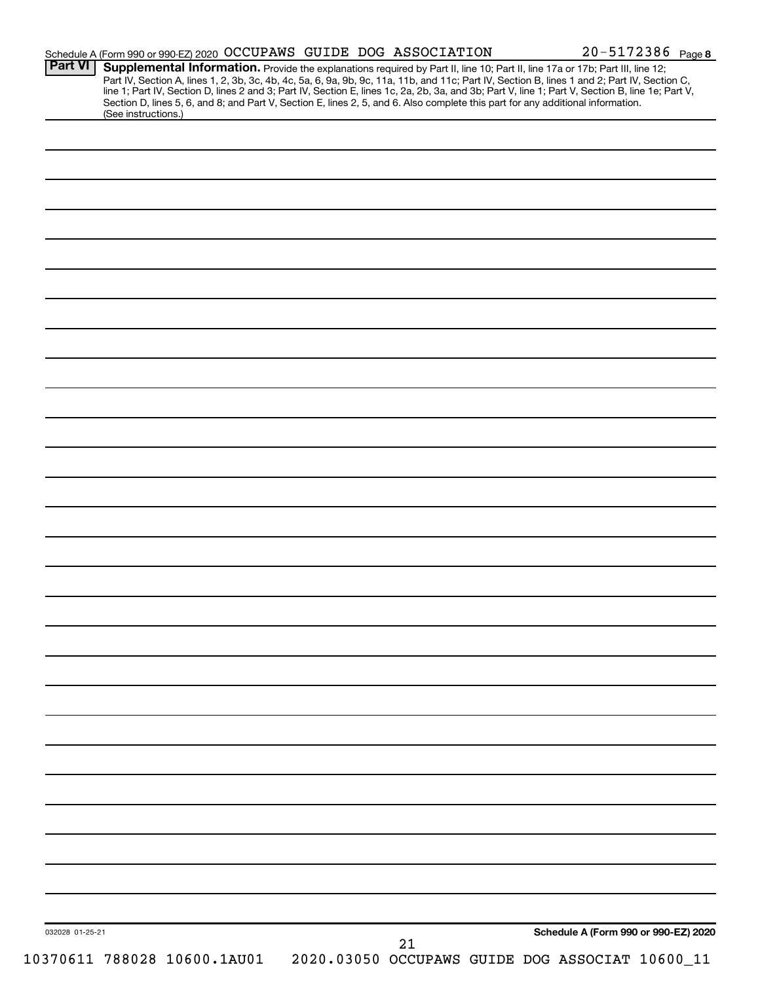| <b>Part VI</b>  | Schedule A (Form 990 or 990-EZ) 2020 OCCUPAWS GUIDE DOG ASSOCIATION<br>Supplemental Information. Provide the explanations required by Part II, line 10; Part II, line 17a or 17b; Part III, line 12; |    | 20-5172386 Page 8                               |
|-----------------|------------------------------------------------------------------------------------------------------------------------------------------------------------------------------------------------------|----|-------------------------------------------------|
|                 | Part IV, Section A, lines 1, 2, 3b, 3c, 4b, 4c, 5a, 6, 9a, 9b, 9c, 11a, 11b, and 11c; Part IV, Section B, lines 1 and 2; Part IV, Section C,                                                         |    |                                                 |
|                 | line 1; Part IV, Section D, lines 2 and 3; Part IV, Section E, lines 1c, 2a, 2b, 3a, and 3b; Part V, line 1; Part V, Section B, line 1e; Part V,                                                     |    |                                                 |
|                 | Section D, lines 5, 6, and 8; and Part V, Section E, lines 2, 5, and 6. Also complete this part for any additional information.<br>(See instructions.)                                               |    |                                                 |
|                 |                                                                                                                                                                                                      |    |                                                 |
|                 |                                                                                                                                                                                                      |    |                                                 |
|                 |                                                                                                                                                                                                      |    |                                                 |
|                 |                                                                                                                                                                                                      |    |                                                 |
|                 |                                                                                                                                                                                                      |    |                                                 |
|                 |                                                                                                                                                                                                      |    |                                                 |
|                 |                                                                                                                                                                                                      |    |                                                 |
|                 |                                                                                                                                                                                                      |    |                                                 |
|                 |                                                                                                                                                                                                      |    |                                                 |
|                 |                                                                                                                                                                                                      |    |                                                 |
|                 |                                                                                                                                                                                                      |    |                                                 |
|                 |                                                                                                                                                                                                      |    |                                                 |
|                 |                                                                                                                                                                                                      |    |                                                 |
|                 |                                                                                                                                                                                                      |    |                                                 |
|                 |                                                                                                                                                                                                      |    |                                                 |
|                 |                                                                                                                                                                                                      |    |                                                 |
|                 |                                                                                                                                                                                                      |    |                                                 |
|                 |                                                                                                                                                                                                      |    |                                                 |
|                 |                                                                                                                                                                                                      |    |                                                 |
|                 |                                                                                                                                                                                                      |    |                                                 |
|                 |                                                                                                                                                                                                      |    |                                                 |
|                 |                                                                                                                                                                                                      |    |                                                 |
|                 |                                                                                                                                                                                                      |    |                                                 |
|                 |                                                                                                                                                                                                      |    |                                                 |
|                 |                                                                                                                                                                                                      |    |                                                 |
|                 |                                                                                                                                                                                                      |    |                                                 |
|                 |                                                                                                                                                                                                      |    |                                                 |
|                 |                                                                                                                                                                                                      |    |                                                 |
|                 |                                                                                                                                                                                                      |    |                                                 |
|                 |                                                                                                                                                                                                      |    |                                                 |
|                 |                                                                                                                                                                                                      |    |                                                 |
|                 |                                                                                                                                                                                                      |    |                                                 |
|                 |                                                                                                                                                                                                      |    |                                                 |
|                 |                                                                                                                                                                                                      |    |                                                 |
|                 |                                                                                                                                                                                                      |    |                                                 |
|                 |                                                                                                                                                                                                      |    |                                                 |
|                 |                                                                                                                                                                                                      |    |                                                 |
|                 |                                                                                                                                                                                                      |    |                                                 |
|                 |                                                                                                                                                                                                      |    |                                                 |
|                 |                                                                                                                                                                                                      |    |                                                 |
|                 |                                                                                                                                                                                                      |    |                                                 |
|                 |                                                                                                                                                                                                      |    |                                                 |
|                 |                                                                                                                                                                                                      |    |                                                 |
|                 |                                                                                                                                                                                                      |    |                                                 |
|                 |                                                                                                                                                                                                      |    |                                                 |
|                 |                                                                                                                                                                                                      |    |                                                 |
|                 |                                                                                                                                                                                                      |    |                                                 |
|                 |                                                                                                                                                                                                      |    |                                                 |
|                 |                                                                                                                                                                                                      |    |                                                 |
|                 |                                                                                                                                                                                                      |    |                                                 |
|                 |                                                                                                                                                                                                      |    |                                                 |
|                 |                                                                                                                                                                                                      |    |                                                 |
|                 |                                                                                                                                                                                                      |    |                                                 |
|                 |                                                                                                                                                                                                      |    |                                                 |
| 032028 01-25-21 |                                                                                                                                                                                                      |    | Schedule A (Form 990 or 990-EZ) 2020            |
|                 | 10370611 788028 10600.1AU01                                                                                                                                                                          | 21 | 2020.03050 OCCUPAWS GUIDE DOG ASSOCIAT 10600_11 |
|                 |                                                                                                                                                                                                      |    |                                                 |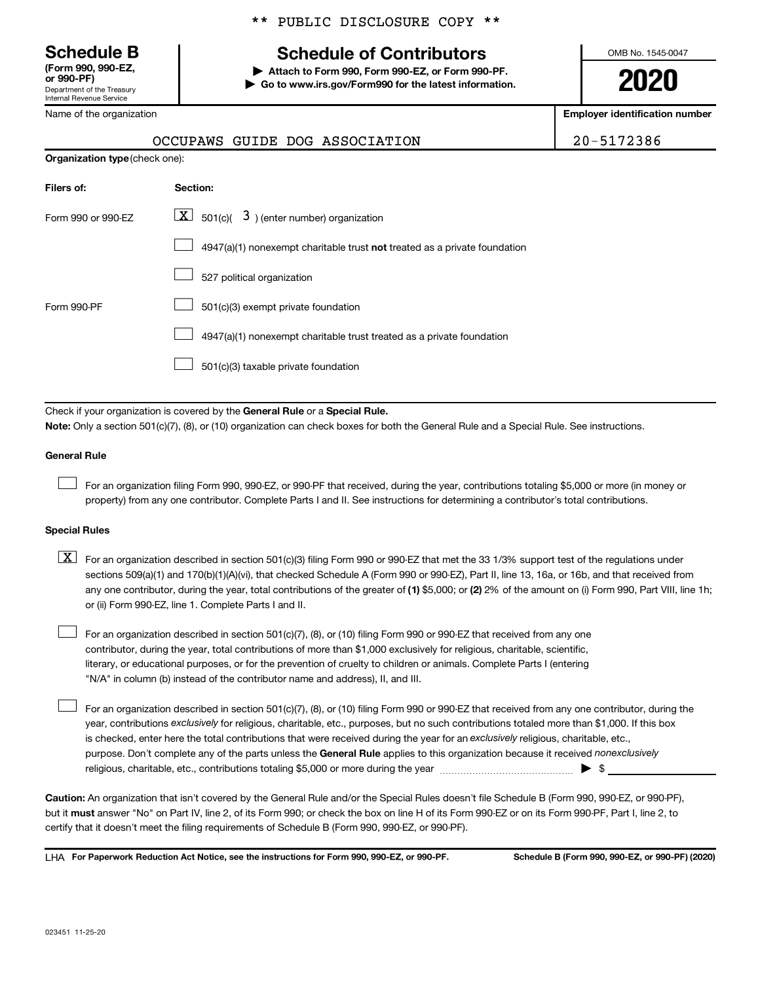Department of the Treasury Internal Revenue Service **(Form 990, 990-EZ,**

Name of the organization

### \*\* PUBLIC DISCLOSURE COPY \*\*

## **Schedule B Schedule of Contributors**

**or 990-PF) | Attach to Form 990, Form 990-EZ, or Form 990-PF. | Go to www.irs.gov/Form990 for the latest information.** OMB No. 1545-0047

**2020**

**Employer identification number**

|  | OCCUPAWS GUIDE DOG ASSOCIATION | 20-5172386 |
|--|--------------------------------|------------|
|  |                                |            |

| <b>Organization type (check one):</b> |                                                                           |  |  |  |  |
|---------------------------------------|---------------------------------------------------------------------------|--|--|--|--|
| Filers of:                            | Section:                                                                  |  |  |  |  |
| Form 990 or 990-EZ                    | $\boxed{\textbf{X}}$ 501(c)( 3) (enter number) organization               |  |  |  |  |
|                                       | 4947(a)(1) nonexempt charitable trust not treated as a private foundation |  |  |  |  |
|                                       | 527 political organization                                                |  |  |  |  |
| Form 990-PF                           | 501(c)(3) exempt private foundation                                       |  |  |  |  |
|                                       | 4947(a)(1) nonexempt charitable trust treated as a private foundation     |  |  |  |  |
|                                       | 501(c)(3) taxable private foundation                                      |  |  |  |  |

Check if your organization is covered by the General Rule or a Special Rule.

**Note:**  Only a section 501(c)(7), (8), or (10) organization can check boxes for both the General Rule and a Special Rule. See instructions.

### **General Rule**

 $\Box$ 

 $\Box$ 

For an organization filing Form 990, 990-EZ, or 990-PF that received, during the year, contributions totaling \$5,000 or more (in money or property) from any one contributor. Complete Parts I and II. See instructions for determining a contributor's total contributions.

### **Special Rules**

any one contributor, during the year, total contributions of the greater of (1) \$5,000; or (2) 2% of the amount on (i) Form 990, Part VIII, line 1h;  $\boxed{\text{X}}$  For an organization described in section 501(c)(3) filing Form 990 or 990-EZ that met the 33 1/3% support test of the regulations under sections 509(a)(1) and 170(b)(1)(A)(vi), that checked Schedule A (Form 990 or 990-EZ), Part II, line 13, 16a, or 16b, and that received from or (ii) Form 990-EZ, line 1. Complete Parts I and II.

For an organization described in section 501(c)(7), (8), or (10) filing Form 990 or 990-EZ that received from any one contributor, during the year, total contributions of more than \$1,000 exclusively for religious, charitable, scientific, literary, or educational purposes, or for the prevention of cruelty to children or animals. Complete Parts I (entering "N/A" in column (b) instead of the contributor name and address), II, and III.  $\Box$ 

purpose. Don't complete any of the parts unless the General Rule applies to this organization because it received nonexclusively year, contributions exclusively for religious, charitable, etc., purposes, but no such contributions totaled more than \$1,000. If this box is checked, enter here the total contributions that were received during the year for an exclusively religious, charitable, etc., For an organization described in section 501(c)(7), (8), or (10) filing Form 990 or 990-EZ that received from any one contributor, during the religious, charitable, etc., contributions totaling \$5,000 or more during the year  $~\ldots\ldots\ldots\ldots\ldots\ldots\ldots\ldots\blacktriangleright~$ \$

**Caution:**  An organization that isn't covered by the General Rule and/or the Special Rules doesn't file Schedule B (Form 990, 990-EZ, or 990-PF),  **must** but it answer "No" on Part IV, line 2, of its Form 990; or check the box on line H of its Form 990-EZ or on its Form 990-PF, Part I, line 2, to certify that it doesn't meet the filing requirements of Schedule B (Form 990, 990-EZ, or 990-PF).

**For Paperwork Reduction Act Notice, see the instructions for Form 990, 990-EZ, or 990-PF. Schedule B (Form 990, 990-EZ, or 990-PF) (2020)** LHA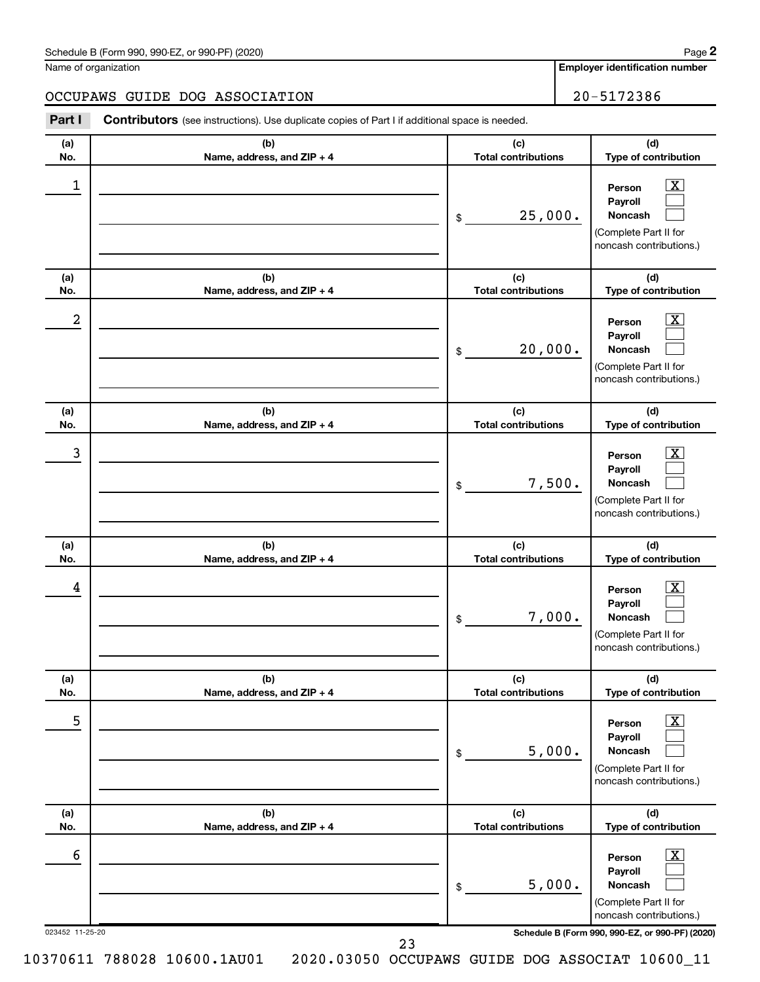| Schedule B (Form 990, 990-EZ, or 990-PF) (2020)<br>. The state of the state $\mathcal{L}$ is the state of the state of the state of the state of the state of the state of the state of the state of the state of the state of the state of the state of the state of the state of th | Page |
|---------------------------------------------------------------------------------------------------------------------------------------------------------------------------------------------------------------------------------------------------------------------------------------|------|
|---------------------------------------------------------------------------------------------------------------------------------------------------------------------------------------------------------------------------------------------------------------------------------------|------|

Name of organization

**Employer identification number**

**(a) No. (b) Name, address, and ZIP + 4 (c) Total contributions (d) Type of contribution Person Payroll Noncash (a) No. (b) Name, address, and ZIP + 4 (c) Total contributions (d) Type of contribution Person Payroll Noncash (a) No. (b) Name, address, and ZIP + 4 (c) Total contributions (d) Type of contribution Person Payroll Noncash (a) No. (b) Name, address, and ZIP + 4 (c) Total contributions (d) Type of contribution Person Payroll Noncash (a) No. (b) Name, address, and ZIP + 4 (c) Total contributions (d) Type of contribution Person Payroll Noncash (a) No. (b) Name, address, and ZIP + 4 (c) Total contributions (d) Type of contribution Part I** Contributors (see instructions). Use duplicate copies of Part I if additional space is needed. \$ (Complete Part II for noncash contributions.) \$ (Complete Part II for noncash contributions.) \$ (Complete Part II for noncash contributions.) \$ (Complete Part II for noncash contributions.) \$ (Complete Part II for noncash contributions.)  $\boxed{\textbf{X}}$  $\Box$  $\Box$  $\overline{\mathbf{X}}$  $\Box$  $\Box$  $\boxed{\textbf{X}}$  $\Box$  $\Box$  $\boxed{\text{X}}$  $\Box$  $\Box$  $\boxed{\text{X}}$  $\Box$  $\Box$ OCCUPAWS GUIDE DOG ASSOCIATION 20-5172386  $\begin{array}{|c|c|c|c|c|}\hline \ \text{1} & \text{Person} & \text{X} \ \hline \end{array}$ 25,000.  $2$  Person  $\overline{\text{X}}$ 20,000.  $\begin{array}{|c|c|c|c|c|c|}\hline \text{3} & \text{Person} & \text{X} \ \hline \end{array}$ 7,500.  $\begin{array}{|c|c|c|c|c|}\hline \text{4} & \text{Person} & \text{\textbf{X}}\ \hline \end{array}$ 7,000. 5 X 5,000.

023452 11-25-20 **Schedule B (Form 990, 990-EZ, or 990-PF) (2020)**

5,000.

**Person Payroll Noncash**

(Complete Part II for noncash contributions.)

 $\boxed{\text{X}}$  $\Box$  $\Box$ 

23

 $\overline{6}$  Person  $\overline{X}$ 

\$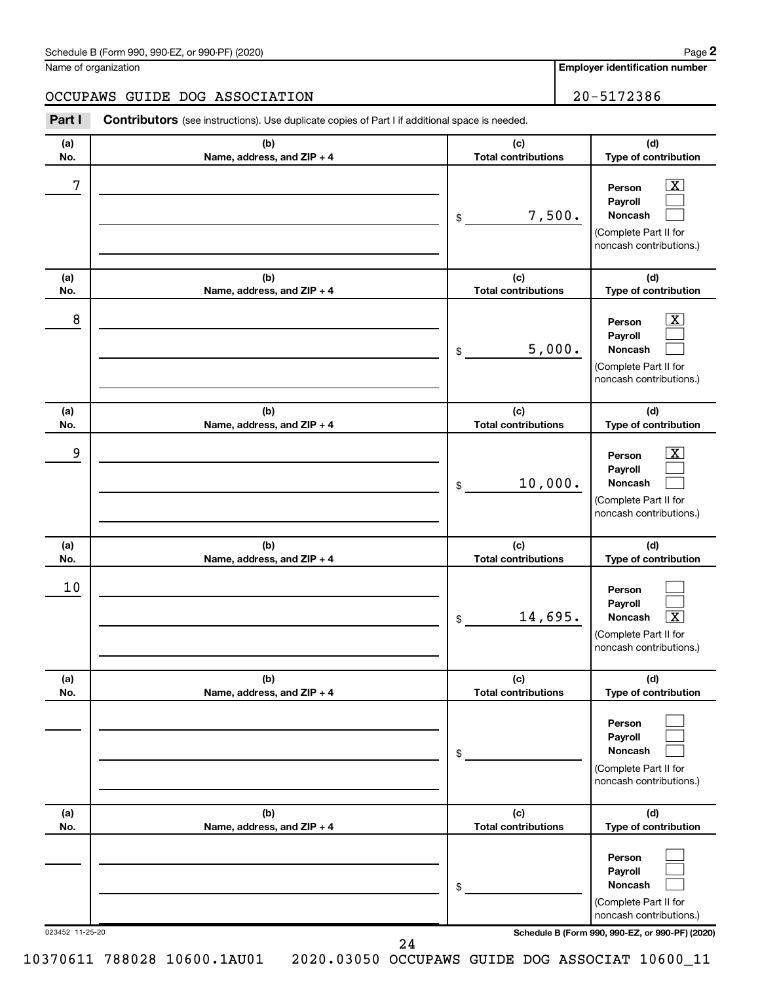| Schedule B (Form 990, 990-EZ, or 990-PF) (2020)<br>. The state of the state $\mathcal{L}$ is the state of the state of the state of the state of the state of the state of the state of the state of the state of the state of the state of the state of the state of the state of th | Page |
|---------------------------------------------------------------------------------------------------------------------------------------------------------------------------------------------------------------------------------------------------------------------------------------|------|
|---------------------------------------------------------------------------------------------------------------------------------------------------------------------------------------------------------------------------------------------------------------------------------------|------|

Name of organization

## OCCUPAWS GUIDE DOG ASSOCIATION 20-5172386

**Part I** Contributors (see instructions). Use duplicate copies of Part I if additional space is needed. **(a)** Τ **(b) (c) No. Name, address, and ZIP + 4 Total contributions**

| (a)<br>No.      | (b)<br>Name, address, and ZIP + 4 | (c)<br><b>Total contributions</b> | (d)<br>Type of contribution                                                                                                         |
|-----------------|-----------------------------------|-----------------------------------|-------------------------------------------------------------------------------------------------------------------------------------|
| 7               |                                   | 7,500.<br>\$                      | $\boxed{\text{X}}$<br>Person<br>Payroll<br><b>Noncash</b><br>(Complete Part II for<br>noncash contributions.)                       |
| (a)<br>No.      | (b)<br>Name, address, and ZIP + 4 | (c)<br><b>Total contributions</b> | (d)<br>Type of contribution                                                                                                         |
| 8               |                                   | 5,000.<br>\$                      | $\overline{\mathbf{X}}$<br>Person<br>Payroll<br><b>Noncash</b><br>(Complete Part II for<br>noncash contributions.)                  |
| (a)<br>No.      | (b)<br>Name, address, and ZIP + 4 | (c)<br><b>Total contributions</b> | (d)<br>Type of contribution                                                                                                         |
| 9               |                                   | 10,000.<br>\$                     | $\overline{\mathbf{X}}$<br>Person<br>Payroll<br><b>Noncash</b><br>(Complete Part II for<br>noncash contributions.)                  |
| (a)<br>No.      | (b)<br>Name, address, and ZIP + 4 | (c)<br><b>Total contributions</b> | (d)<br>Type of contribution                                                                                                         |
| 10              |                                   | 14,695.<br>\$                     | Person<br>Payroll<br>$\overline{\textbf{X}}$<br>Noncash<br>(Complete Part II for<br>noncash contributions.)                         |
| (a)<br>No.      | (b)<br>Name, address, and ZIP + 4 | (c)<br><b>Total contributions</b> | (d)<br>Type of contribution                                                                                                         |
|                 |                                   | \$                                | Person<br>Payroll<br>Noncash<br>(Complete Part II for<br>noncash contributions.)                                                    |
| (a)<br>No.      | (b)<br>Name, address, and ZIP + 4 | (c)<br><b>Total contributions</b> | (d)<br>Type of contribution                                                                                                         |
| 023452 11-25-20 |                                   | \$                                | Person<br>Payroll<br>Noncash<br>(Complete Part II for<br>noncash contributions.)<br>Schedule B (Form 990, 990-EZ, or 990-PF) (2020) |
|                 | 24                                |                                   |                                                                                                                                     |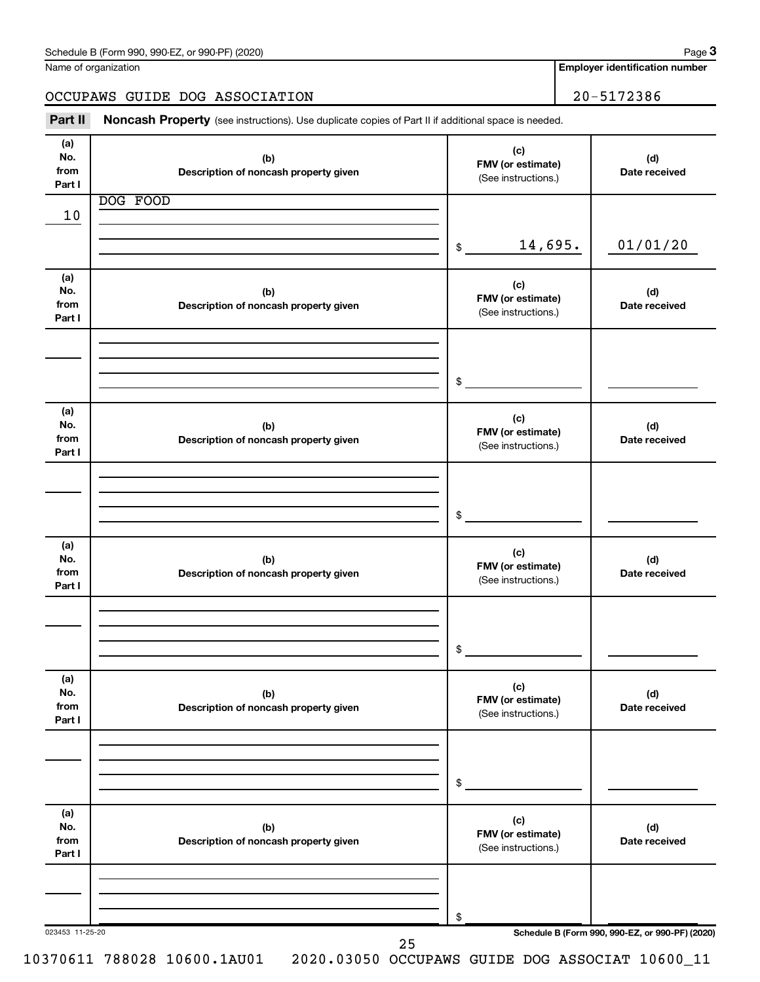| Schedule B (Form 990, 990-EZ, or 990-PF) (2020) | Page |
|-------------------------------------------------|------|
|-------------------------------------------------|------|

| Name of organization |  |
|----------------------|--|
|----------------------|--|

**Employer identification number**

OCCUPAWS GUIDE DOG ASSOCIATION 20-5172386

Part II Noncash Property (see instructions). Use duplicate copies of Part II if additional space is needed.

| (a)<br>No.                   | (b)                                          | (c)                                             | (d)                                             |
|------------------------------|----------------------------------------------|-------------------------------------------------|-------------------------------------------------|
| from<br>Part I               | Description of noncash property given        | FMV (or estimate)<br>(See instructions.)        | Date received                                   |
|                              | DOG FOOD                                     |                                                 |                                                 |
| 10                           |                                              |                                                 |                                                 |
|                              |                                              | 14,695.<br>\$                                   | 01/01/20                                        |
| (a)<br>No.<br>from<br>Part I | (b)<br>Description of noncash property given | (c)<br>FMV (or estimate)<br>(See instructions.) | (d)<br>Date received                            |
|                              |                                              |                                                 |                                                 |
|                              |                                              |                                                 |                                                 |
|                              |                                              | \$                                              |                                                 |
| (a)                          |                                              |                                                 |                                                 |
| No.<br>from<br>Part I        | (b)<br>Description of noncash property given | (c)<br>FMV (or estimate)<br>(See instructions.) | (d)<br>Date received                            |
|                              |                                              |                                                 |                                                 |
|                              |                                              |                                                 |                                                 |
|                              |                                              | \$                                              |                                                 |
| (a)<br>No.<br>from           | (b)<br>Description of noncash property given | (c)<br>FMV (or estimate)<br>(See instructions.) | (d)<br>Date received                            |
| Part I                       |                                              |                                                 |                                                 |
|                              |                                              |                                                 |                                                 |
|                              |                                              | \$                                              |                                                 |
|                              |                                              |                                                 |                                                 |
| (a)<br>No.<br>from<br>Part I | (b)<br>Description of noncash property given | (c)<br>FMV (or estimate)<br>(See instructions.) | (d)<br>Date received                            |
|                              |                                              |                                                 |                                                 |
|                              |                                              |                                                 |                                                 |
|                              |                                              | \$                                              |                                                 |
| (a)<br>No.<br>from<br>Part I | (b)<br>Description of noncash property given | (c)<br>FMV (or estimate)<br>(See instructions.) | (d)<br>Date received                            |
|                              |                                              |                                                 |                                                 |
|                              |                                              |                                                 |                                                 |
| 023453 11-25-20              |                                              | \$                                              | Schedule B (Form 990, 990-EZ, or 990-PF) (2020) |
|                              | 25                                           |                                                 |                                                 |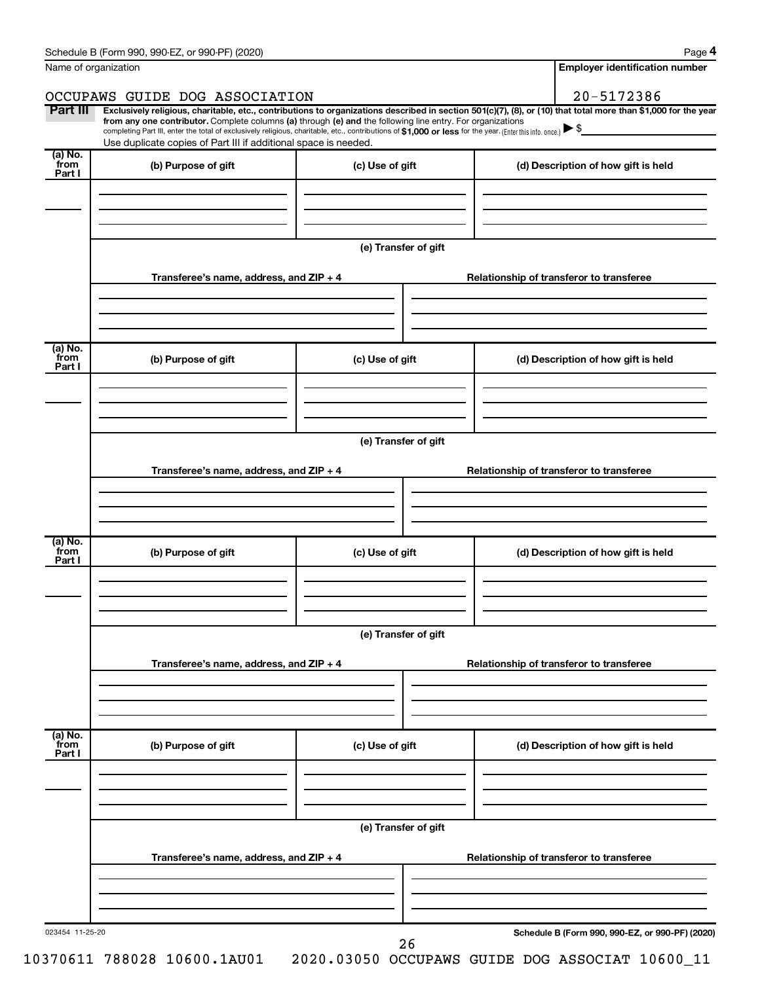|                           | Schedule B (Form 990, 990-EZ, or 990-PF) (2020)                                                                                                                                                                                                                              |                      |  | Page 4                                          |  |  |  |
|---------------------------|------------------------------------------------------------------------------------------------------------------------------------------------------------------------------------------------------------------------------------------------------------------------------|----------------------|--|-------------------------------------------------|--|--|--|
|                           | Name of organization                                                                                                                                                                                                                                                         |                      |  | <b>Employer identification number</b>           |  |  |  |
|                           | OCCUPAWS GUIDE DOG ASSOCIATION                                                                                                                                                                                                                                               |                      |  | 20-5172386                                      |  |  |  |
| Part III                  | Exclusively religious, charitable, etc., contributions to organizations described in section 501(c)(7), (8), or (10) that total more than \$1,000 for the year<br>from any one contributor. Complete columns (a) through (e) and the following line entry. For organizations |                      |  |                                                 |  |  |  |
|                           | completing Part III, enter the total of exclusively religious, charitable, etc., contributions of \$1,000 or less for the year. (Enter this info. once.)<br>Use duplicate copies of Part III if additional space is needed.                                                  |                      |  |                                                 |  |  |  |
| (a) No.                   |                                                                                                                                                                                                                                                                              |                      |  |                                                 |  |  |  |
| from<br>Part I            | (b) Purpose of gift                                                                                                                                                                                                                                                          | (c) Use of gift      |  | (d) Description of how gift is held             |  |  |  |
|                           |                                                                                                                                                                                                                                                                              |                      |  |                                                 |  |  |  |
|                           |                                                                                                                                                                                                                                                                              |                      |  |                                                 |  |  |  |
|                           |                                                                                                                                                                                                                                                                              |                      |  |                                                 |  |  |  |
|                           |                                                                                                                                                                                                                                                                              | (e) Transfer of gift |  |                                                 |  |  |  |
|                           | Transferee's name, address, and ZIP + 4                                                                                                                                                                                                                                      |                      |  | Relationship of transferor to transferee        |  |  |  |
|                           |                                                                                                                                                                                                                                                                              |                      |  |                                                 |  |  |  |
|                           |                                                                                                                                                                                                                                                                              |                      |  |                                                 |  |  |  |
| (a) No.                   |                                                                                                                                                                                                                                                                              |                      |  |                                                 |  |  |  |
| from<br>Part I            | (b) Purpose of gift                                                                                                                                                                                                                                                          | (c) Use of gift      |  | (d) Description of how gift is held             |  |  |  |
|                           |                                                                                                                                                                                                                                                                              |                      |  |                                                 |  |  |  |
|                           |                                                                                                                                                                                                                                                                              |                      |  |                                                 |  |  |  |
|                           |                                                                                                                                                                                                                                                                              |                      |  |                                                 |  |  |  |
|                           | (e) Transfer of gift                                                                                                                                                                                                                                                         |                      |  |                                                 |  |  |  |
|                           | Transferee's name, address, and ZIP + 4                                                                                                                                                                                                                                      |                      |  | Relationship of transferor to transferee        |  |  |  |
|                           |                                                                                                                                                                                                                                                                              |                      |  |                                                 |  |  |  |
|                           |                                                                                                                                                                                                                                                                              |                      |  |                                                 |  |  |  |
|                           |                                                                                                                                                                                                                                                                              |                      |  |                                                 |  |  |  |
| (a) No.<br>from<br>Part I | (b) Purpose of gift                                                                                                                                                                                                                                                          | (c) Use of gift      |  | (d) Description of how gift is held             |  |  |  |
|                           |                                                                                                                                                                                                                                                                              |                      |  |                                                 |  |  |  |
|                           |                                                                                                                                                                                                                                                                              |                      |  |                                                 |  |  |  |
|                           |                                                                                                                                                                                                                                                                              |                      |  |                                                 |  |  |  |
|                           |                                                                                                                                                                                                                                                                              | (e) Transfer of gift |  |                                                 |  |  |  |
|                           | Transferee's name, address, and ZIP + 4                                                                                                                                                                                                                                      |                      |  | Relationship of transferor to transferee        |  |  |  |
|                           |                                                                                                                                                                                                                                                                              |                      |  |                                                 |  |  |  |
|                           |                                                                                                                                                                                                                                                                              |                      |  |                                                 |  |  |  |
|                           |                                                                                                                                                                                                                                                                              |                      |  |                                                 |  |  |  |
| (a) No.<br>from<br>Part I | (b) Purpose of gift                                                                                                                                                                                                                                                          | (c) Use of gift      |  | (d) Description of how gift is held             |  |  |  |
|                           |                                                                                                                                                                                                                                                                              |                      |  |                                                 |  |  |  |
|                           |                                                                                                                                                                                                                                                                              |                      |  |                                                 |  |  |  |
|                           |                                                                                                                                                                                                                                                                              |                      |  |                                                 |  |  |  |
|                           |                                                                                                                                                                                                                                                                              | (e) Transfer of gift |  |                                                 |  |  |  |
|                           | Transferee's name, address, and ZIP + 4<br>Relationship of transferor to transferee                                                                                                                                                                                          |                      |  |                                                 |  |  |  |
|                           |                                                                                                                                                                                                                                                                              |                      |  |                                                 |  |  |  |
|                           |                                                                                                                                                                                                                                                                              |                      |  |                                                 |  |  |  |
|                           |                                                                                                                                                                                                                                                                              |                      |  |                                                 |  |  |  |
| 023454 11-25-20           |                                                                                                                                                                                                                                                                              |                      |  | Schedule B (Form 990, 990-EZ, or 990-PF) (2020) |  |  |  |
|                           |                                                                                                                                                                                                                                                                              | 26                   |  |                                                 |  |  |  |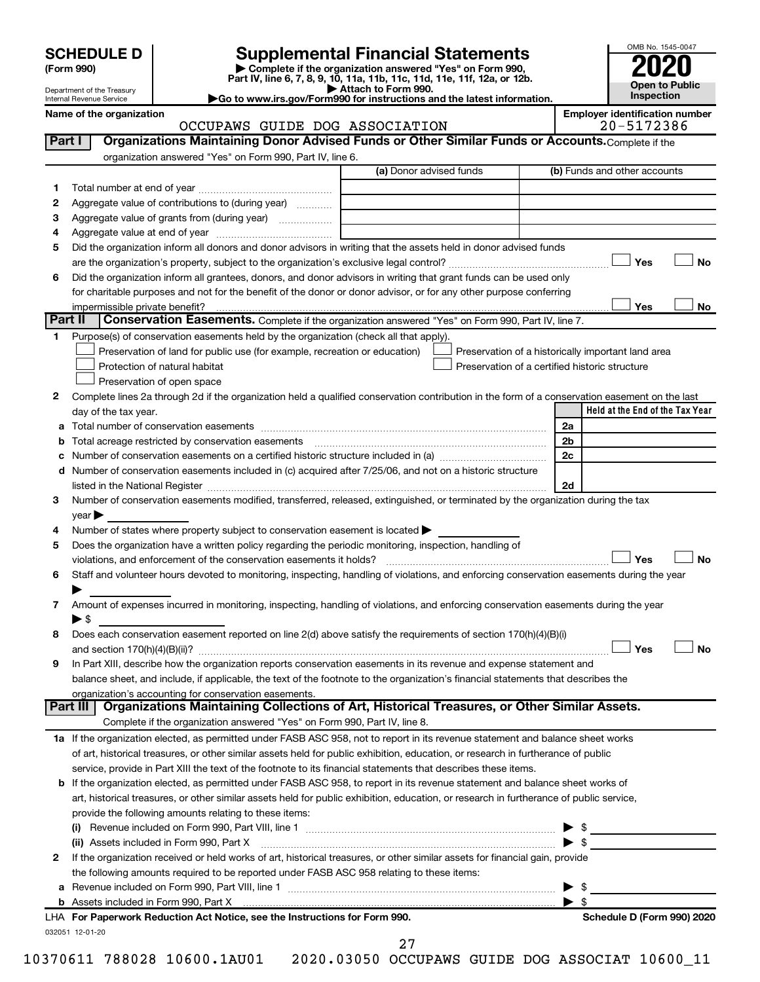| <b>SCHEDULE D</b> |  |
|-------------------|--|
|-------------------|--|

| (Form 990) |  |
|------------|--|
|------------|--|

# **SCHEDULE D Supplemental Financial Statements**<br> **Form 990 2020**<br> **Part IV** line 6.7.8.9.10, 11a, 11b, 11d, 11d, 11d, 11d, 11d, 12a, 0r, 12b

**(Form 990) | Complete if the organization answered "Yes" on Form 990, Part IV, line 6, 7, 8, 9, 10, 11a, 11b, 11c, 11d, 11e, 11f, 12a, or 12b.**

**| Attach to Form 990. |Go to www.irs.gov/Form990 for instructions and the latest information.**



Department of the Treasury Internal Revenue Service

### Name of the organization<br>**CCCUPAWS** GUIDE DOG ASSOCIATION **Employer identification number**<br>20-5172386 OCCUPAWS GUIDE DOG ASSOCIATION

| Part I  | Organizations Maintaining Donor Advised Funds or Other Similar Funds or Accounts. Complete if the                                              |                         |                                                    |
|---------|------------------------------------------------------------------------------------------------------------------------------------------------|-------------------------|----------------------------------------------------|
|         | organization answered "Yes" on Form 990, Part IV, line 6.                                                                                      |                         |                                                    |
|         |                                                                                                                                                | (a) Donor advised funds | (b) Funds and other accounts                       |
| 1.      |                                                                                                                                                |                         |                                                    |
| 2       | Aggregate value of contributions to (during year)                                                                                              |                         |                                                    |
| З       | Aggregate value of grants from (during year)                                                                                                   |                         |                                                    |
| 4       |                                                                                                                                                |                         |                                                    |
| 5       | Did the organization inform all donors and donor advisors in writing that the assets held in donor advised funds                               |                         |                                                    |
|         |                                                                                                                                                |                         | Yes<br>No                                          |
| 6       | Did the organization inform all grantees, donors, and donor advisors in writing that grant funds can be used only                              |                         |                                                    |
|         | for charitable purposes and not for the benefit of the donor or donor advisor, or for any other purpose conferring                             |                         |                                                    |
|         | impermissible private benefit?                                                                                                                 |                         | Yes<br>No                                          |
| Part II | <b>Conservation Easements.</b> Complete if the organization answered "Yes" on Form 990, Part IV, line 7.                                       |                         |                                                    |
| 1.      | Purpose(s) of conservation easements held by the organization (check all that apply).                                                          |                         |                                                    |
|         | Preservation of land for public use (for example, recreation or education)                                                                     |                         | Preservation of a historically important land area |
|         | Protection of natural habitat                                                                                                                  |                         | Preservation of a certified historic structure     |
|         | Preservation of open space                                                                                                                     |                         |                                                    |
| 2       | Complete lines 2a through 2d if the organization held a qualified conservation contribution in the form of a conservation easement on the last |                         |                                                    |
|         | day of the tax year.                                                                                                                           |                         | Held at the End of the Tax Year                    |
|         |                                                                                                                                                |                         | 2a                                                 |
| b       | Total acreage restricted by conservation easements                                                                                             |                         | 2 <sub>b</sub>                                     |
|         | Number of conservation easements on a certified historic structure included in (a) manufacture included in (a)                                 |                         | 2 <sub>c</sub>                                     |
|         | d Number of conservation easements included in (c) acquired after 7/25/06, and not on a historic structure                                     |                         |                                                    |
|         |                                                                                                                                                |                         | 2d                                                 |
| 3       | Number of conservation easements modified, transferred, released, extinguished, or terminated by the organization during the tax               |                         |                                                    |
|         | $year \triangleright$                                                                                                                          |                         |                                                    |
| 4       | Number of states where property subject to conservation easement is located >                                                                  |                         |                                                    |
| 5       | Does the organization have a written policy regarding the periodic monitoring, inspection, handling of                                         |                         |                                                    |
|         | violations, and enforcement of the conservation easements it holds?                                                                            |                         | Yes<br>No                                          |
| 6       | Staff and volunteer hours devoted to monitoring, inspecting, handling of violations, and enforcing conservation easements during the year      |                         |                                                    |
|         |                                                                                                                                                |                         |                                                    |
| 7       | Amount of expenses incurred in monitoring, inspecting, handling of violations, and enforcing conservation easements during the year            |                         |                                                    |
|         | $\blacktriangleright$ \$                                                                                                                       |                         |                                                    |
| 8       | Does each conservation easement reported on line 2(d) above satisfy the requirements of section 170(h)(4)(B)(i)                                |                         |                                                    |
|         |                                                                                                                                                |                         | Yes<br>No                                          |
| 9       | In Part XIII, describe how the organization reports conservation easements in its revenue and expense statement and                            |                         |                                                    |
|         | balance sheet, and include, if applicable, the text of the footnote to the organization's financial statements that describes the              |                         |                                                    |
|         | organization's accounting for conservation easements.                                                                                          |                         |                                                    |
|         | Organizations Maintaining Collections of Art, Historical Treasures, or Other Similar Assets.<br>Part III                                       |                         |                                                    |
|         | Complete if the organization answered "Yes" on Form 990, Part IV, line 8.                                                                      |                         |                                                    |
|         | 1a If the organization elected, as permitted under FASB ASC 958, not to report in its revenue statement and balance sheet works                |                         |                                                    |
|         | of art, historical treasures, or other similar assets held for public exhibition, education, or research in furtherance of public              |                         |                                                    |
|         | service, provide in Part XIII the text of the footnote to its financial statements that describes these items.                                 |                         |                                                    |
|         | <b>b</b> If the organization elected, as permitted under FASB ASC 958, to report in its revenue statement and balance sheet works of           |                         |                                                    |
|         | art, historical treasures, or other similar assets held for public exhibition, education, or research in furtherance of public service,        |                         |                                                    |
|         | provide the following amounts relating to these items:                                                                                         |                         |                                                    |
|         |                                                                                                                                                |                         |                                                    |
|         | (ii) Assets included in Form 990, Part X                                                                                                       |                         | \$<br>$\blacktriangleright$ \$                     |
|         |                                                                                                                                                |                         |                                                    |
| 2       | If the organization received or held works of art, historical treasures, or other similar assets for financial gain, provide                   |                         |                                                    |
|         | the following amounts required to be reported under FASB ASC 958 relating to these items:                                                      |                         |                                                    |
| а       |                                                                                                                                                |                         | \$                                                 |
|         |                                                                                                                                                |                         | $\blacktriangleright$ \$                           |
|         | LHA For Paperwork Reduction Act Notice, see the Instructions for Form 990.                                                                     |                         | Schedule D (Form 990) 2020                         |
|         | 032051 12-01-20                                                                                                                                |                         |                                                    |

27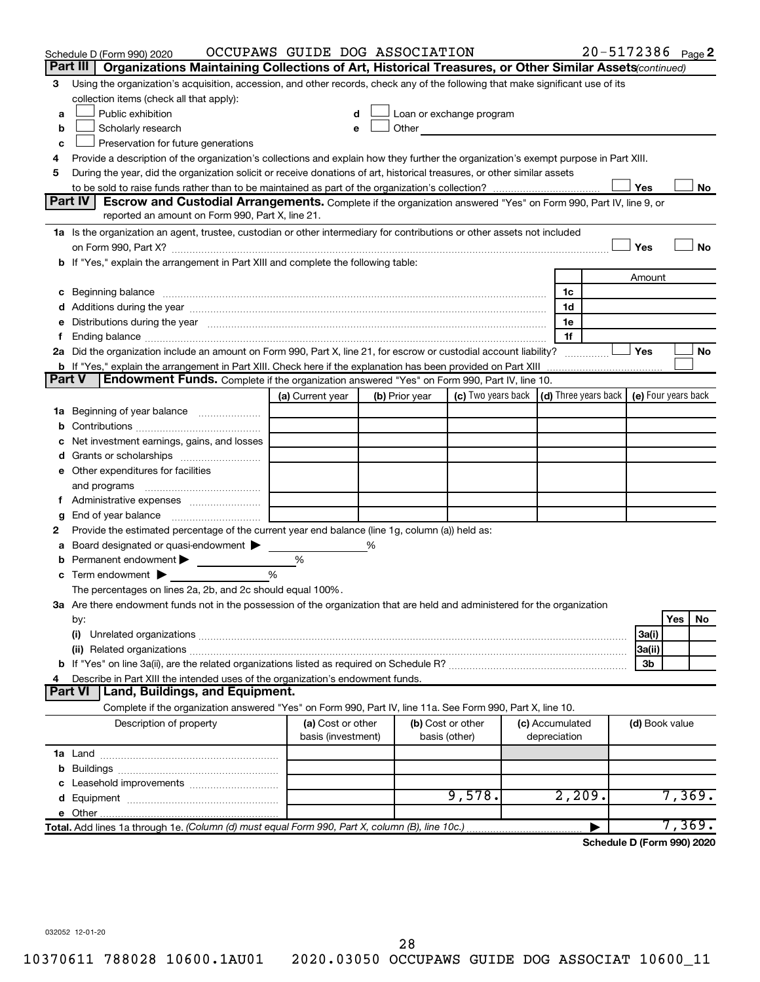|               | Schedule D (Form 990) 2020                                                                                                                                                                                                    | OCCUPAWS GUIDE DOG ASSOCIATION |   |                |                                                                                                                                                                                                                               |                 | 20-5172386 Page 2                                        |                |     |        |
|---------------|-------------------------------------------------------------------------------------------------------------------------------------------------------------------------------------------------------------------------------|--------------------------------|---|----------------|-------------------------------------------------------------------------------------------------------------------------------------------------------------------------------------------------------------------------------|-----------------|----------------------------------------------------------|----------------|-----|--------|
|               | Part III<br>Organizations Maintaining Collections of Art, Historical Treasures, or Other Similar Assets (continued)                                                                                                           |                                |   |                |                                                                                                                                                                                                                               |                 |                                                          |                |     |        |
| З             | Using the organization's acquisition, accession, and other records, check any of the following that make significant use of its                                                                                               |                                |   |                |                                                                                                                                                                                                                               |                 |                                                          |                |     |        |
|               | collection items (check all that apply):                                                                                                                                                                                      |                                |   |                |                                                                                                                                                                                                                               |                 |                                                          |                |     |        |
| а             | Public exhibition                                                                                                                                                                                                             |                                |   |                | Loan or exchange program                                                                                                                                                                                                      |                 |                                                          |                |     |        |
| b             | Scholarly research                                                                                                                                                                                                            | e                              |   |                | Other and the contract of the contract of the contract of the contract of the contract of the contract of the contract of the contract of the contract of the contract of the contract of the contract of the contract of the |                 |                                                          |                |     |        |
| c             | Preservation for future generations                                                                                                                                                                                           |                                |   |                |                                                                                                                                                                                                                               |                 |                                                          |                |     |        |
| 4             | Provide a description of the organization's collections and explain how they further the organization's exempt purpose in Part XIII.                                                                                          |                                |   |                |                                                                                                                                                                                                                               |                 |                                                          |                |     |        |
| 5             | During the year, did the organization solicit or receive donations of art, historical treasures, or other similar assets                                                                                                      |                                |   |                |                                                                                                                                                                                                                               |                 |                                                          |                |     |        |
|               |                                                                                                                                                                                                                               |                                |   |                |                                                                                                                                                                                                                               |                 |                                                          | Yes            |     | No     |
|               | <b>Part IV</b><br><b>Escrow and Custodial Arrangements.</b> Complete if the organization answered "Yes" on Form 990, Part IV, line 9, or                                                                                      |                                |   |                |                                                                                                                                                                                                                               |                 |                                                          |                |     |        |
|               | reported an amount on Form 990, Part X, line 21.                                                                                                                                                                              |                                |   |                |                                                                                                                                                                                                                               |                 |                                                          |                |     |        |
|               | 1a Is the organization an agent, trustee, custodian or other intermediary for contributions or other assets not included                                                                                                      |                                |   |                |                                                                                                                                                                                                                               |                 |                                                          |                |     |        |
|               | on Form 990, Part X? [11] matter continuum matter contract to the contract of the contract of the contract of the contract of the contract of the contract of the contract of the contract of the contract of the contract of |                                |   |                |                                                                                                                                                                                                                               |                 |                                                          | Yes            |     | No     |
|               | b If "Yes," explain the arrangement in Part XIII and complete the following table:                                                                                                                                            |                                |   |                |                                                                                                                                                                                                                               |                 |                                                          |                |     |        |
|               |                                                                                                                                                                                                                               |                                |   |                |                                                                                                                                                                                                                               |                 |                                                          | Amount         |     |        |
|               |                                                                                                                                                                                                                               |                                |   |                |                                                                                                                                                                                                                               | 1c              |                                                          |                |     |        |
|               |                                                                                                                                                                                                                               |                                |   |                |                                                                                                                                                                                                                               | 1d              |                                                          |                |     |        |
| е             | Distributions during the year manufactured and an account of the state of the state of the state of the state o                                                                                                               |                                |   |                |                                                                                                                                                                                                                               | 1e              |                                                          |                |     |        |
| Ť.            |                                                                                                                                                                                                                               |                                |   |                |                                                                                                                                                                                                                               | 1f              |                                                          |                |     |        |
|               | 2a Did the organization include an amount on Form 990, Part X, line 21, for escrow or custodial account liability?                                                                                                            |                                |   |                |                                                                                                                                                                                                                               |                 |                                                          | Yes            |     | No     |
| <b>Part V</b> |                                                                                                                                                                                                                               |                                |   |                |                                                                                                                                                                                                                               |                 |                                                          |                |     |        |
|               | <b>Endowment Funds.</b> Complete if the organization answered "Yes" on Form 990, Part IV, line 10.                                                                                                                            |                                |   |                |                                                                                                                                                                                                                               |                 | $\vert$ (d) Three years back $\vert$ (e) Four years back |                |     |        |
|               |                                                                                                                                                                                                                               | (a) Current year               |   | (b) Prior year | (c) Two years back                                                                                                                                                                                                            |                 |                                                          |                |     |        |
|               | 1a Beginning of year balance                                                                                                                                                                                                  |                                |   |                |                                                                                                                                                                                                                               |                 |                                                          |                |     |        |
| b             |                                                                                                                                                                                                                               |                                |   |                |                                                                                                                                                                                                                               |                 |                                                          |                |     |        |
|               | Net investment earnings, gains, and losses                                                                                                                                                                                    |                                |   |                |                                                                                                                                                                                                                               |                 |                                                          |                |     |        |
|               |                                                                                                                                                                                                                               |                                |   |                |                                                                                                                                                                                                                               |                 |                                                          |                |     |        |
|               | e Other expenditures for facilities                                                                                                                                                                                           |                                |   |                |                                                                                                                                                                                                                               |                 |                                                          |                |     |        |
|               | and programs                                                                                                                                                                                                                  |                                |   |                |                                                                                                                                                                                                                               |                 |                                                          |                |     |        |
|               |                                                                                                                                                                                                                               |                                |   |                |                                                                                                                                                                                                                               |                 |                                                          |                |     |        |
| g             | Provide the estimated percentage of the current year end balance (line 1g, column (a)) held as:                                                                                                                               |                                |   |                |                                                                                                                                                                                                                               |                 |                                                          |                |     |        |
| 2             | Board designated or quasi-endowment                                                                                                                                                                                           |                                | % |                |                                                                                                                                                                                                                               |                 |                                                          |                |     |        |
| а             | Permanent endowment >                                                                                                                                                                                                         | %                              |   |                |                                                                                                                                                                                                                               |                 |                                                          |                |     |        |
| b<br>с        | Term endowment $\blacktriangleright$                                                                                                                                                                                          | %                              |   |                |                                                                                                                                                                                                                               |                 |                                                          |                |     |        |
|               | The percentages on lines 2a, 2b, and 2c should equal 100%.                                                                                                                                                                    |                                |   |                |                                                                                                                                                                                                                               |                 |                                                          |                |     |        |
|               | 3a Are there endowment funds not in the possession of the organization that are held and administered for the organization                                                                                                    |                                |   |                |                                                                                                                                                                                                                               |                 |                                                          |                |     |        |
|               | by:                                                                                                                                                                                                                           |                                |   |                |                                                                                                                                                                                                                               |                 |                                                          |                | Yes | No     |
|               | (i)                                                                                                                                                                                                                           |                                |   |                |                                                                                                                                                                                                                               |                 |                                                          | 3a(i)          |     |        |
|               |                                                                                                                                                                                                                               |                                |   |                |                                                                                                                                                                                                                               |                 |                                                          | 3a(ii)         |     |        |
|               |                                                                                                                                                                                                                               |                                |   |                |                                                                                                                                                                                                                               |                 |                                                          | 3b             |     |        |
| 4             | Describe in Part XIII the intended uses of the organization's endowment funds.                                                                                                                                                |                                |   |                |                                                                                                                                                                                                                               |                 |                                                          |                |     |        |
|               | Land, Buildings, and Equipment.<br><b>Part VI</b>                                                                                                                                                                             |                                |   |                |                                                                                                                                                                                                                               |                 |                                                          |                |     |        |
|               | Complete if the organization answered "Yes" on Form 990, Part IV, line 11a. See Form 990, Part X, line 10.                                                                                                                    |                                |   |                |                                                                                                                                                                                                                               |                 |                                                          |                |     |        |
|               | Description of property                                                                                                                                                                                                       | (a) Cost or other              |   |                | (b) Cost or other                                                                                                                                                                                                             | (c) Accumulated |                                                          | (d) Book value |     |        |
|               |                                                                                                                                                                                                                               | basis (investment)             |   |                | basis (other)                                                                                                                                                                                                                 | depreciation    |                                                          |                |     |        |
|               |                                                                                                                                                                                                                               |                                |   |                |                                                                                                                                                                                                                               |                 |                                                          |                |     |        |
| b             |                                                                                                                                                                                                                               |                                |   |                |                                                                                                                                                                                                                               |                 |                                                          |                |     |        |
| с             | Leasehold improvements                                                                                                                                                                                                        |                                |   |                |                                                                                                                                                                                                                               |                 |                                                          |                |     |        |
| d             |                                                                                                                                                                                                                               |                                |   |                | 9,578.                                                                                                                                                                                                                        |                 | 2,209.                                                   |                |     | 7,369. |
|               |                                                                                                                                                                                                                               |                                |   |                |                                                                                                                                                                                                                               |                 |                                                          |                |     |        |
|               | Total. Add lines 1a through 1e. (Column (d) must equal Form 990, Part X, column (B), line 10c.)                                                                                                                               |                                |   |                |                                                                                                                                                                                                                               |                 |                                                          |                |     | 7,369. |
|               |                                                                                                                                                                                                                               |                                |   |                |                                                                                                                                                                                                                               |                 | Schedule D (Form 990) 2020                               |                |     |        |

032052 12-01-20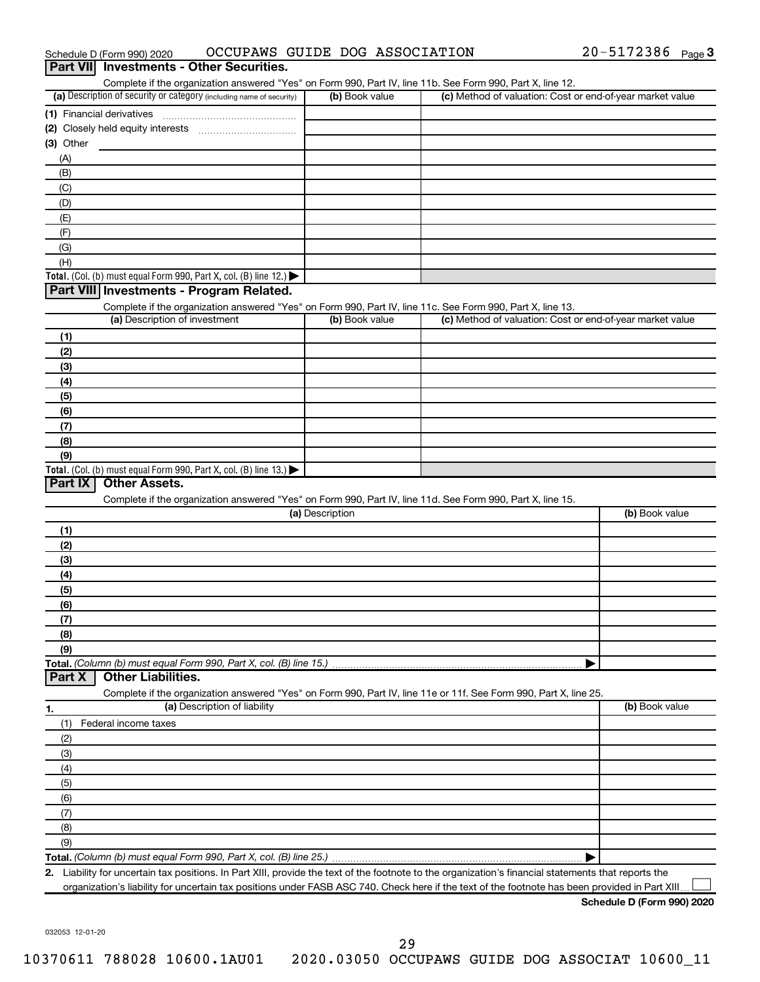|                  | Schedule D (Form 990) 2020                                                                      |                              | OCCUPAWS GUIDE DOG ASSOCIATION                                                                                    | 20-5172386 Page 3                                                                                                                                    |
|------------------|-------------------------------------------------------------------------------------------------|------------------------------|-------------------------------------------------------------------------------------------------------------------|------------------------------------------------------------------------------------------------------------------------------------------------------|
| <b>Part VIII</b> | <b>Investments - Other Securities.</b>                                                          |                              |                                                                                                                   |                                                                                                                                                      |
|                  |                                                                                                 |                              | Complete if the organization answered "Yes" on Form 990, Part IV, line 11b. See Form 990, Part X, line 12.        |                                                                                                                                                      |
|                  | (a) Description of security or category (including name of security)                            |                              | (b) Book value                                                                                                    | (c) Method of valuation: Cost or end-of-year market value                                                                                            |
|                  |                                                                                                 |                              |                                                                                                                   |                                                                                                                                                      |
|                  |                                                                                                 |                              |                                                                                                                   |                                                                                                                                                      |
| (3) Other        |                                                                                                 |                              |                                                                                                                   |                                                                                                                                                      |
| (A)              |                                                                                                 |                              |                                                                                                                   |                                                                                                                                                      |
| (B)              |                                                                                                 |                              |                                                                                                                   |                                                                                                                                                      |
| (C)              |                                                                                                 |                              |                                                                                                                   |                                                                                                                                                      |
| (D)              |                                                                                                 |                              |                                                                                                                   |                                                                                                                                                      |
| (E)              |                                                                                                 |                              |                                                                                                                   |                                                                                                                                                      |
| (F)              |                                                                                                 |                              |                                                                                                                   |                                                                                                                                                      |
| (G)              |                                                                                                 |                              |                                                                                                                   |                                                                                                                                                      |
| (H)              |                                                                                                 |                              |                                                                                                                   |                                                                                                                                                      |
|                  | Total. (Col. (b) must equal Form 990, Part X, col. (B) line 12.) $\blacktriangleright$          |                              |                                                                                                                   |                                                                                                                                                      |
|                  | Part VIII Investments - Program Related.                                                        |                              |                                                                                                                   |                                                                                                                                                      |
|                  |                                                                                                 |                              | Complete if the organization answered "Yes" on Form 990, Part IV, line 11c. See Form 990, Part X, line 13.        |                                                                                                                                                      |
|                  | (a) Description of investment                                                                   |                              | (b) Book value                                                                                                    | (c) Method of valuation: Cost or end-of-year market value                                                                                            |
| (1)              |                                                                                                 |                              |                                                                                                                   |                                                                                                                                                      |
| (2)              |                                                                                                 |                              |                                                                                                                   |                                                                                                                                                      |
| (3)              |                                                                                                 |                              |                                                                                                                   |                                                                                                                                                      |
| (4)              |                                                                                                 |                              |                                                                                                                   |                                                                                                                                                      |
| (5)              |                                                                                                 |                              |                                                                                                                   |                                                                                                                                                      |
| (6)              |                                                                                                 |                              |                                                                                                                   |                                                                                                                                                      |
| (7)              |                                                                                                 |                              |                                                                                                                   |                                                                                                                                                      |
| (8)              |                                                                                                 |                              |                                                                                                                   |                                                                                                                                                      |
| (9)              |                                                                                                 |                              |                                                                                                                   |                                                                                                                                                      |
|                  | Total. (Col. (b) must equal Form 990, Part X, col. (B) line 13.)                                |                              |                                                                                                                   |                                                                                                                                                      |
| Part IX          | <b>Other Assets.</b>                                                                            |                              |                                                                                                                   |                                                                                                                                                      |
|                  |                                                                                                 |                              | Complete if the organization answered "Yes" on Form 990, Part IV, line 11d. See Form 990, Part X, line 15.        |                                                                                                                                                      |
|                  |                                                                                                 |                              | (a) Description                                                                                                   | (b) Book value                                                                                                                                       |
| (1)              |                                                                                                 |                              |                                                                                                                   |                                                                                                                                                      |
| (2)              |                                                                                                 |                              |                                                                                                                   |                                                                                                                                                      |
| (3)              |                                                                                                 |                              |                                                                                                                   |                                                                                                                                                      |
| (4)              |                                                                                                 |                              |                                                                                                                   |                                                                                                                                                      |
| (5)              |                                                                                                 |                              |                                                                                                                   |                                                                                                                                                      |
| (၆)              |                                                                                                 |                              |                                                                                                                   |                                                                                                                                                      |
| (7)              |                                                                                                 |                              |                                                                                                                   |                                                                                                                                                      |
| (8)              |                                                                                                 |                              |                                                                                                                   |                                                                                                                                                      |
| (9)              |                                                                                                 |                              |                                                                                                                   |                                                                                                                                                      |
|                  | Total. (Column (b) must equal Form 990, Part X, col. (B) line 15.)<br><b>Other Liabilities.</b> |                              |                                                                                                                   |                                                                                                                                                      |
| Part X           |                                                                                                 |                              |                                                                                                                   |                                                                                                                                                      |
|                  |                                                                                                 | (a) Description of liability | Complete if the organization answered "Yes" on Form 990, Part IV, line 11e or 11f. See Form 990, Part X, line 25. | (b) Book value                                                                                                                                       |
| 1.               |                                                                                                 |                              |                                                                                                                   |                                                                                                                                                      |
| (1)              | Federal income taxes                                                                            |                              |                                                                                                                   |                                                                                                                                                      |
| (2)              |                                                                                                 |                              |                                                                                                                   |                                                                                                                                                      |
| (3)              |                                                                                                 |                              |                                                                                                                   |                                                                                                                                                      |
| (4)              |                                                                                                 |                              |                                                                                                                   |                                                                                                                                                      |
| (5)              |                                                                                                 |                              |                                                                                                                   |                                                                                                                                                      |
| (6)              |                                                                                                 |                              |                                                                                                                   |                                                                                                                                                      |
| (7)              |                                                                                                 |                              |                                                                                                                   |                                                                                                                                                      |
| (8)              |                                                                                                 |                              |                                                                                                                   |                                                                                                                                                      |
| (9)              |                                                                                                 |                              |                                                                                                                   |                                                                                                                                                      |
|                  |                                                                                                 |                              |                                                                                                                   |                                                                                                                                                      |
|                  |                                                                                                 |                              |                                                                                                                   | 2. Liability for uncertain tax positions. In Part XIII, provide the text of the footnote to the organization's financial statements that reports the |

032053 12-01-20

organization's liability for uncertain tax positions under FASB ASC 740. Check here if the text of the footnote has been provided in Part XIII...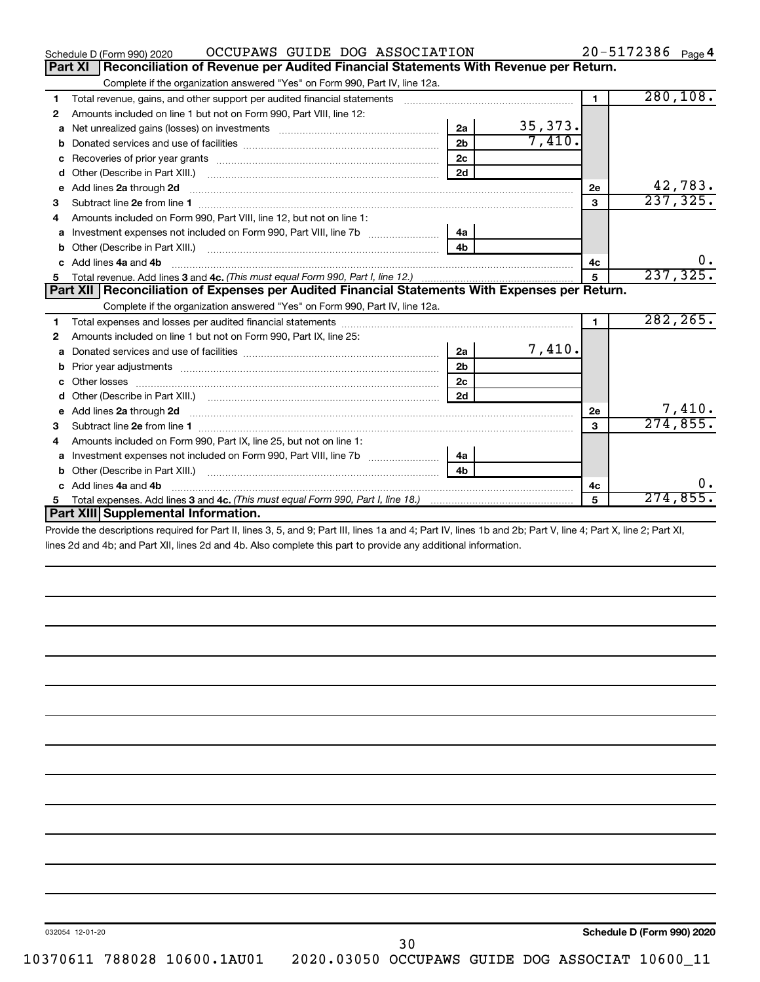| Part XI<br>Reconciliation of Revenue per Audited Financial Statements With Revenue per Return.<br>Complete if the organization answered "Yes" on Form 990, Part IV, line 12a.<br>280, 108.<br>$\blacksquare$<br>Total revenue, gains, and other support per audited financial statements [[[[[[[[[[[[[[[[[[[[[[[]]]]]]]]]]]]]<br>1<br>Amounts included on line 1 but not on Form 990, Part VIII, line 12:<br>2<br>35, 373.<br>2a<br>Net unrealized gains (losses) on investments [111] [12] matter and the unrealized gains (losses) on investments<br>a<br>7,410.<br>2 <sub>b</sub><br>b<br>2 <sub>c</sub><br>c<br>2d<br>d<br>42,783.<br>Add lines 2a through 2d <b>contained a contained a contained a contained a</b> contained a contained a contained a contained a contained a contained a contained a contained a contained a contained a contained a contained a cont<br>2e<br>е<br>237, 325.<br>3<br>3<br>Amounts included on Form 990, Part VIII, line 12, but not on line 1:<br>4<br>4a<br>a<br>4 <sub>b</sub><br>Other (Describe in Part XIII.) <b>Construction Contract Construction</b> Chemical Construction Chemical Chemical Chemical Chemical Chemical Chemical Chemical Chemical Chemical Chemical Chemical Chemical Chemical Chemical Chemic<br>b<br>Add lines 4a and 4b<br>C.<br>4c<br>237, 325.<br>5<br>Part XII   Reconciliation of Expenses per Audited Financial Statements With Expenses per Return.<br>Complete if the organization answered "Yes" on Form 990, Part IV, line 12a.<br>282, 265.<br>1<br>1<br>Amounts included on line 1 but not on Form 990, Part IX, line 25:<br>2<br>7,410.<br>2a<br>a<br>2 <sub>b</sub><br>b<br>2 <sub>c</sub><br>Other losses<br>2d<br>d<br>7,410.<br>Add lines 2a through 2d <b>contained a contained a contained a contained a</b> contained a contact the set of the set of the set of the set of the set of the set of the set of the set of the set of the set of the set of the set<br><b>2e</b><br>е<br>274,855.<br>$\mathbf{a}$<br>з<br>Amounts included on Form 990, Part IX, line 25, but not on line 1:<br>4<br>4a<br>a<br>4 <sub>b</sub><br>Other (Describe in Part XIII.) <b>Construction and Construction</b> Chern Construction Chern Chern Chern Chern Chern Chern Chern Chern Chern Chern Chern Chern Chern Chern Chern Chern Chern Chern Chern Chern Chern Chern Chern Ch<br>b<br>0.<br>Add lines 4a and 4b<br>C.<br>4с<br>274,855.<br>5<br>5.<br>Part XIII Supplemental Information. | OCCUPAWS GUIDE DOG ASSOCIATION<br>Schedule D (Form 990) 2020 |  | 20-5172386 Page 4 |
|------------------------------------------------------------------------------------------------------------------------------------------------------------------------------------------------------------------------------------------------------------------------------------------------------------------------------------------------------------------------------------------------------------------------------------------------------------------------------------------------------------------------------------------------------------------------------------------------------------------------------------------------------------------------------------------------------------------------------------------------------------------------------------------------------------------------------------------------------------------------------------------------------------------------------------------------------------------------------------------------------------------------------------------------------------------------------------------------------------------------------------------------------------------------------------------------------------------------------------------------------------------------------------------------------------------------------------------------------------------------------------------------------------------------------------------------------------------------------------------------------------------------------------------------------------------------------------------------------------------------------------------------------------------------------------------------------------------------------------------------------------------------------------------------------------------------------------------------------------------------------------------------------------------------------------------------------------------------------------------------------------------------------------------------------------------------------------------------------------------------------------------------------------------------------------------------------------------------------------------------------------------------------------------------------------------------------------------------------------------------------------------------------------------------------------------------------------------------|--------------------------------------------------------------|--|-------------------|
|                                                                                                                                                                                                                                                                                                                                                                                                                                                                                                                                                                                                                                                                                                                                                                                                                                                                                                                                                                                                                                                                                                                                                                                                                                                                                                                                                                                                                                                                                                                                                                                                                                                                                                                                                                                                                                                                                                                                                                                                                                                                                                                                                                                                                                                                                                                                                                                                                                                                        |                                                              |  |                   |
|                                                                                                                                                                                                                                                                                                                                                                                                                                                                                                                                                                                                                                                                                                                                                                                                                                                                                                                                                                                                                                                                                                                                                                                                                                                                                                                                                                                                                                                                                                                                                                                                                                                                                                                                                                                                                                                                                                                                                                                                                                                                                                                                                                                                                                                                                                                                                                                                                                                                        |                                                              |  |                   |
|                                                                                                                                                                                                                                                                                                                                                                                                                                                                                                                                                                                                                                                                                                                                                                                                                                                                                                                                                                                                                                                                                                                                                                                                                                                                                                                                                                                                                                                                                                                                                                                                                                                                                                                                                                                                                                                                                                                                                                                                                                                                                                                                                                                                                                                                                                                                                                                                                                                                        |                                                              |  |                   |
|                                                                                                                                                                                                                                                                                                                                                                                                                                                                                                                                                                                                                                                                                                                                                                                                                                                                                                                                                                                                                                                                                                                                                                                                                                                                                                                                                                                                                                                                                                                                                                                                                                                                                                                                                                                                                                                                                                                                                                                                                                                                                                                                                                                                                                                                                                                                                                                                                                                                        |                                                              |  |                   |
|                                                                                                                                                                                                                                                                                                                                                                                                                                                                                                                                                                                                                                                                                                                                                                                                                                                                                                                                                                                                                                                                                                                                                                                                                                                                                                                                                                                                                                                                                                                                                                                                                                                                                                                                                                                                                                                                                                                                                                                                                                                                                                                                                                                                                                                                                                                                                                                                                                                                        |                                                              |  |                   |
|                                                                                                                                                                                                                                                                                                                                                                                                                                                                                                                                                                                                                                                                                                                                                                                                                                                                                                                                                                                                                                                                                                                                                                                                                                                                                                                                                                                                                                                                                                                                                                                                                                                                                                                                                                                                                                                                                                                                                                                                                                                                                                                                                                                                                                                                                                                                                                                                                                                                        |                                                              |  |                   |
|                                                                                                                                                                                                                                                                                                                                                                                                                                                                                                                                                                                                                                                                                                                                                                                                                                                                                                                                                                                                                                                                                                                                                                                                                                                                                                                                                                                                                                                                                                                                                                                                                                                                                                                                                                                                                                                                                                                                                                                                                                                                                                                                                                                                                                                                                                                                                                                                                                                                        |                                                              |  |                   |
|                                                                                                                                                                                                                                                                                                                                                                                                                                                                                                                                                                                                                                                                                                                                                                                                                                                                                                                                                                                                                                                                                                                                                                                                                                                                                                                                                                                                                                                                                                                                                                                                                                                                                                                                                                                                                                                                                                                                                                                                                                                                                                                                                                                                                                                                                                                                                                                                                                                                        |                                                              |  |                   |
|                                                                                                                                                                                                                                                                                                                                                                                                                                                                                                                                                                                                                                                                                                                                                                                                                                                                                                                                                                                                                                                                                                                                                                                                                                                                                                                                                                                                                                                                                                                                                                                                                                                                                                                                                                                                                                                                                                                                                                                                                                                                                                                                                                                                                                                                                                                                                                                                                                                                        |                                                              |  |                   |
|                                                                                                                                                                                                                                                                                                                                                                                                                                                                                                                                                                                                                                                                                                                                                                                                                                                                                                                                                                                                                                                                                                                                                                                                                                                                                                                                                                                                                                                                                                                                                                                                                                                                                                                                                                                                                                                                                                                                                                                                                                                                                                                                                                                                                                                                                                                                                                                                                                                                        |                                                              |  |                   |
|                                                                                                                                                                                                                                                                                                                                                                                                                                                                                                                                                                                                                                                                                                                                                                                                                                                                                                                                                                                                                                                                                                                                                                                                                                                                                                                                                                                                                                                                                                                                                                                                                                                                                                                                                                                                                                                                                                                                                                                                                                                                                                                                                                                                                                                                                                                                                                                                                                                                        |                                                              |  |                   |
|                                                                                                                                                                                                                                                                                                                                                                                                                                                                                                                                                                                                                                                                                                                                                                                                                                                                                                                                                                                                                                                                                                                                                                                                                                                                                                                                                                                                                                                                                                                                                                                                                                                                                                                                                                                                                                                                                                                                                                                                                                                                                                                                                                                                                                                                                                                                                                                                                                                                        |                                                              |  |                   |
|                                                                                                                                                                                                                                                                                                                                                                                                                                                                                                                                                                                                                                                                                                                                                                                                                                                                                                                                                                                                                                                                                                                                                                                                                                                                                                                                                                                                                                                                                                                                                                                                                                                                                                                                                                                                                                                                                                                                                                                                                                                                                                                                                                                                                                                                                                                                                                                                                                                                        |                                                              |  |                   |
|                                                                                                                                                                                                                                                                                                                                                                                                                                                                                                                                                                                                                                                                                                                                                                                                                                                                                                                                                                                                                                                                                                                                                                                                                                                                                                                                                                                                                                                                                                                                                                                                                                                                                                                                                                                                                                                                                                                                                                                                                                                                                                                                                                                                                                                                                                                                                                                                                                                                        |                                                              |  |                   |
|                                                                                                                                                                                                                                                                                                                                                                                                                                                                                                                                                                                                                                                                                                                                                                                                                                                                                                                                                                                                                                                                                                                                                                                                                                                                                                                                                                                                                                                                                                                                                                                                                                                                                                                                                                                                                                                                                                                                                                                                                                                                                                                                                                                                                                                                                                                                                                                                                                                                        |                                                              |  |                   |
|                                                                                                                                                                                                                                                                                                                                                                                                                                                                                                                                                                                                                                                                                                                                                                                                                                                                                                                                                                                                                                                                                                                                                                                                                                                                                                                                                                                                                                                                                                                                                                                                                                                                                                                                                                                                                                                                                                                                                                                                                                                                                                                                                                                                                                                                                                                                                                                                                                                                        |                                                              |  |                   |
|                                                                                                                                                                                                                                                                                                                                                                                                                                                                                                                                                                                                                                                                                                                                                                                                                                                                                                                                                                                                                                                                                                                                                                                                                                                                                                                                                                                                                                                                                                                                                                                                                                                                                                                                                                                                                                                                                                                                                                                                                                                                                                                                                                                                                                                                                                                                                                                                                                                                        |                                                              |  |                   |
|                                                                                                                                                                                                                                                                                                                                                                                                                                                                                                                                                                                                                                                                                                                                                                                                                                                                                                                                                                                                                                                                                                                                                                                                                                                                                                                                                                                                                                                                                                                                                                                                                                                                                                                                                                                                                                                                                                                                                                                                                                                                                                                                                                                                                                                                                                                                                                                                                                                                        |                                                              |  |                   |
|                                                                                                                                                                                                                                                                                                                                                                                                                                                                                                                                                                                                                                                                                                                                                                                                                                                                                                                                                                                                                                                                                                                                                                                                                                                                                                                                                                                                                                                                                                                                                                                                                                                                                                                                                                                                                                                                                                                                                                                                                                                                                                                                                                                                                                                                                                                                                                                                                                                                        |                                                              |  |                   |
|                                                                                                                                                                                                                                                                                                                                                                                                                                                                                                                                                                                                                                                                                                                                                                                                                                                                                                                                                                                                                                                                                                                                                                                                                                                                                                                                                                                                                                                                                                                                                                                                                                                                                                                                                                                                                                                                                                                                                                                                                                                                                                                                                                                                                                                                                                                                                                                                                                                                        |                                                              |  |                   |
|                                                                                                                                                                                                                                                                                                                                                                                                                                                                                                                                                                                                                                                                                                                                                                                                                                                                                                                                                                                                                                                                                                                                                                                                                                                                                                                                                                                                                                                                                                                                                                                                                                                                                                                                                                                                                                                                                                                                                                                                                                                                                                                                                                                                                                                                                                                                                                                                                                                                        |                                                              |  |                   |
|                                                                                                                                                                                                                                                                                                                                                                                                                                                                                                                                                                                                                                                                                                                                                                                                                                                                                                                                                                                                                                                                                                                                                                                                                                                                                                                                                                                                                                                                                                                                                                                                                                                                                                                                                                                                                                                                                                                                                                                                                                                                                                                                                                                                                                                                                                                                                                                                                                                                        |                                                              |  |                   |
|                                                                                                                                                                                                                                                                                                                                                                                                                                                                                                                                                                                                                                                                                                                                                                                                                                                                                                                                                                                                                                                                                                                                                                                                                                                                                                                                                                                                                                                                                                                                                                                                                                                                                                                                                                                                                                                                                                                                                                                                                                                                                                                                                                                                                                                                                                                                                                                                                                                                        |                                                              |  |                   |
|                                                                                                                                                                                                                                                                                                                                                                                                                                                                                                                                                                                                                                                                                                                                                                                                                                                                                                                                                                                                                                                                                                                                                                                                                                                                                                                                                                                                                                                                                                                                                                                                                                                                                                                                                                                                                                                                                                                                                                                                                                                                                                                                                                                                                                                                                                                                                                                                                                                                        |                                                              |  |                   |
|                                                                                                                                                                                                                                                                                                                                                                                                                                                                                                                                                                                                                                                                                                                                                                                                                                                                                                                                                                                                                                                                                                                                                                                                                                                                                                                                                                                                                                                                                                                                                                                                                                                                                                                                                                                                                                                                                                                                                                                                                                                                                                                                                                                                                                                                                                                                                                                                                                                                        |                                                              |  |                   |
|                                                                                                                                                                                                                                                                                                                                                                                                                                                                                                                                                                                                                                                                                                                                                                                                                                                                                                                                                                                                                                                                                                                                                                                                                                                                                                                                                                                                                                                                                                                                                                                                                                                                                                                                                                                                                                                                                                                                                                                                                                                                                                                                                                                                                                                                                                                                                                                                                                                                        |                                                              |  |                   |
|                                                                                                                                                                                                                                                                                                                                                                                                                                                                                                                                                                                                                                                                                                                                                                                                                                                                                                                                                                                                                                                                                                                                                                                                                                                                                                                                                                                                                                                                                                                                                                                                                                                                                                                                                                                                                                                                                                                                                                                                                                                                                                                                                                                                                                                                                                                                                                                                                                                                        |                                                              |  |                   |
|                                                                                                                                                                                                                                                                                                                                                                                                                                                                                                                                                                                                                                                                                                                                                                                                                                                                                                                                                                                                                                                                                                                                                                                                                                                                                                                                                                                                                                                                                                                                                                                                                                                                                                                                                                                                                                                                                                                                                                                                                                                                                                                                                                                                                                                                                                                                                                                                                                                                        |                                                              |  |                   |
|                                                                                                                                                                                                                                                                                                                                                                                                                                                                                                                                                                                                                                                                                                                                                                                                                                                                                                                                                                                                                                                                                                                                                                                                                                                                                                                                                                                                                                                                                                                                                                                                                                                                                                                                                                                                                                                                                                                                                                                                                                                                                                                                                                                                                                                                                                                                                                                                                                                                        |                                                              |  |                   |
|                                                                                                                                                                                                                                                                                                                                                                                                                                                                                                                                                                                                                                                                                                                                                                                                                                                                                                                                                                                                                                                                                                                                                                                                                                                                                                                                                                                                                                                                                                                                                                                                                                                                                                                                                                                                                                                                                                                                                                                                                                                                                                                                                                                                                                                                                                                                                                                                                                                                        |                                                              |  |                   |
|                                                                                                                                                                                                                                                                                                                                                                                                                                                                                                                                                                                                                                                                                                                                                                                                                                                                                                                                                                                                                                                                                                                                                                                                                                                                                                                                                                                                                                                                                                                                                                                                                                                                                                                                                                                                                                                                                                                                                                                                                                                                                                                                                                                                                                                                                                                                                                                                                                                                        |                                                              |  |                   |

Provide the descriptions required for Part II, lines 3, 5, and 9; Part III, lines 1a and 4; Part IV, lines 1b and 2b; Part V, line 4; Part X, line 2; Part XI, lines 2d and 4b; and Part XII, lines 2d and 4b. Also complete this part to provide any additional information.

**Schedule D (Form 990) 2020**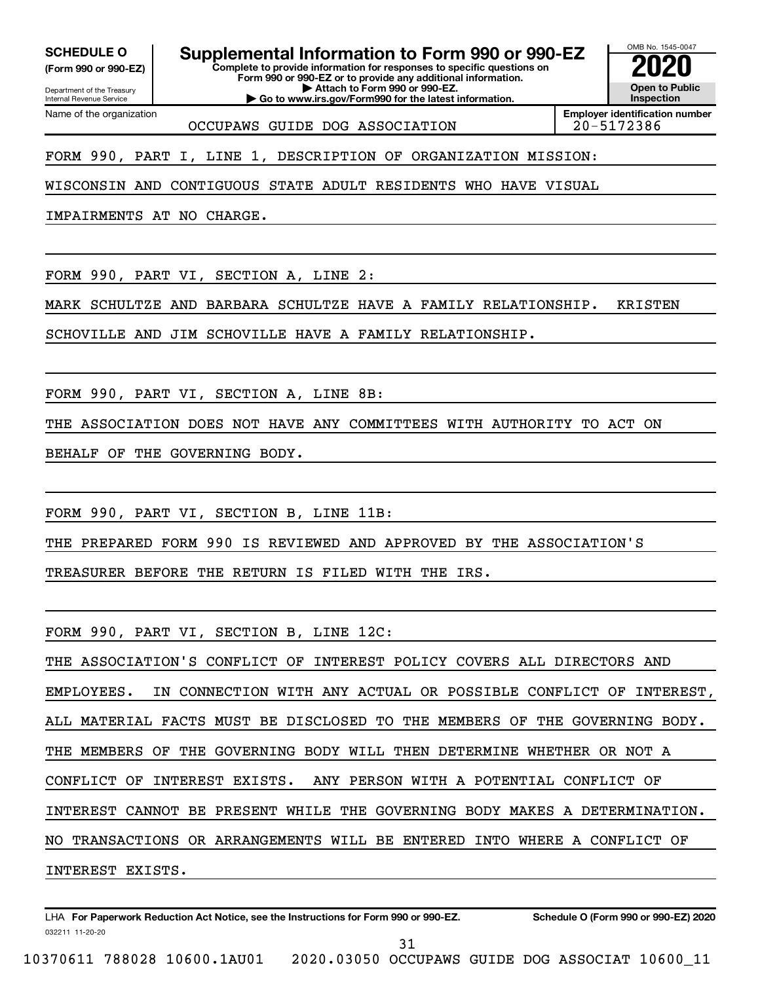**(Form 990 or 990-EZ)**

**SCHEDULE O Supplemental Information to Form 990 or 990-EZ 2020**<br>(Form 990 or 990-EZ) Complete to provide information for responses to specific questions on

**| Go to www.irs.gov/Form990 for the latest information.**

**Complete to provide information for responses to specific questions on Form 990 or 990-EZ or to provide any additional information. | Attach to Form 990 or 990-EZ.**

Department of the Treasury Internal Revenue Service Name of the organization

OCCUPAWS GUIDE DOG ASSOCIATION 20-5172386

**Employer identification number**

OMB No. 1545-0047

**Open to Public Inspection**

FORM 990, PART I, LINE 1, DESCRIPTION OF ORGANIZATION MISSION:

WISCONSIN AND CONTIGUOUS STATE ADULT RESIDENTS WHO HAVE VISUAL

IMPAIRMENTS AT NO CHARGE.

FORM 990, PART VI, SECTION A, LINE 2:

MARK SCHULTZE AND BARBARA SCHULTZE HAVE A FAMILY RELATIONSHIP. KRISTEN

SCHOVILLE AND JIM SCHOVILLE HAVE A FAMILY RELATIONSHIP.

FORM 990, PART VI, SECTION A, LINE 8B:

THE ASSOCIATION DOES NOT HAVE ANY COMMITTEES WITH AUTHORITY TO ACT ON

BEHALF OF THE GOVERNING BODY.

FORM 990, PART VI, SECTION B, LINE 11B:

THE PREPARED FORM 990 IS REVIEWED AND APPROVED BY THE ASSOCIATION'S

TREASURER BEFORE THE RETURN IS FILED WITH THE IRS.

FORM 990, PART VI, SECTION B, LINE 12C:

THE ASSOCIATION'S CONFLICT OF INTEREST POLICY COVERS ALL DIRECTORS AND EMPLOYEES. IN CONNECTION WITH ANY ACTUAL OR POSSIBLE CONFLICT OF INTEREST, ALL MATERIAL FACTS MUST BE DISCLOSED TO THE MEMBERS OF THE GOVERNING BODY. THE MEMBERS OF THE GOVERNING BODY WILL THEN DETERMINE WHETHER OR NOT A CONFLICT OF INTEREST EXISTS. ANY PERSON WITH A POTENTIAL CONFLICT OF INTEREST CANNOT BE PRESENT WHILE THE GOVERNING BODY MAKES A DETERMINATION. NO TRANSACTIONS OR ARRANGEMENTS WILL BE ENTERED INTO WHERE A CONFLICT OF INTEREST EXISTS.

032211 11-20-20 **For Paperwork Reduction Act Notice, see the Instructions for Form 990 or 990-EZ. Schedule O (Form 990 or 990-EZ) 2020** LHA